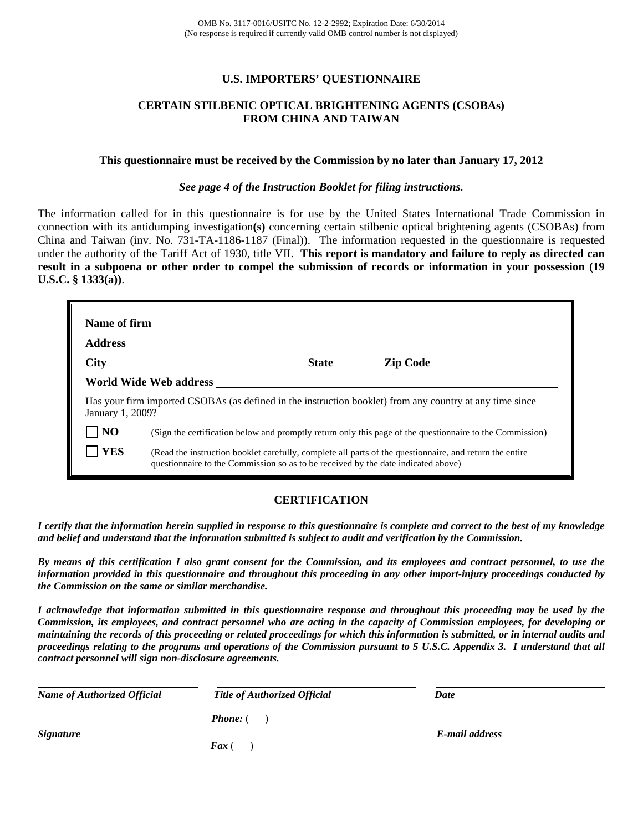### **U.S. IMPORTERS' QUESTIONNAIRE**

### **CERTAIN STILBENIC OPTICAL BRIGHTENING AGENTS (CSOBAs) FROM CHINA AND TAIWAN**

#### **This questionnaire must be received by the Commission by no later than January 17, 2012**

*See page 4 of the Instruction Booklet for filing instructions.* 

The information called for in this questionnaire is for use by the United States International Trade Commission in connection with its antidumping investigation**(s)** concerning certain stilbenic optical brightening agents (CSOBAs) from China and Taiwan (inv. No. 731-TA-1186-1187 (Final)). The information requested in the questionnaire is requested under the authority of the Tariff Act of 1930, title VII. **This report is mandatory and failure to reply as directed can result in a subpoena or other order to compel the submission of records or information in your possession (19 U.S.C. § 1333(a))**.

| <b>Name of firm</b> |                                                                                                                                                                                              |                       |
|---------------------|----------------------------------------------------------------------------------------------------------------------------------------------------------------------------------------------|-----------------------|
| <b>Address</b>      |                                                                                                                                                                                              |                       |
|                     |                                                                                                                                                                                              | State <u>Lip Code</u> |
|                     |                                                                                                                                                                                              |                       |
| January 1, 2009?    | Has your firm imported CSOBAs (as defined in the instruction booklet) from any country at any time since                                                                                     |                       |
| NO                  | (Sign the certification below and promptly return only this page of the questionnaire to the Commission)                                                                                     |                       |
| <b>YES</b>          | (Read the instruction booklet carefully, complete all parts of the questionnaire, and return the entire<br>questionnaire to the Commission so as to be received by the date indicated above) |                       |

### **CERTIFICATION**

*I certify that the information herein supplied in response to this questionnaire is complete and correct to the best of my knowledge and belief and understand that the information submitted is subject to audit and verification by the Commission.* 

*By means of this certification I also grant consent for the Commission, and its employees and contract personnel, to use the information provided in this questionnaire and throughout this proceeding in any other import-injury proceedings conducted by the Commission on the same or similar merchandise.* 

*I acknowledge that information submitted in this questionnaire response and throughout this proceeding may be used by the Commission, its employees, and contract personnel who are acting in the capacity of Commission employees, for developing or maintaining the records of this proceeding or related proceedings for which this information is submitted, or in internal audits and proceedings relating to the programs and operations of the Commission pursuant to 5 U.S.C. Appendix 3. I understand that all contract personnel will sign non-disclosure agreements.* 

| <b>Name of Authorized Official</b> | <b>Title of Authorized Official</b> | Date           |
|------------------------------------|-------------------------------------|----------------|
|                                    | <b>Phone:</b> (                     |                |
| <b>Signature</b>                   |                                     | E-mail address |
|                                    | $\boldsymbol{F}$ ax                 |                |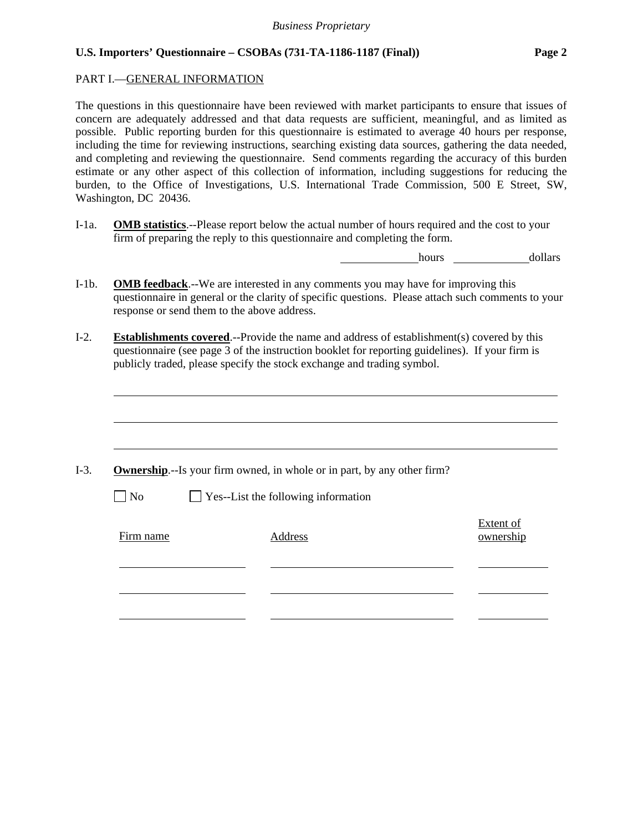### PART I.—GENERAL INFORMATION

l

The questions in this questionnaire have been reviewed with market participants to ensure that issues of concern are adequately addressed and that data requests are sufficient, meaningful, and as limited as possible. Public reporting burden for this questionnaire is estimated to average 40 hours per response, including the time for reviewing instructions, searching existing data sources, gathering the data needed, and completing and reviewing the questionnaire. Send comments regarding the accuracy of this burden estimate or any other aspect of this collection of information, including suggestions for reducing the burden, to the Office of Investigations, U.S. International Trade Commission, 500 E Street, SW, Washington, DC 20436.

I-1a. **OMB statistics**.--Please report below the actual number of hours required and the cost to your firm of preparing the reply to this questionnaire and completing the form.

hours dollars

- I-1b. **OMB feedback**.--We are interested in any comments you may have for improving this questionnaire in general or the clarity of specific questions. Please attach such comments to your response or send them to the above address.
- I-2. **Establishments covered**.--Provide the name and address of establishment(s) covered by this questionnaire (see page 3 of the instruction booklet for reporting guidelines). If your firm is publicly traded, please specify the stock exchange and trading symbol.

|           | <b>Ownership.</b> --Is your firm owned, in whole or in part, by any other firm? |                        |
|-----------|---------------------------------------------------------------------------------|------------------------|
| $\Box$ No | $\Box$ Yes--List the following information                                      |                        |
| Firm name | Address                                                                         | Extent of<br>ownership |
|           |                                                                                 |                        |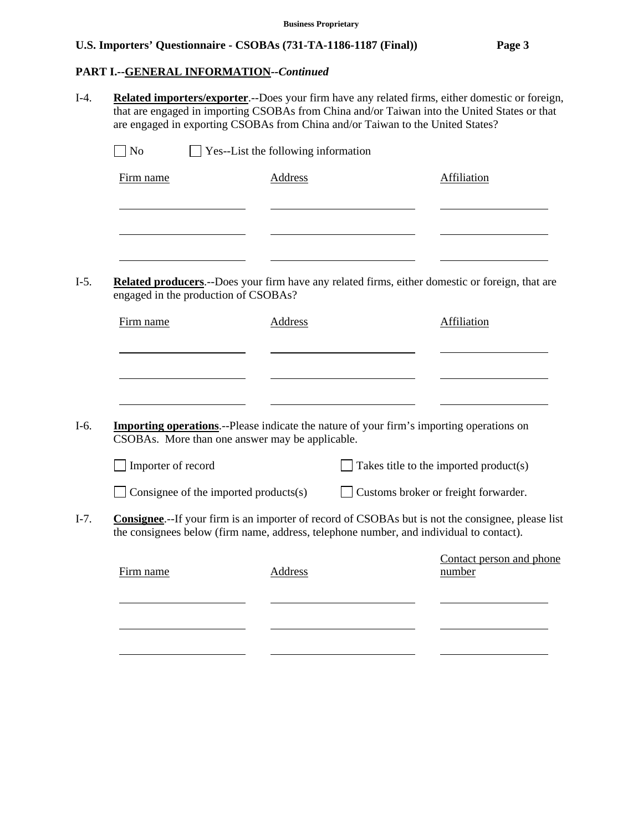### **PART I.--GENERAL INFORMATION***--Continued*

- I-4. **Related importers/exporter**.--Does your firm have any related firms, either domestic or foreign, that are engaged in importing CSOBAs from China and/or Taiwan into the United States or that are engaged in exporting CSOBAs from China and/or Taiwan to the United States?  $\bigcap$  No  $\bigcap$  Yes--List the following information Firm name Address Address Address Affiliation l l l
- I-5. **Related producers**.--Does your firm have any related firms, either domestic or foreign, that are engaged in the production of CSOBAs?

CSOBAs. More than one answer may be applicable.

Importer of record Takes title to the imported product(s)

| $\Box$ Consignee of the imported products(s) |  |  |
|----------------------------------------------|--|--|
|                                              |  |  |

- $\Box$  Customs broker or freight forwarder.
- I-7. **Consignee**.--If your firm is an importer of record of CSOBAs but is not the consignee, please list the consignees below (firm name, address, telephone number, and individual to contact).

| Firm name | Address | Contact person and phone<br>number |
|-----------|---------|------------------------------------|
|           |         |                                    |
|           |         |                                    |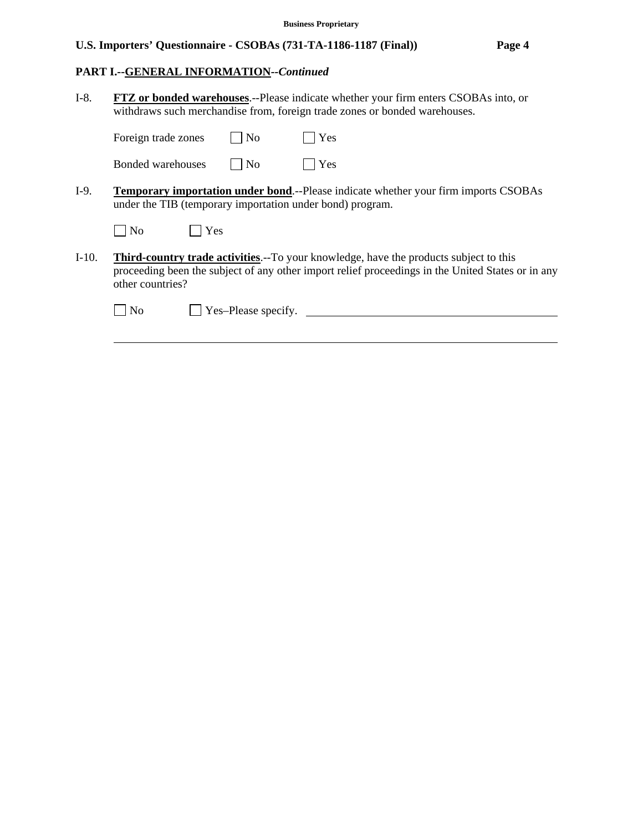# **PART I.--GENERAL INFORMATION***--Continued*

l

| $I-8.$<br><b>FTZ</b> or bonded warehouses.--Please indicate whether your firm enters CSOBAs into, or<br>withdraws such merchandise from, foreign trade zones or bonded warehouses. |                                                                                                                                                                                                                       |  |  |
|------------------------------------------------------------------------------------------------------------------------------------------------------------------------------------|-----------------------------------------------------------------------------------------------------------------------------------------------------------------------------------------------------------------------|--|--|
|                                                                                                                                                                                    | Yes<br>Foreign trade zones<br>N <sub>0</sub>                                                                                                                                                                          |  |  |
|                                                                                                                                                                                    | Yes<br>$ $ No<br>Bonded warehouses                                                                                                                                                                                    |  |  |
| $I-9.$                                                                                                                                                                             | <b>Temporary importation under bond.</b> --Please indicate whether your firm imports CSOBAs<br>under the TIB (temporary importation under bond) program.                                                              |  |  |
|                                                                                                                                                                                    | $ $ No<br>Yes                                                                                                                                                                                                         |  |  |
| $I-10.$                                                                                                                                                                            | <b>Third-country trade activities.--To your knowledge, have the products subject to this</b><br>proceeding been the subject of any other import relief proceedings in the United States or in any<br>other countries? |  |  |
|                                                                                                                                                                                    | Yes-Please specify.<br>No                                                                                                                                                                                             |  |  |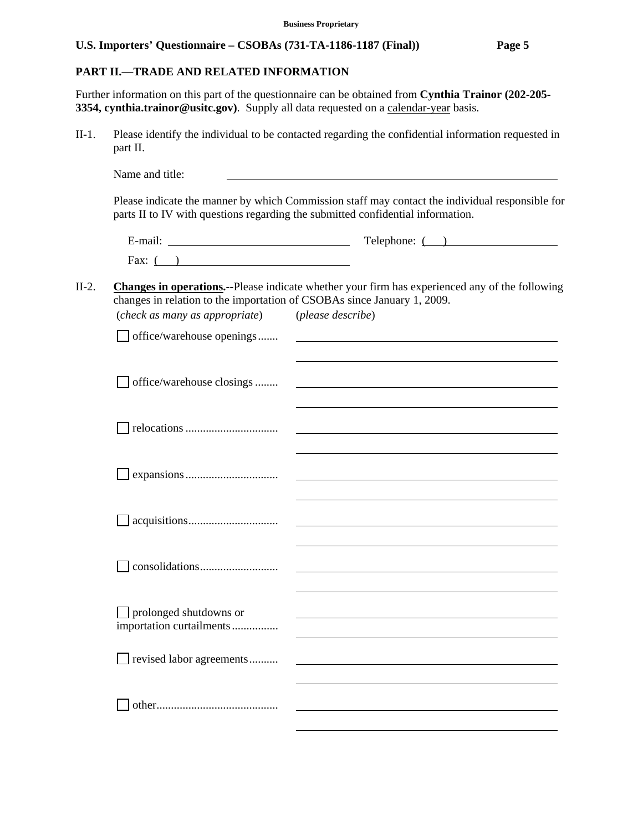## **PART II.—TRADE AND RELATED INFORMATION**

Further information on this part of the questionnaire can be obtained from **Cynthia Trainor (202-205- 3354, cynthia.trainor@usitc.gov**). Supply all data requested on a calendar-year basis.

II-1. Please identify the individual to be contacted regarding the confidential information requested in part II.

|         |                                                                                                           | Telephone: ()                                                                                                                                                                                                                 |
|---------|-----------------------------------------------------------------------------------------------------------|-------------------------------------------------------------------------------------------------------------------------------------------------------------------------------------------------------------------------------|
|         | Fax: $( )$                                                                                                |                                                                                                                                                                                                                               |
| $II-2.$ | changes in relation to the importation of CSOBAs since January 1, 2009.<br>(check as many as appropriate) | Changes in operations.--Please indicate whether your firm has experienced any of the following<br>(please describe)                                                                                                           |
|         | office/warehouse openings                                                                                 |                                                                                                                                                                                                                               |
|         | office/warehouse closings                                                                                 | the control of the control of the control of the control of the control of the control of the control of the control of the control of the control of the control of the control of the control of the control of the control |
|         |                                                                                                           |                                                                                                                                                                                                                               |
|         |                                                                                                           |                                                                                                                                                                                                                               |
|         |                                                                                                           | and the control of the control of the control of the control of the control of the control of the control of the                                                                                                              |
|         |                                                                                                           |                                                                                                                                                                                                                               |
|         | prolonged shutdowns or<br>importation curtailments                                                        |                                                                                                                                                                                                                               |
|         | revised labor agreements                                                                                  |                                                                                                                                                                                                                               |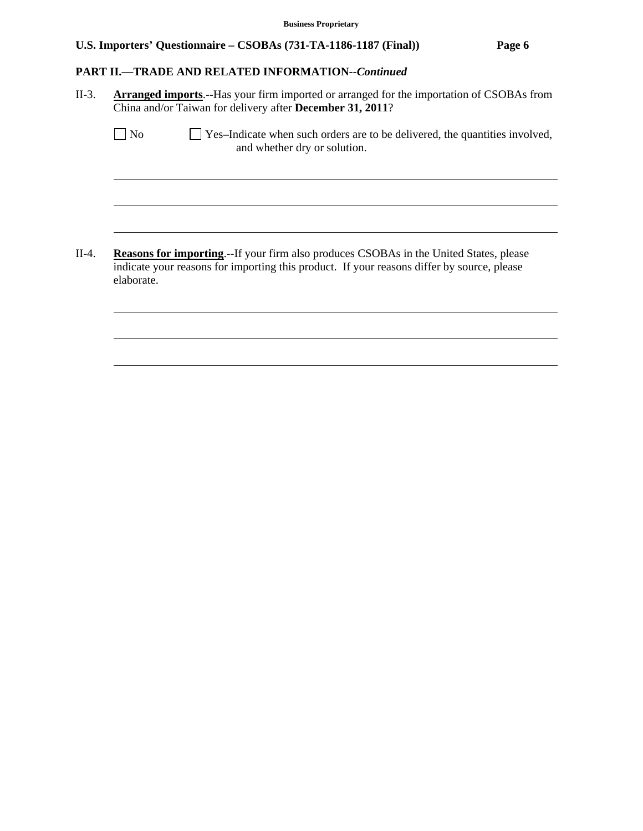### **PART II.—TRADE AND RELATED INFORMATION***--Continued*

l

l

l

l

l

l

II-3. **Arranged imports**.--Has your firm imported or arranged for the importation of CSOBAs from China and/or Taiwan for delivery after **December 31, 2011**?

| No | Yes-Indicate when such orders are to be delivered, the quantities involved, |
|----|-----------------------------------------------------------------------------|
|    | and whether dry or solution.                                                |

II-4. **Reasons for importing**.--If your firm also produces CSOBAs in the United States, please indicate your reasons for importing this product. If your reasons differ by source, please elaborate.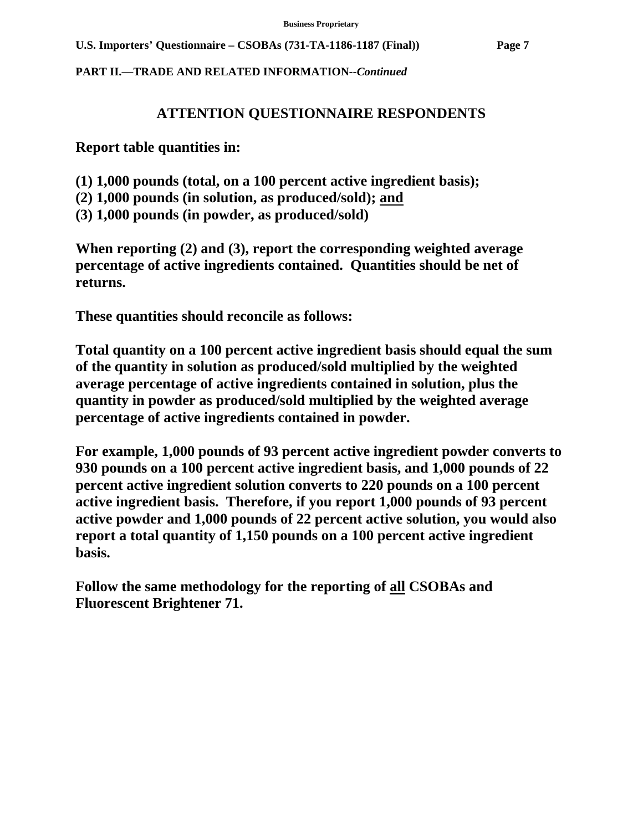**PART II.—TRADE AND RELATED INFORMATION***--Continued* 

# **ATTENTION QUESTIONNAIRE RESPONDENTS**

**Report table quantities in:** 

- **(1) 1,000 pounds (total, on a 100 percent active ingredient basis);**
- **(2) 1,000 pounds (in solution, as produced/sold); and**
- **(3) 1,000 pounds (in powder, as produced/sold)**

**When reporting (2) and (3), report the corresponding weighted average percentage of active ingredients contained. Quantities should be net of returns.** 

**These quantities should reconcile as follows:** 

**Total quantity on a 100 percent active ingredient basis should equal the sum of the quantity in solution as produced/sold multiplied by the weighted average percentage of active ingredients contained in solution, plus the quantity in powder as produced/sold multiplied by the weighted average percentage of active ingredients contained in powder.** 

**For example, 1,000 pounds of 93 percent active ingredient powder converts to 930 pounds on a 100 percent active ingredient basis, and 1,000 pounds of 22 percent active ingredient solution converts to 220 pounds on a 100 percent active ingredient basis. Therefore, if you report 1,000 pounds of 93 percent active powder and 1,000 pounds of 22 percent active solution, you would also report a total quantity of 1,150 pounds on a 100 percent active ingredient basis.** 

**Follow the same methodology for the reporting of all CSOBAs and Fluorescent Brightener 71.**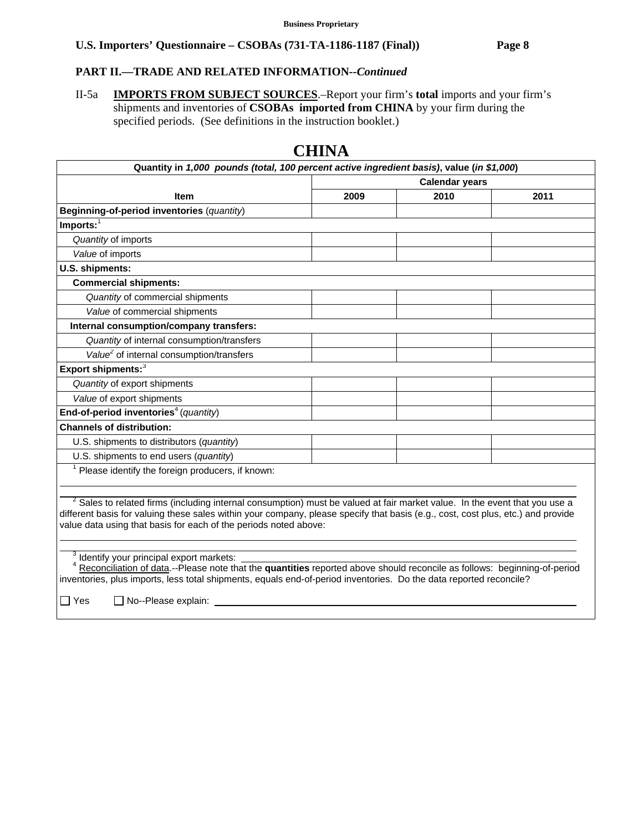# **PART II.—TRADE AND RELATED INFORMATION***--Continued*

II-5a **IMPORTS FROM SUBJECT SOURCES**.–Report your firm's **total** imports and your firm's shipments and inventories of **CSOBAs imported from CHINA** by your firm during the specified periods. (See definitions in the instruction booklet.)

|                                                                                                                                                                                                                                                                                                                                      | <b>Calendar years</b> |      |      |
|--------------------------------------------------------------------------------------------------------------------------------------------------------------------------------------------------------------------------------------------------------------------------------------------------------------------------------------|-----------------------|------|------|
| <b>Item</b>                                                                                                                                                                                                                                                                                                                          | 2009                  | 2010 | 2011 |
| Beginning-of-period inventories (quantity)                                                                                                                                                                                                                                                                                           |                       |      |      |
| $Imports:$ <sup>1</sup>                                                                                                                                                                                                                                                                                                              |                       |      |      |
| Quantity of imports                                                                                                                                                                                                                                                                                                                  |                       |      |      |
| Value of imports                                                                                                                                                                                                                                                                                                                     |                       |      |      |
| U.S. shipments:                                                                                                                                                                                                                                                                                                                      |                       |      |      |
| <b>Commercial shipments:</b>                                                                                                                                                                                                                                                                                                         |                       |      |      |
| Quantity of commercial shipments                                                                                                                                                                                                                                                                                                     |                       |      |      |
| Value of commercial shipments                                                                                                                                                                                                                                                                                                        |                       |      |      |
| Internal consumption/company transfers:                                                                                                                                                                                                                                                                                              |                       |      |      |
| Quantity of internal consumption/transfers                                                                                                                                                                                                                                                                                           |                       |      |      |
| Value <sup>2</sup> of internal consumption/transfers                                                                                                                                                                                                                                                                                 |                       |      |      |
| Export shipments: <sup>3</sup>                                                                                                                                                                                                                                                                                                       |                       |      |      |
| Quantity of export shipments                                                                                                                                                                                                                                                                                                         |                       |      |      |
| Value of export shipments                                                                                                                                                                                                                                                                                                            |                       |      |      |
| End-of-period inventories <sup>4</sup> (quantity)                                                                                                                                                                                                                                                                                    |                       |      |      |
| <b>Channels of distribution:</b>                                                                                                                                                                                                                                                                                                     |                       |      |      |
| U.S. shipments to distributors (quantity)                                                                                                                                                                                                                                                                                            |                       |      |      |
| U.S. shipments to end users (quantity)                                                                                                                                                                                                                                                                                               |                       |      |      |
| Please identify the foreign producers, if known:                                                                                                                                                                                                                                                                                     |                       |      |      |
|                                                                                                                                                                                                                                                                                                                                      |                       |      |      |
| $2$ Sales to related firms (including internal consumption) must be valued at fair market value. In the event that you use a<br>different basis for valuing these sales within your company, please specify that basis (e.g., cost, cost plus, etc.) and provide<br>value data using that basis for each of the periods noted above: |                       |      |      |

# **CHINA**

 <sup>4</sup> Reconciliation of data.--Please note that the **quantities** reported above should reconcile as follows: beginning-of-period

inventories, plus imports, less total shipments, equals end-of-period inventories. Do the data reported reconcile?

 $\Box$  Yes  $\Box$  No--Please explain: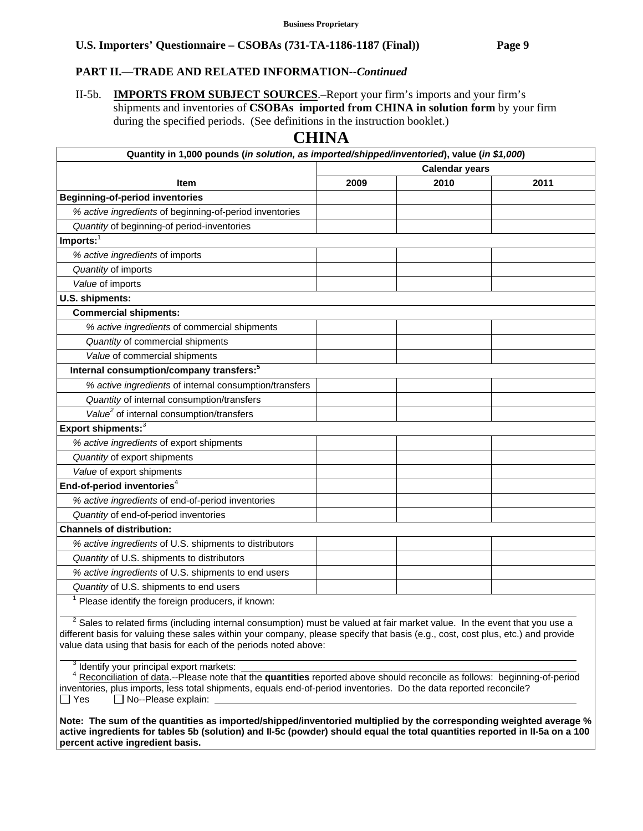## **PART II.—TRADE AND RELATED INFORMATION***--Continued*

II-5b. **IMPORTS FROM SUBJECT SOURCES**.–Report your firm's imports and your firm's shipments and inventories of **CSOBAs imported from CHINA in solution form** by your firm during the specified periods. (See definitions in the instruction booklet.)

# **CHINA**

| Quantity in 1,000 pounds (in solution, as imported/shipped/inventoried), value (in \$1,000)                                  |                       |      |      |  |
|------------------------------------------------------------------------------------------------------------------------------|-----------------------|------|------|--|
|                                                                                                                              | <b>Calendar years</b> |      |      |  |
| <b>Item</b>                                                                                                                  | 2009                  | 2010 | 2011 |  |
| <b>Beginning-of-period inventories</b>                                                                                       |                       |      |      |  |
| % active ingredients of beginning-of-period inventories                                                                      |                       |      |      |  |
| Quantity of beginning-of period-inventories                                                                                  |                       |      |      |  |
| $Imports:$ <sup>1</sup>                                                                                                      |                       |      |      |  |
| % active ingredients of imports                                                                                              |                       |      |      |  |
| Quantity of imports                                                                                                          |                       |      |      |  |
| Value of imports                                                                                                             |                       |      |      |  |
| U.S. shipments:                                                                                                              |                       |      |      |  |
| <b>Commercial shipments:</b>                                                                                                 |                       |      |      |  |
| % active ingredients of commercial shipments                                                                                 |                       |      |      |  |
| Quantity of commercial shipments                                                                                             |                       |      |      |  |
| Value of commercial shipments                                                                                                |                       |      |      |  |
| Internal consumption/company transfers: <sup>5</sup>                                                                         |                       |      |      |  |
| % active ingredients of internal consumption/transfers                                                                       |                       |      |      |  |
| Quantity of internal consumption/transfers                                                                                   |                       |      |      |  |
| Value <sup>2</sup> of internal consumption/transfers                                                                         |                       |      |      |  |
| Export shipments: $3$                                                                                                        |                       |      |      |  |
| % active ingredients of export shipments                                                                                     |                       |      |      |  |
| Quantity of export shipments                                                                                                 |                       |      |      |  |
| Value of export shipments                                                                                                    |                       |      |      |  |
| End-of-period inventories <sup>4</sup>                                                                                       |                       |      |      |  |
| % active ingredients of end-of-period inventories                                                                            |                       |      |      |  |
| Quantity of end-of-period inventories                                                                                        |                       |      |      |  |
| <b>Channels of distribution:</b>                                                                                             |                       |      |      |  |
| % active ingredients of U.S. shipments to distributors                                                                       |                       |      |      |  |
| Quantity of U.S. shipments to distributors                                                                                   |                       |      |      |  |
| % active ingredients of U.S. shipments to end users                                                                          |                       |      |      |  |
| Quantity of U.S. shipments to end users                                                                                      |                       |      |      |  |
| Please identify the foreign producers, if known:                                                                             |                       |      |      |  |
| $2$ Sales to related firms (including internal consumption) must be valued at fair market value. In the event that you use a |                       |      |      |  |

 Sales to related firms (including internal consumption) must be valued at fair market value. In the event that you use a different basis for valuing these sales within your company, please specify that basis (e.g., cost, cost plus, etc.) and provide value data using that basis for each of the periods noted above:

<sup>3</sup> Identify your principal export markets:

 $\overline{a}$ 

 <sup>4</sup> Reconciliation of data.--Please note that the **quantities** reported above should reconcile as follows: beginning-of-period inventories, plus imports, less total shipments, equals end-of-period inventories. Do the data reported reconcile?  $\Box$  Yes  $\Box$  No--Please explain:

**Note: The sum of the quantities as imported/shipped/inventoried multiplied by the corresponding weighted average % active ingredients for tables 5b (solution) and II-5c (powder) should equal the total quantities reported in II-5a on a 100 percent active ingredient basis.**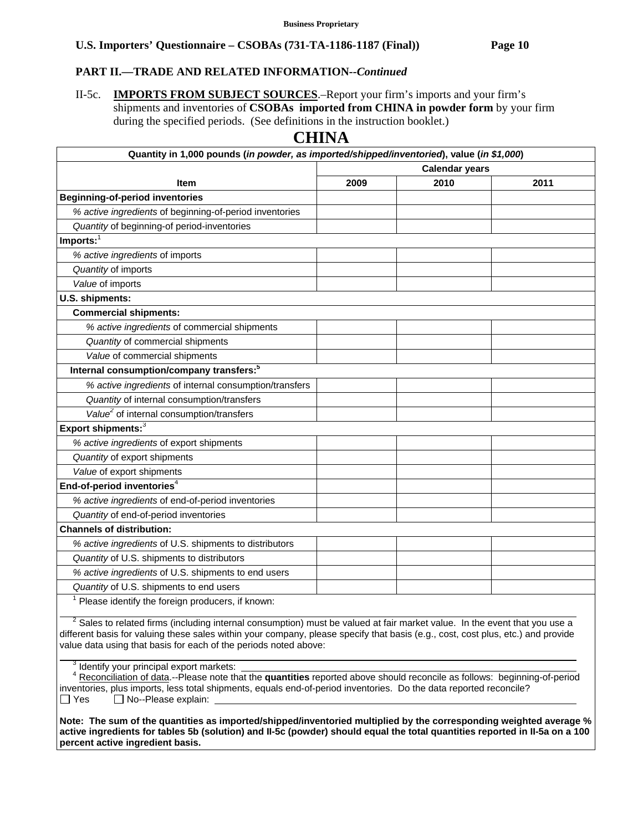## **PART II.—TRADE AND RELATED INFORMATION***--Continued*

II-5c. **IMPORTS FROM SUBJECT SOURCES**.–Report your firm's imports and your firm's shipments and inventories of **CSOBAs imported from CHINA in powder form** by your firm during the specified periods. (See definitions in the instruction booklet.)

# **CHINA**

| Quantity in 1,000 pounds (in powder, as imported/shipped/inventoried), value (in \$1,000)                                    |                       |      |      |  |
|------------------------------------------------------------------------------------------------------------------------------|-----------------------|------|------|--|
|                                                                                                                              | <b>Calendar years</b> |      |      |  |
| <b>Item</b>                                                                                                                  | 2009                  | 2010 | 2011 |  |
| <b>Beginning-of-period inventories</b>                                                                                       |                       |      |      |  |
| % active ingredients of beginning-of-period inventories                                                                      |                       |      |      |  |
| Quantity of beginning-of period-inventories                                                                                  |                       |      |      |  |
| $Imports:$ <sup>1</sup>                                                                                                      |                       |      |      |  |
| % active ingredients of imports                                                                                              |                       |      |      |  |
| Quantity of imports                                                                                                          |                       |      |      |  |
| Value of imports                                                                                                             |                       |      |      |  |
| U.S. shipments:                                                                                                              |                       |      |      |  |
| <b>Commercial shipments:</b>                                                                                                 |                       |      |      |  |
| % active ingredients of commercial shipments                                                                                 |                       |      |      |  |
| Quantity of commercial shipments                                                                                             |                       |      |      |  |
| Value of commercial shipments                                                                                                |                       |      |      |  |
| Internal consumption/company transfers: <sup>5</sup>                                                                         |                       |      |      |  |
| % active ingredients of internal consumption/transfers                                                                       |                       |      |      |  |
| Quantity of internal consumption/transfers                                                                                   |                       |      |      |  |
| Value <sup>2</sup> of internal consumption/transfers                                                                         |                       |      |      |  |
| Export shipments: <sup>3</sup>                                                                                               |                       |      |      |  |
| % active ingredients of export shipments                                                                                     |                       |      |      |  |
| Quantity of export shipments                                                                                                 |                       |      |      |  |
| Value of export shipments                                                                                                    |                       |      |      |  |
| End-of-period inventories <sup>4</sup>                                                                                       |                       |      |      |  |
| % active ingredients of end-of-period inventories                                                                            |                       |      |      |  |
| Quantity of end-of-period inventories                                                                                        |                       |      |      |  |
| <b>Channels of distribution:</b>                                                                                             |                       |      |      |  |
| % active ingredients of U.S. shipments to distributors                                                                       |                       |      |      |  |
| Quantity of U.S. shipments to distributors                                                                                   |                       |      |      |  |
| % active ingredients of U.S. shipments to end users                                                                          |                       |      |      |  |
| Quantity of U.S. shipments to end users                                                                                      |                       |      |      |  |
| Please identify the foreign producers, if known:                                                                             |                       |      |      |  |
| $2$ Sales to related firms (including internal consumption) must be valued at fair market value. In the event that you use a |                       |      |      |  |

 Sales to related firms (including internal consumption) must be valued at fair market value. In the event that you use a different basis for valuing these sales within your company, please specify that basis (e.g., cost, cost plus, etc.) and provide value data using that basis for each of the periods noted above:  $\overline{a}$ 

<sup>3</sup> Identify your principal export markets:

 <sup>4</sup> Reconciliation of data.--Please note that the **quantities** reported above should reconcile as follows: beginning-of-period inventories, plus imports, less total shipments, equals end-of-period inventories. Do the data reported reconcile?  $\Box$  Yes  $\Box$  No--Please explain:

**Note: The sum of the quantities as imported/shipped/inventoried multiplied by the corresponding weighted average % active ingredients for tables 5b (solution) and II-5c (powder) should equal the total quantities reported in II-5a on a 100 percent active ingredient basis.**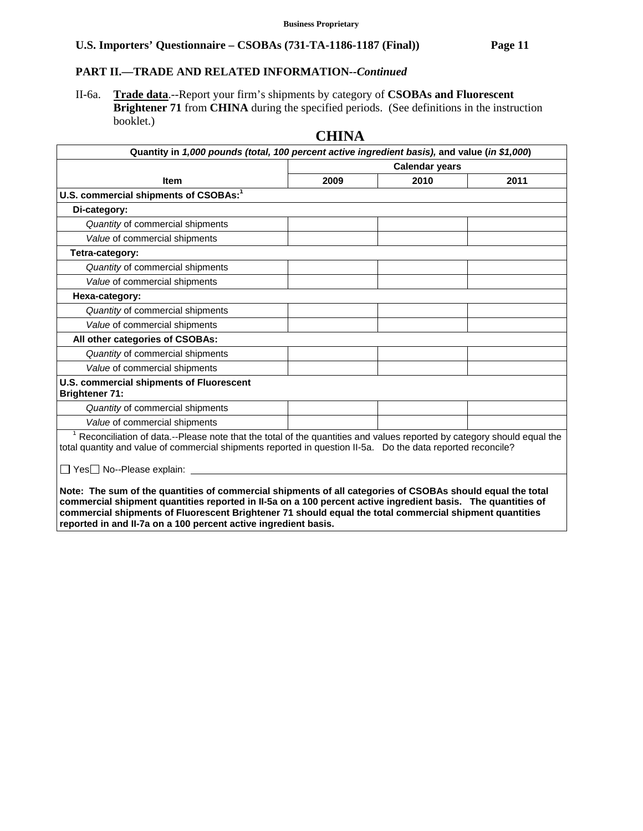# **PART II.—TRADE AND RELATED INFORMATION***--Continued*

II-6a. **Trade data**.--Report your firm's shipments by category of **CSOBAs and Fluorescent Brightener 71** from **CHINA** during the specified periods. (See definitions in the instruction booklet.)

# **CHINA**

| Quantity in 1,000 pounds (total, 100 percent active ingredient basis), and value (in \$1,000)                                                                                                                                                                                                                                                                                                            |                       |      |      |  |
|----------------------------------------------------------------------------------------------------------------------------------------------------------------------------------------------------------------------------------------------------------------------------------------------------------------------------------------------------------------------------------------------------------|-----------------------|------|------|--|
|                                                                                                                                                                                                                                                                                                                                                                                                          | <b>Calendar years</b> |      |      |  |
| <b>Item</b>                                                                                                                                                                                                                                                                                                                                                                                              | 2009                  | 2010 | 2011 |  |
| U.S. commercial shipments of CSOBAs:1                                                                                                                                                                                                                                                                                                                                                                    |                       |      |      |  |
| Di-category:                                                                                                                                                                                                                                                                                                                                                                                             |                       |      |      |  |
| Quantity of commercial shipments                                                                                                                                                                                                                                                                                                                                                                         |                       |      |      |  |
| Value of commercial shipments                                                                                                                                                                                                                                                                                                                                                                            |                       |      |      |  |
| Tetra-category:                                                                                                                                                                                                                                                                                                                                                                                          |                       |      |      |  |
| Quantity of commercial shipments                                                                                                                                                                                                                                                                                                                                                                         |                       |      |      |  |
| Value of commercial shipments                                                                                                                                                                                                                                                                                                                                                                            |                       |      |      |  |
| Hexa-category:                                                                                                                                                                                                                                                                                                                                                                                           |                       |      |      |  |
| Quantity of commercial shipments                                                                                                                                                                                                                                                                                                                                                                         |                       |      |      |  |
| Value of commercial shipments                                                                                                                                                                                                                                                                                                                                                                            |                       |      |      |  |
| All other categories of CSOBAs:                                                                                                                                                                                                                                                                                                                                                                          |                       |      |      |  |
| Quantity of commercial shipments                                                                                                                                                                                                                                                                                                                                                                         |                       |      |      |  |
| Value of commercial shipments                                                                                                                                                                                                                                                                                                                                                                            |                       |      |      |  |
| <b>U.S. commercial shipments of Fluorescent</b><br><b>Brightener 71:</b>                                                                                                                                                                                                                                                                                                                                 |                       |      |      |  |
| Quantity of commercial shipments                                                                                                                                                                                                                                                                                                                                                                         |                       |      |      |  |
| Value of commercial shipments                                                                                                                                                                                                                                                                                                                                                                            |                       |      |      |  |
| $1$ Reconciliation of data.--Please note that the total of the quantities and values reported by category should equal the<br>total quantity and value of commercial shipments reported in question II-5a. Do the data reported reconcile?<br>□ Yes□ No--Please explain: _                                                                                                                               |                       |      |      |  |
| Note: The sum of the quantities of commercial shipments of all categories of CSOBAs should equal the total<br>commercial shipment quantities reported in II-5a on a 100 percent active ingredient basis. The quantities of<br>commercial shipments of Fluorescent Brightener 71 should equal the total commercial shipment quantities<br>reported in and II-7a on a 100 percent active ingredient basis. |                       |      |      |  |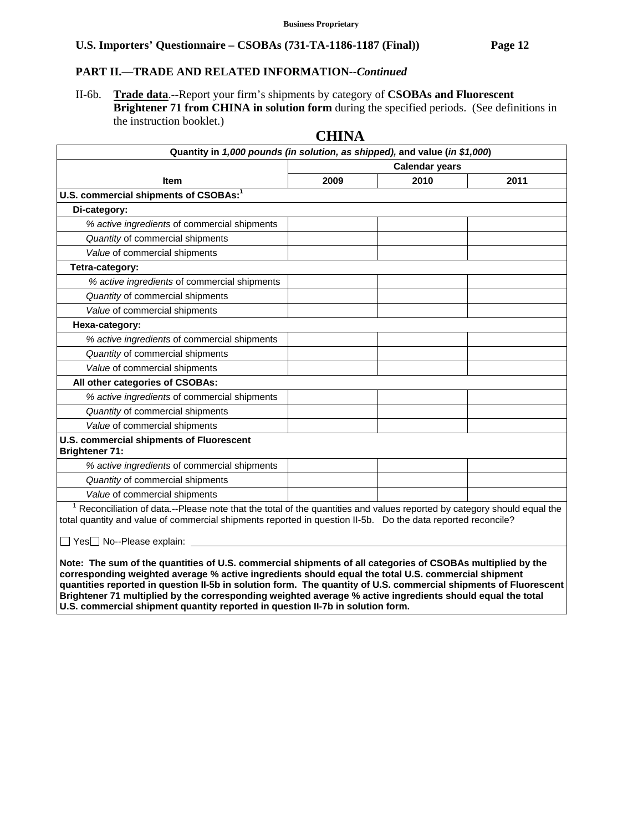### **PART II.—TRADE AND RELATED INFORMATION***--Continued*

II-6b. **Trade data**.--Report your firm's shipments by category of **CSOBAs and Fluorescent Brightener 71 from CHINA in solution form** during the specified periods. (See definitions in the instruction booklet.)

# **Quantity in** *1,000 pounds (in solution, as shipped),* **and value (***in \$1,000***) Item Calendar years 2009 2010 2011** U.S. commercial shipments of CSOBAs:<sup>1</sup>  **Di-category:**  *% active ingredients* of commercial shipments *Quantity* of commercial shipments *Value* of commercial shipments  **Tetra-category:**  *% active ingredients* of commercial shipments *Quantity* of commercial shipments *Value* of commercial shipments  **Hexa-category:**  *% active ingredients* of commercial shipments *Quantity* of commercial shipments *Value* of commercial shipments  **All other categories of CSOBAs:**  *% active ingredients* of commercial shipments *Quantity* of commercial shipments *Value* of commercial shipments **U.S. commercial shipments of Fluorescent Brightener 71:** *% active ingredients* of commercial shipments *Quantity* of commercial shipments *Value* of commercial shipments  $\overline{1}$  Reconciliation of data.--Please note that the total of the quantities and values reported by category should equal the total quantity and value of commercial shipments reported in question II-5b. Do the data reported reconcile?  $\Box$  Yes $\Box$  No--Please explain:

**CHINA** 

**Note: The sum of the quantities of U.S. commercial shipments of all categories of CSOBAs multiplied by the corresponding weighted average % active ingredients should equal the total U.S. commercial shipment quantities reported in question II-5b in solution form. The quantity of U.S. commercial shipments of Fluorescent Brightener 71 multiplied by the corresponding weighted average % active ingredients should equal the total U.S. commercial shipment quantity reported in question II-7b in solution form.**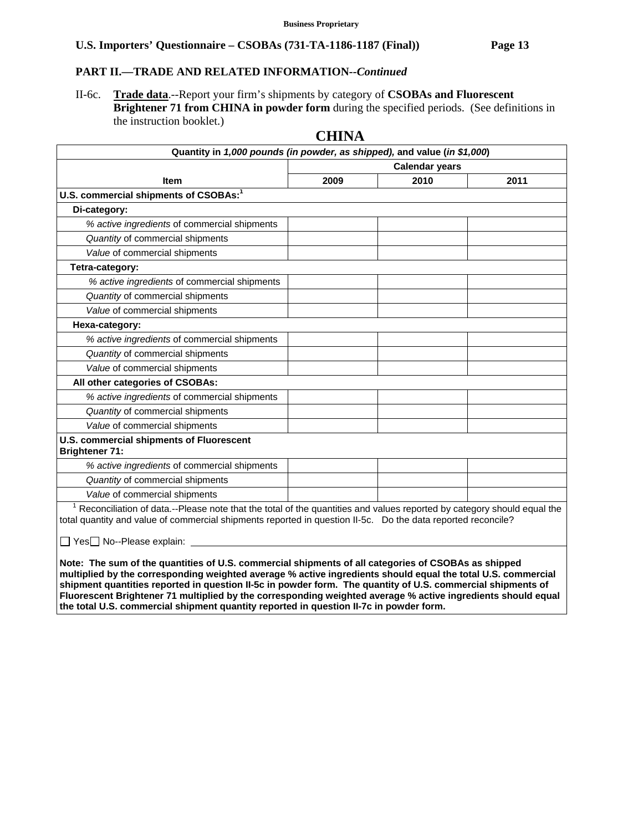### **PART II.—TRADE AND RELATED INFORMATION***--Continued*

II-6c. **Trade data**.--Report your firm's shipments by category of **CSOBAs and Fluorescent Brightener 71 from CHINA in powder form** during the specified periods. (See definitions in the instruction booklet.)

### **Quantity in** *1,000 pounds (in powder, as shipped),* **and value (***in \$1,000***) Item Calendar years 2009 2010 2011** U.S. commercial shipments of CSOBAs:<sup>1</sup>  **Di-category:**  *% active ingredients* of commercial shipments *Quantity* of commercial shipments *Value* of commercial shipments  **Tetra-category:**  *% active ingredients* of commercial shipments *Quantity* of commercial shipments *Value* of commercial shipments  **Hexa-category:**  *% active ingredients* of commercial shipments *Quantity* of commercial shipments *Value* of commercial shipments  **All other categories of CSOBAs:**  *% active ingredients* of commercial shipments *Quantity* of commercial shipments *Value* of commercial shipments **U.S. commercial shipments of Fluorescent Brightener 71:** *% active ingredients* of commercial shipments *Quantity* of commercial shipments *Value* of commercial shipments  $\overline{1}$  Reconciliation of data.--Please note that the total of the quantities and values reported by category should equal the total quantity and value of commercial shipments reported in question II-5c. Do the data reported reconcile?  $\Box$  Yes $\Box$  No--Please explain:

**CHINA** 

**Note: The sum of the quantities of U.S. commercial shipments of all categories of CSOBAs as shipped multiplied by the corresponding weighted average % active ingredients should equal the total U.S. commercial shipment quantities reported in question II-5c in powder form. The quantity of U.S. commercial shipments of Fluorescent Brightener 71 multiplied by the corresponding weighted average % active ingredients should equal the total U.S. commercial shipment quantity reported in question II-7c in powder form.**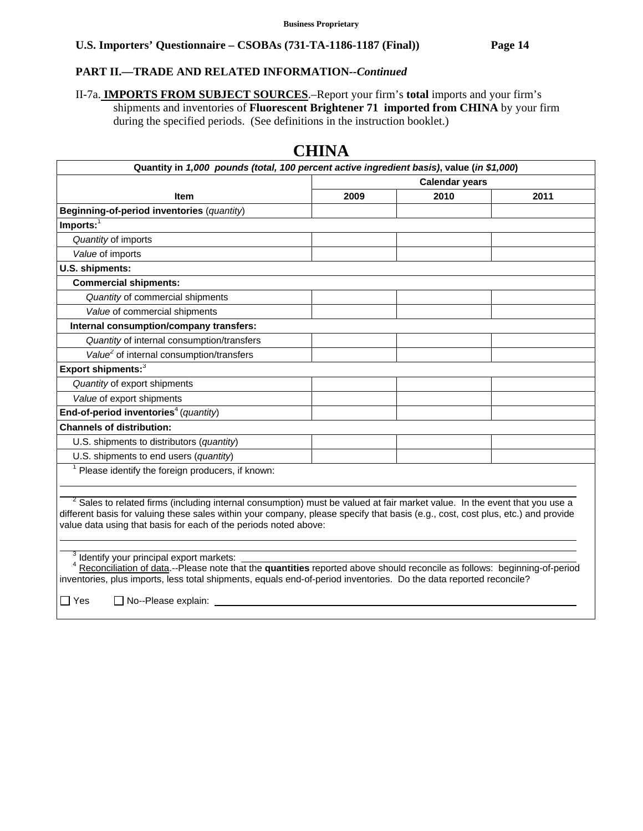### **PART II.—TRADE AND RELATED INFORMATION***--Continued*

II-7a. **IMPORTS FROM SUBJECT SOURCES**.–Report your firm's **total** imports and your firm's shipments and inventories of **Fluorescent Brightener 71 imported from CHINA** by your firm during the specified periods. (See definitions in the instruction booklet.)

| Quantity in 1,000 pounds (total, 100 percent active ingredient basis), value (in \$1,000)                                                                           |                       |      |      |
|---------------------------------------------------------------------------------------------------------------------------------------------------------------------|-----------------------|------|------|
|                                                                                                                                                                     | <b>Calendar years</b> |      |      |
| <b>Item</b>                                                                                                                                                         | 2009                  | 2010 | 2011 |
| Beginning-of-period inventories (quantity)                                                                                                                          |                       |      |      |
| $Imports:$ <sup>1</sup>                                                                                                                                             |                       |      |      |
| Quantity of imports                                                                                                                                                 |                       |      |      |
| Value of imports                                                                                                                                                    |                       |      |      |
| U.S. shipments:                                                                                                                                                     |                       |      |      |
| <b>Commercial shipments:</b>                                                                                                                                        |                       |      |      |
| Quantity of commercial shipments                                                                                                                                    |                       |      |      |
| Value of commercial shipments                                                                                                                                       |                       |      |      |
| Internal consumption/company transfers:                                                                                                                             |                       |      |      |
| Quantity of internal consumption/transfers                                                                                                                          |                       |      |      |
| Value <sup>2</sup> of internal consumption/transfers                                                                                                                |                       |      |      |
| Export shipments: <sup>3</sup>                                                                                                                                      |                       |      |      |
| Quantity of export shipments                                                                                                                                        |                       |      |      |
| Value of export shipments                                                                                                                                           |                       |      |      |
| End-of-period inventories <sup>4</sup> (quantity)                                                                                                                   |                       |      |      |
| <b>Channels of distribution:</b>                                                                                                                                    |                       |      |      |
| U.S. shipments to distributors (quantity)                                                                                                                           |                       |      |      |
| U.S. shipments to end users (quantity)                                                                                                                              |                       |      |      |
| Please identify the foreign producers, if known:                                                                                                                    |                       |      |      |
|                                                                                                                                                                     |                       |      |      |
| <sup>2</sup> Sales to related firms (including internal consumption) must be valued at fair market value. In the event that you use a                               |                       |      |      |
| different basis for valuing these sales within your company, please specify that basis (e.g., cost, cost plus, etc.) and provide                                    |                       |      |      |
| value data using that basis for each of the periods noted above:                                                                                                    |                       |      |      |
|                                                                                                                                                                     |                       |      |      |
|                                                                                                                                                                     |                       |      |      |
| Identify your principal export markets:<br>Reconciliation of data.--Please note that the quantities reported above should reconcile as follows: beginning-of-period |                       |      |      |

# **CHINA**

<u>lata</u>.--Please note that the **quantities** reported above should reconcile as follows: beginning-of-period inventories, plus imports, less total shipments, equals end-of-period inventories. Do the data reported reconcile?

 $\Box$  Yes  $\Box$  No--Please explain: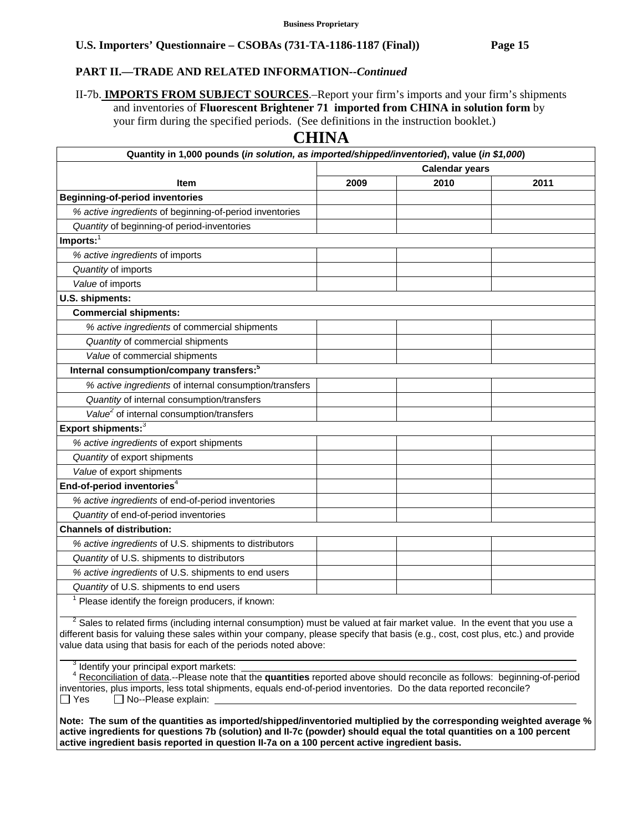### **PART II.—TRADE AND RELATED INFORMATION***--Continued*

II-7b. **IMPORTS FROM SUBJECT SOURCES**.–Report your firm's imports and your firm's shipments and inventories of **Fluorescent Brightener 71 imported from CHINA in solution form** by your firm during the specified periods. (See definitions in the instruction booklet.)

# **CHINA**

| Quantity in 1,000 pounds (in solution, as imported/shipped/inventoried), value (in \$1,000)                                                                                       |                       |      |      |
|-----------------------------------------------------------------------------------------------------------------------------------------------------------------------------------|-----------------------|------|------|
|                                                                                                                                                                                   | <b>Calendar years</b> |      |      |
| <b>Item</b>                                                                                                                                                                       | 2009                  | 2010 | 2011 |
| <b>Beginning-of-period inventories</b>                                                                                                                                            |                       |      |      |
| % active ingredients of beginning-of-period inventories                                                                                                                           |                       |      |      |
| Quantity of beginning-of period-inventories                                                                                                                                       |                       |      |      |
| Imports:                                                                                                                                                                          |                       |      |      |
| % active ingredients of imports                                                                                                                                                   |                       |      |      |
| Quantity of imports                                                                                                                                                               |                       |      |      |
| Value of imports                                                                                                                                                                  |                       |      |      |
| U.S. shipments:                                                                                                                                                                   |                       |      |      |
| <b>Commercial shipments:</b>                                                                                                                                                      |                       |      |      |
| % active ingredients of commercial shipments                                                                                                                                      |                       |      |      |
| Quantity of commercial shipments                                                                                                                                                  |                       |      |      |
| Value of commercial shipments                                                                                                                                                     |                       |      |      |
| Internal consumption/company transfers: <sup>5</sup>                                                                                                                              |                       |      |      |
| % active ingredients of internal consumption/transfers                                                                                                                            |                       |      |      |
| Quantity of internal consumption/transfers                                                                                                                                        |                       |      |      |
| Value <sup>2</sup> of internal consumption/transfers                                                                                                                              |                       |      |      |
| Export shipments: <sup>3</sup>                                                                                                                                                    |                       |      |      |
| % active ingredients of export shipments                                                                                                                                          |                       |      |      |
| Quantity of export shipments                                                                                                                                                      |                       |      |      |
| Value of export shipments                                                                                                                                                         |                       |      |      |
| End-of-period inventories <sup>4</sup>                                                                                                                                            |                       |      |      |
| % active ingredients of end-of-period inventories                                                                                                                                 |                       |      |      |
| Quantity of end-of-period inventories                                                                                                                                             |                       |      |      |
| <b>Channels of distribution:</b>                                                                                                                                                  |                       |      |      |
| % active ingredients of U.S. shipments to distributors                                                                                                                            |                       |      |      |
| Quantity of U.S. shipments to distributors                                                                                                                                        |                       |      |      |
| % active ingredients of U.S. shipments to end users                                                                                                                               |                       |      |      |
| Quantity of U.S. shipments to end users                                                                                                                                           |                       |      |      |
| Please identify the foreign producers, if known:<br>$^2$ Sales to related firms (including internal consumption) must be valued at fair market value. In the event that you use a |                       |      |      |

 <sup>2</sup> related firms (including internal consumption) must be valued at fair market value. In the event that you use a different basis for valuing these sales within your company, please specify that basis (e.g., cost, cost plus, etc.) and provide value data using that basis for each of the periods noted above:

<sup>3</sup> Identify your principal export markets:

 $\overline{a}$ 

 <sup>4</sup> Reconciliation of data.--Please note that the **quantities** reported above should reconcile as follows: beginning-of-period inventories, plus imports, less total shipments, equals end-of-period inventories. Do the data reported reconcile?  $\Box$  Yes  $\Box$  No--Please explain:

**Note: The sum of the quantities as imported/shipped/inventoried multiplied by the corresponding weighted average % active ingredients for questions 7b (solution) and II-7c (powder) should equal the total quantities on a 100 percent active ingredient basis reported in question II-7a on a 100 percent active ingredient basis.**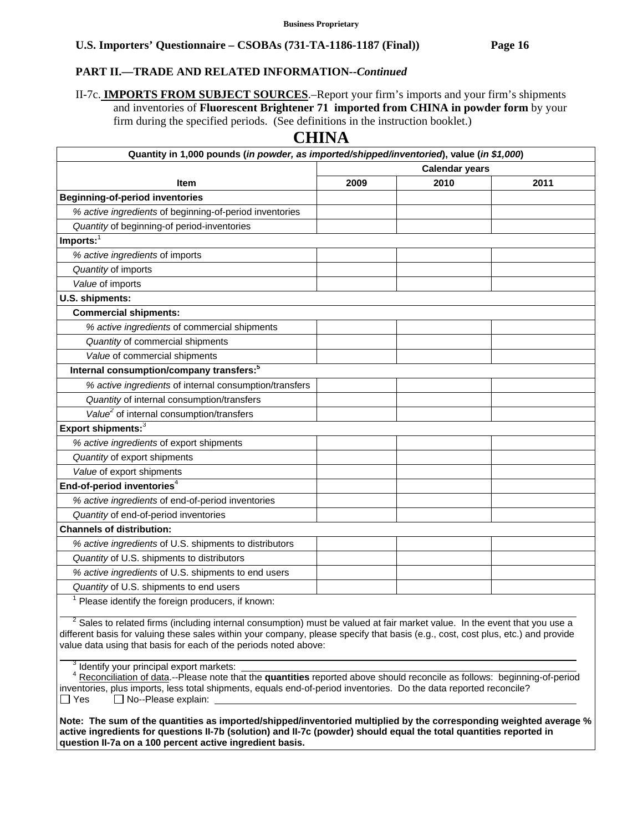### **PART II.—TRADE AND RELATED INFORMATION***--Continued*

II-7c. **IMPORTS FROM SUBJECT SOURCES**.–Report your firm's imports and your firm's shipments and inventories of **Fluorescent Brightener 71 imported from CHINA in powder form** by your firm during the specified periods. (See definitions in the instruction booklet.)

# **CHINA**

| Quantity in 1,000 pounds (in powder, as imported/shipped/inventoried), value (in \$1,000)                                                                                         |                       |      |      |
|-----------------------------------------------------------------------------------------------------------------------------------------------------------------------------------|-----------------------|------|------|
|                                                                                                                                                                                   | <b>Calendar years</b> |      |      |
| <b>Item</b>                                                                                                                                                                       | 2009                  | 2010 | 2011 |
| <b>Beginning-of-period inventories</b>                                                                                                                                            |                       |      |      |
| % active ingredients of beginning-of-period inventories                                                                                                                           |                       |      |      |
| Quantity of beginning-of period-inventories                                                                                                                                       |                       |      |      |
| $Imports:$ <sup>1</sup>                                                                                                                                                           |                       |      |      |
| % active ingredients of imports                                                                                                                                                   |                       |      |      |
| Quantity of imports                                                                                                                                                               |                       |      |      |
| Value of imports                                                                                                                                                                  |                       |      |      |
| U.S. shipments:                                                                                                                                                                   |                       |      |      |
| <b>Commercial shipments:</b>                                                                                                                                                      |                       |      |      |
| % active ingredients of commercial shipments                                                                                                                                      |                       |      |      |
| Quantity of commercial shipments                                                                                                                                                  |                       |      |      |
| Value of commercial shipments                                                                                                                                                     |                       |      |      |
| Internal consumption/company transfers: <sup>5</sup>                                                                                                                              |                       |      |      |
| % active ingredients of internal consumption/transfers                                                                                                                            |                       |      |      |
| Quantity of internal consumption/transfers                                                                                                                                        |                       |      |      |
| Value <sup>2</sup> of internal consumption/transfers                                                                                                                              |                       |      |      |
| Export shipments: <sup>3</sup>                                                                                                                                                    |                       |      |      |
| % active ingredients of export shipments                                                                                                                                          |                       |      |      |
| Quantity of export shipments                                                                                                                                                      |                       |      |      |
| Value of export shipments                                                                                                                                                         |                       |      |      |
| End-of-period inventories <sup>4</sup>                                                                                                                                            |                       |      |      |
| % active ingredients of end-of-period inventories                                                                                                                                 |                       |      |      |
| Quantity of end-of-period inventories                                                                                                                                             |                       |      |      |
| <b>Channels of distribution:</b>                                                                                                                                                  |                       |      |      |
| % active ingredients of U.S. shipments to distributors                                                                                                                            |                       |      |      |
| Quantity of U.S. shipments to distributors                                                                                                                                        |                       |      |      |
| % active ingredients of U.S. shipments to end users                                                                                                                               |                       |      |      |
| Quantity of U.S. shipments to end users                                                                                                                                           |                       |      |      |
| Please identify the foreign producers, if known:<br>$^2$ Calge to related firms (including internal consumption) must be valued at fair market value. In the event that you use a |                       |      |      |

 <sup>2</sup> related firms (including internal consumption) must be valued at fair market value. In the event that you use a different basis for valuing these sales within your company, please specify that basis (e.g., cost, cost plus, etc.) and provide value data using that basis for each of the periods noted above:

<sup>3</sup> Identify your principal export markets:

 $\overline{a}$ 

 <sup>4</sup> Reconciliation of data.--Please note that the **quantities** reported above should reconcile as follows: beginning-of-period inventories, plus imports, less total shipments, equals end-of-period inventories. Do the data reported reconcile?  $\Box$  Yes  $\Box$  No--Please explain:

**Note: The sum of the quantities as imported/shipped/inventoried multiplied by the corresponding weighted average % active ingredients for questions II-7b (solution) and II-7c (powder) should equal the total quantities reported in question II-7a on a 100 percent active ingredient basis.**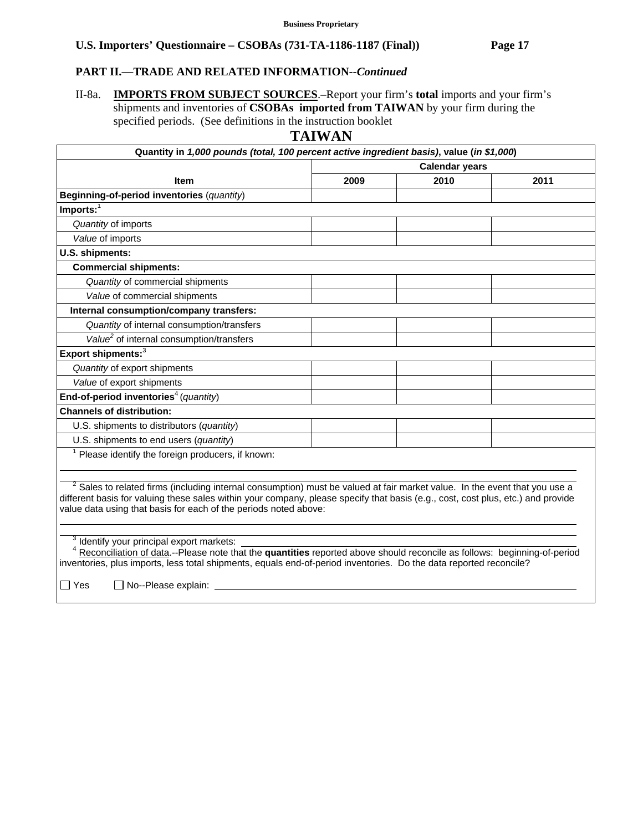# **PART II.—TRADE AND RELATED INFORMATION***--Continued*

II-8a. **IMPORTS FROM SUBJECT SOURCES**.–Report your firm's **total** imports and your firm's shipments and inventories of **CSOBAs imported from TAIWAN** by your firm during the specified periods. (See definitions in the instruction booklet

# **TAIWAN**

| Quantity in 1,000 pounds (total, 100 percent active ingredient basis), value (in \$1,000)                                                                                                                                                                                 |                       |      |      |
|---------------------------------------------------------------------------------------------------------------------------------------------------------------------------------------------------------------------------------------------------------------------------|-----------------------|------|------|
|                                                                                                                                                                                                                                                                           | <b>Calendar years</b> |      |      |
| Item                                                                                                                                                                                                                                                                      | 2009                  | 2010 | 2011 |
| Beginning-of-period inventories (quantity)                                                                                                                                                                                                                                |                       |      |      |
| Imports:                                                                                                                                                                                                                                                                  |                       |      |      |
| Quantity of imports                                                                                                                                                                                                                                                       |                       |      |      |
| Value of imports                                                                                                                                                                                                                                                          |                       |      |      |
| U.S. shipments:                                                                                                                                                                                                                                                           |                       |      |      |
| <b>Commercial shipments:</b>                                                                                                                                                                                                                                              |                       |      |      |
| Quantity of commercial shipments                                                                                                                                                                                                                                          |                       |      |      |
| Value of commercial shipments                                                                                                                                                                                                                                             |                       |      |      |
| Internal consumption/company transfers:                                                                                                                                                                                                                                   |                       |      |      |
| Quantity of internal consumption/transfers                                                                                                                                                                                                                                |                       |      |      |
| Value <sup>2</sup> of internal consumption/transfers                                                                                                                                                                                                                      |                       |      |      |
| Export shipments: <sup>3</sup>                                                                                                                                                                                                                                            |                       |      |      |
| Quantity of export shipments                                                                                                                                                                                                                                              |                       |      |      |
| Value of export shipments                                                                                                                                                                                                                                                 |                       |      |      |
| End-of-period inventories <sup>4</sup> (quantity)                                                                                                                                                                                                                         |                       |      |      |
| <b>Channels of distribution:</b>                                                                                                                                                                                                                                          |                       |      |      |
| U.S. shipments to distributors (quantity)                                                                                                                                                                                                                                 |                       |      |      |
| U.S. shipments to end users (quantity)                                                                                                                                                                                                                                    |                       |      |      |
| Please identify the foreign producers, if known:                                                                                                                                                                                                                          |                       |      |      |
| <sup>2</sup> Sales to related firms (including internal consumption) must be valued at fair market value. In the event that you use a<br>different basis for valuing these sales within your company, please specify that basis (e.g., cost, cost plus, etc.) and provide |                       |      |      |
| value data using that basis for each of the periods noted above:                                                                                                                                                                                                          |                       |      |      |
|                                                                                                                                                                                                                                                                           |                       |      |      |
| Identify your principal export markets:<br>Reconciliation of data.--Please note that the quantities reported above should reconcile as follows: beginning-of-period                                                                                                       |                       |      |      |

inventories, plus imports, less total shipments, equals end-of-period inventories. Do the data reported reconcile?

□ Yes □ No--Please explain: \_\_\_\_\_\_\_\_\_\_\_\_\_\_\_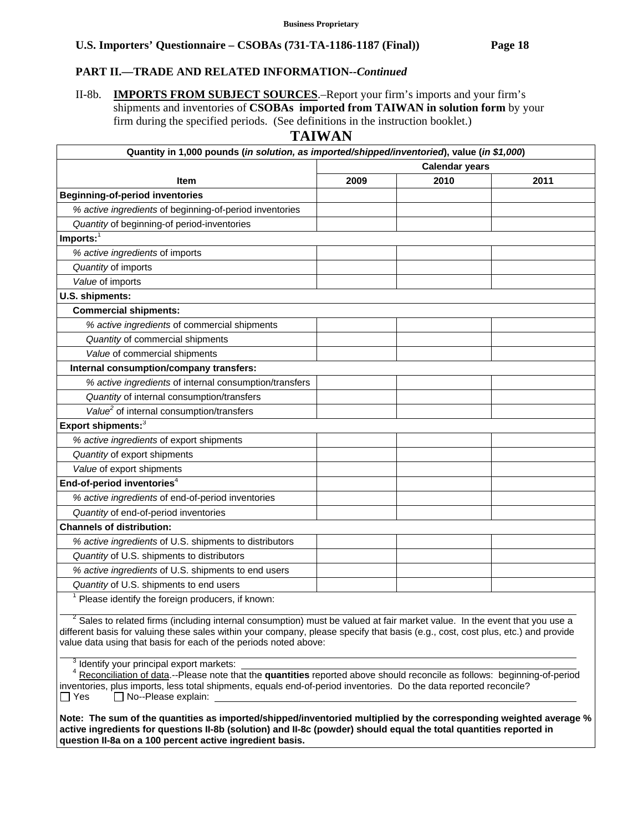# **PART II.—TRADE AND RELATED INFORMATION***--Continued*

# II-8b. **IMPORTS FROM SUBJECT SOURCES**.–Report your firm's imports and your firm's shipments and inventories of **CSOBAs imported from TAIWAN in solution form** by your firm during the specified periods. (See definitions in the instruction booklet.)

### **TAIWAN**

| Quantity in 1,000 pounds (in solution, as imported/shipped/inventoried), value (in \$1,000) |                       |      |      |  |
|---------------------------------------------------------------------------------------------|-----------------------|------|------|--|
|                                                                                             | <b>Calendar years</b> |      |      |  |
| <b>Item</b>                                                                                 | 2009                  | 2010 | 2011 |  |
| <b>Beginning-of-period inventories</b>                                                      |                       |      |      |  |
| % active ingredients of beginning-of-period inventories                                     |                       |      |      |  |
| Quantity of beginning-of period-inventories                                                 |                       |      |      |  |
| Imports: $1$                                                                                |                       |      |      |  |
| % active ingredients of imports                                                             |                       |      |      |  |
| Quantity of imports                                                                         |                       |      |      |  |
| Value of imports                                                                            |                       |      |      |  |
| U.S. shipments:                                                                             |                       |      |      |  |
| <b>Commercial shipments:</b>                                                                |                       |      |      |  |
| % active ingredients of commercial shipments                                                |                       |      |      |  |
| Quantity of commercial shipments                                                            |                       |      |      |  |
| Value of commercial shipments                                                               |                       |      |      |  |
| Internal consumption/company transfers:                                                     |                       |      |      |  |
| % active ingredients of internal consumption/transfers                                      |                       |      |      |  |
| Quantity of internal consumption/transfers                                                  |                       |      |      |  |
| Value <sup>2</sup> of internal consumption/transfers                                        |                       |      |      |  |
| Export shipments: <sup>3</sup>                                                              |                       |      |      |  |
| % active ingredients of export shipments                                                    |                       |      |      |  |
| Quantity of export shipments                                                                |                       |      |      |  |
| Value of export shipments                                                                   |                       |      |      |  |
| End-of-period inventories <sup>4</sup>                                                      |                       |      |      |  |
| % active ingredients of end-of-period inventories                                           |                       |      |      |  |
| Quantity of end-of-period inventories                                                       |                       |      |      |  |
| <b>Channels of distribution:</b>                                                            |                       |      |      |  |
| % active ingredients of U.S. shipments to distributors                                      |                       |      |      |  |
| Quantity of U.S. shipments to distributors                                                  |                       |      |      |  |
| % active ingredients of U.S. shipments to end users                                         |                       |      |      |  |
| Quantity of U.S. shipments to end users                                                     |                       |      |      |  |
| $1$ Please identify the foreign producers, if known:                                        |                       |      |      |  |
|                                                                                             |                       |      |      |  |

 $2$  Sales to related firms (including internal consumption) must be valued at fair market value. In the event that you use a different basis for valuing these sales within your company, please specify that basis (e.g., cost, cost plus, etc.) and provide value data using that basis for each of the periods noted above:

 $\frac{3}{2}$  $\beta$  Identify your principal export markets:

 $\overline{a}$ 

 <sup>4</sup> Reconciliation of data.--Please note that the **quantities** reported above should reconcile as follows: beginning-of-period inventories, plus imports, less total shipments, equals end-of-period inventories. Do the data reported reconcile?  $\Box$  Yes  $\Box$  No--Please explain:

**Note: The sum of the quantities as imported/shipped/inventoried multiplied by the corresponding weighted average % active ingredients for questions II-8b (solution) and II-8c (powder) should equal the total quantities reported in question II-8a on a 100 percent active ingredient basis.**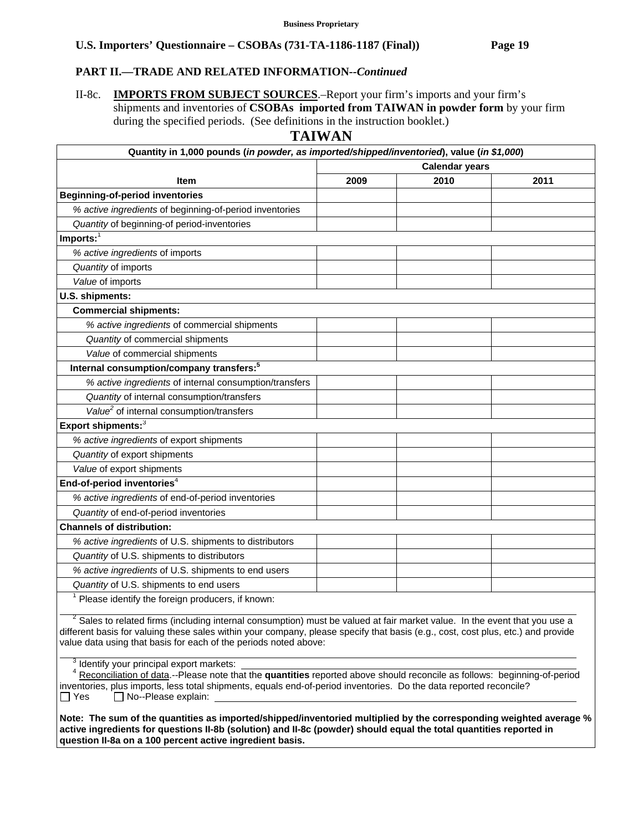# **PART II.—TRADE AND RELATED INFORMATION***--Continued*

II-8c. **IMPORTS FROM SUBJECT SOURCES**.–Report your firm's imports and your firm's shipments and inventories of **CSOBAs imported from TAIWAN in powder form** by your firm during the specified periods. (See definitions in the instruction booklet.)

### **TAIWAN**

| Quantity in 1,000 pounds (in powder, as imported/shipped/inventoried), value (in \$1,000) |                       |      |      |  |  |  |
|-------------------------------------------------------------------------------------------|-----------------------|------|------|--|--|--|
|                                                                                           | <b>Calendar years</b> |      |      |  |  |  |
| <b>Item</b>                                                                               | 2009                  | 2010 | 2011 |  |  |  |
| <b>Beginning-of-period inventories</b>                                                    |                       |      |      |  |  |  |
| % active ingredients of beginning-of-period inventories                                   |                       |      |      |  |  |  |
| Quantity of beginning-of period-inventories                                               |                       |      |      |  |  |  |
| Imports:                                                                                  |                       |      |      |  |  |  |
| % active ingredients of imports                                                           |                       |      |      |  |  |  |
| Quantity of imports                                                                       |                       |      |      |  |  |  |
| Value of imports                                                                          |                       |      |      |  |  |  |
| U.S. shipments:                                                                           |                       |      |      |  |  |  |
| <b>Commercial shipments:</b>                                                              |                       |      |      |  |  |  |
| % active ingredients of commercial shipments                                              |                       |      |      |  |  |  |
| Quantity of commercial shipments                                                          |                       |      |      |  |  |  |
| Value of commercial shipments                                                             |                       |      |      |  |  |  |
| Internal consumption/company transfers: <sup>5</sup>                                      |                       |      |      |  |  |  |
| % active ingredients of internal consumption/transfers                                    |                       |      |      |  |  |  |
| Quantity of internal consumption/transfers                                                |                       |      |      |  |  |  |
| Value <sup>2</sup> of internal consumption/transfers                                      |                       |      |      |  |  |  |
| Export shipments: <sup>3</sup>                                                            |                       |      |      |  |  |  |
| % active ingredients of export shipments                                                  |                       |      |      |  |  |  |
| Quantity of export shipments                                                              |                       |      |      |  |  |  |
| Value of export shipments                                                                 |                       |      |      |  |  |  |
| End-of-period inventories <sup>4</sup>                                                    |                       |      |      |  |  |  |
| % active ingredients of end-of-period inventories                                         |                       |      |      |  |  |  |
| Quantity of end-of-period inventories                                                     |                       |      |      |  |  |  |
| <b>Channels of distribution:</b>                                                          |                       |      |      |  |  |  |
| % active ingredients of U.S. shipments to distributors                                    |                       |      |      |  |  |  |
| Quantity of U.S. shipments to distributors                                                |                       |      |      |  |  |  |
| % active ingredients of U.S. shipments to end users                                       |                       |      |      |  |  |  |
| Quantity of U.S. shipments to end users                                                   |                       |      |      |  |  |  |
| Please identify the foreign producers, if known:                                          |                       |      |      |  |  |  |

 $2$  Sales to related firms (including internal consumption) must be valued at fair market value. In the event that you use a different basis for valuing these sales within your company, please specify that basis (e.g., cost, cost plus, etc.) and provide value data using that basis for each of the periods noted above:

 $\frac{3}{2}$  $\beta$  Identify your principal export markets:

 $\overline{a}$ 

 <sup>4</sup> Reconciliation of data.--Please note that the **quantities** reported above should reconcile as follows: beginning-of-period inventories, plus imports, less total shipments, equals end-of-period inventories. Do the data reported reconcile?  $\Box$  Yes  $\Box$  No--Please explain:

**Note: The sum of the quantities as imported/shipped/inventoried multiplied by the corresponding weighted average % active ingredients for questions II-8b (solution) and II-8c (powder) should equal the total quantities reported in question II-8a on a 100 percent active ingredient basis.**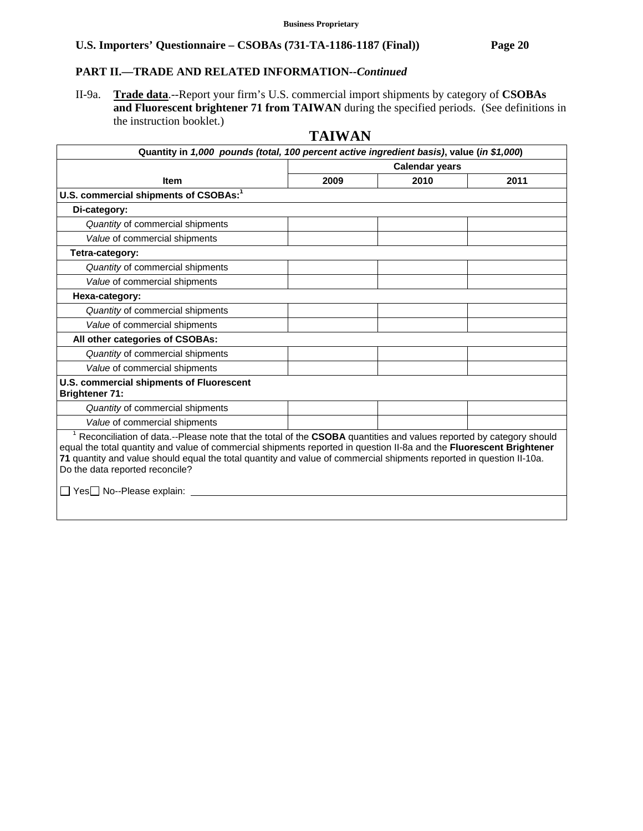### **PART II.—TRADE AND RELATED INFORMATION***--Continued*

II-9a. **Trade data**.--Report your firm's U.S. commercial import shipments by category of **CSOBAs and Fluorescent brightener 71 from TAIWAN** during the specified periods. (See definitions in the instruction booklet.)

# **TAIWAN**

| Quantity in 1,000 pounds (total, 100 percent active ingredient basis), value (in \$1,000)                                                                                                                                                                                                                                                                                                                                                        |                       |      |      |  |
|--------------------------------------------------------------------------------------------------------------------------------------------------------------------------------------------------------------------------------------------------------------------------------------------------------------------------------------------------------------------------------------------------------------------------------------------------|-----------------------|------|------|--|
|                                                                                                                                                                                                                                                                                                                                                                                                                                                  | <b>Calendar years</b> |      |      |  |
| <b>Item</b>                                                                                                                                                                                                                                                                                                                                                                                                                                      | 2009                  | 2010 | 2011 |  |
| U.S. commercial shipments of CSOBAs: <sup>1</sup>                                                                                                                                                                                                                                                                                                                                                                                                |                       |      |      |  |
| Di-category:                                                                                                                                                                                                                                                                                                                                                                                                                                     |                       |      |      |  |
| Quantity of commercial shipments                                                                                                                                                                                                                                                                                                                                                                                                                 |                       |      |      |  |
| Value of commercial shipments                                                                                                                                                                                                                                                                                                                                                                                                                    |                       |      |      |  |
| Tetra-category:                                                                                                                                                                                                                                                                                                                                                                                                                                  |                       |      |      |  |
| Quantity of commercial shipments                                                                                                                                                                                                                                                                                                                                                                                                                 |                       |      |      |  |
| Value of commercial shipments                                                                                                                                                                                                                                                                                                                                                                                                                    |                       |      |      |  |
| Hexa-category:                                                                                                                                                                                                                                                                                                                                                                                                                                   |                       |      |      |  |
| Quantity of commercial shipments                                                                                                                                                                                                                                                                                                                                                                                                                 |                       |      |      |  |
| Value of commercial shipments                                                                                                                                                                                                                                                                                                                                                                                                                    |                       |      |      |  |
| All other categories of CSOBAs:                                                                                                                                                                                                                                                                                                                                                                                                                  |                       |      |      |  |
| Quantity of commercial shipments                                                                                                                                                                                                                                                                                                                                                                                                                 |                       |      |      |  |
| Value of commercial shipments                                                                                                                                                                                                                                                                                                                                                                                                                    |                       |      |      |  |
| U.S. commercial shipments of Fluorescent<br><b>Brightener 71:</b>                                                                                                                                                                                                                                                                                                                                                                                |                       |      |      |  |
| Quantity of commercial shipments                                                                                                                                                                                                                                                                                                                                                                                                                 |                       |      |      |  |
| Value of commercial shipments                                                                                                                                                                                                                                                                                                                                                                                                                    |                       |      |      |  |
| <sup>1</sup> Reconciliation of data.--Please note that the total of the CSOBA quantities and values reported by category should<br>equal the total quantity and value of commercial shipments reported in question II-8a and the Fluorescent Brightener<br>71 quantity and value should equal the total quantity and value of commercial shipments reported in question II-10a.<br>Do the data reported reconcile?<br>□ Yes□ No--Please explain: |                       |      |      |  |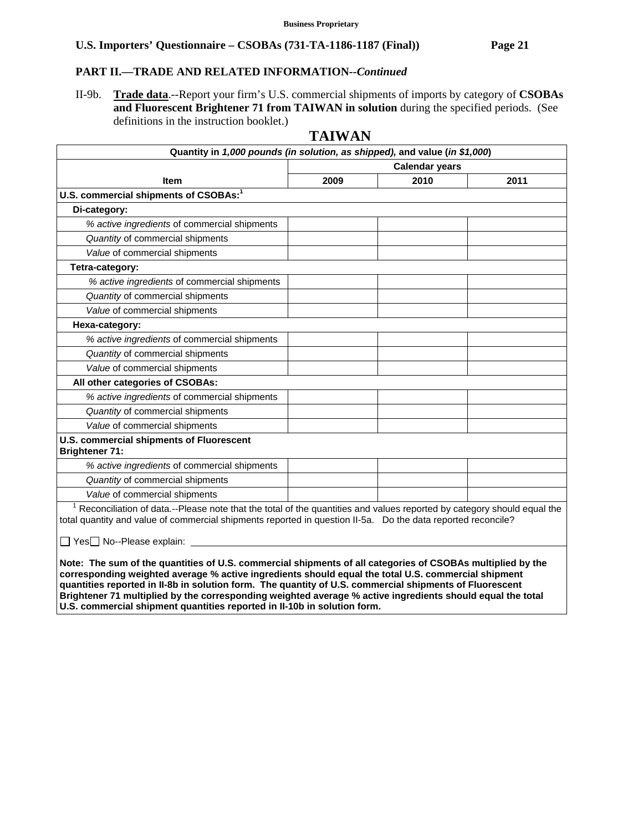### **PART II.—TRADE AND RELATED INFORMATION***--Continued*

II-9b. **Trade data**.--Report your firm's U.S. commercial shipments of imports by category of **CSOBAs and Fluorescent Brightener 71 from TAIWAN in solution** during the specified periods. (See definitions in the instruction booklet.)

# **TAIWAN**

| Quantity in 1,000 pounds (in solution, as shipped), and value (in \$1,000)                                                                                                                                                                          |                       |      |      |  |  |
|-----------------------------------------------------------------------------------------------------------------------------------------------------------------------------------------------------------------------------------------------------|-----------------------|------|------|--|--|
|                                                                                                                                                                                                                                                     | <b>Calendar years</b> |      |      |  |  |
| <b>Item</b>                                                                                                                                                                                                                                         | 2009                  | 2010 | 2011 |  |  |
| U.S. commercial shipments of CSOBAs: <sup>1</sup>                                                                                                                                                                                                   |                       |      |      |  |  |
| Di-category:                                                                                                                                                                                                                                        |                       |      |      |  |  |
| % active ingredients of commercial shipments                                                                                                                                                                                                        |                       |      |      |  |  |
| Quantity of commercial shipments                                                                                                                                                                                                                    |                       |      |      |  |  |
| Value of commercial shipments                                                                                                                                                                                                                       |                       |      |      |  |  |
| Tetra-category:                                                                                                                                                                                                                                     |                       |      |      |  |  |
| % active ingredients of commercial shipments                                                                                                                                                                                                        |                       |      |      |  |  |
| Quantity of commercial shipments                                                                                                                                                                                                                    |                       |      |      |  |  |
| Value of commercial shipments                                                                                                                                                                                                                       |                       |      |      |  |  |
| Hexa-category:                                                                                                                                                                                                                                      |                       |      |      |  |  |
| % active ingredients of commercial shipments                                                                                                                                                                                                        |                       |      |      |  |  |
| Quantity of commercial shipments                                                                                                                                                                                                                    |                       |      |      |  |  |
| Value of commercial shipments                                                                                                                                                                                                                       |                       |      |      |  |  |
| All other categories of CSOBAs:                                                                                                                                                                                                                     |                       |      |      |  |  |
| % active ingredients of commercial shipments                                                                                                                                                                                                        |                       |      |      |  |  |
| Quantity of commercial shipments                                                                                                                                                                                                                    |                       |      |      |  |  |
| Value of commercial shipments                                                                                                                                                                                                                       |                       |      |      |  |  |
| U.S. commercial shipments of Fluorescent<br><b>Brightener 71:</b>                                                                                                                                                                                   |                       |      |      |  |  |
| % active ingredients of commercial shipments                                                                                                                                                                                                        |                       |      |      |  |  |
| Quantity of commercial shipments                                                                                                                                                                                                                    |                       |      |      |  |  |
| Value of commercial shipments                                                                                                                                                                                                                       |                       |      |      |  |  |
| <sup>1</sup> Reconciliation of data.--Please note that the total of the quantities and values reported by category should equal the<br>total quantity and value of commercial shipments reported in question II-5a. Do the data reported reconcile? |                       |      |      |  |  |
| □ Yes□ No--Please explain: _                                                                                                                                                                                                                        |                       |      |      |  |  |
| Note: The sum of the quantities of U.S. commercial shipments of all categories of CSOBAs multiplied by the                                                                                                                                          |                       |      |      |  |  |

**corresponding weighted average % active ingredients should equal the total U.S. commercial shipment quantities reported in II-8b in solution form. The quantity of U.S. commercial shipments of Fluorescent Brightener 71 multiplied by the corresponding weighted average % active ingredients should equal the total U.S. commercial shipment quantities reported in II-10b in solution form.**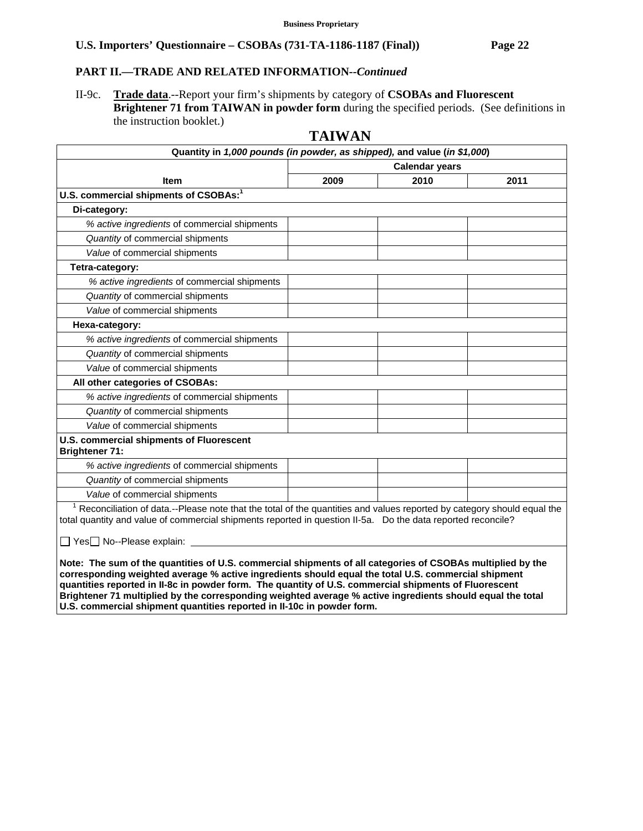### **PART II.—TRADE AND RELATED INFORMATION***--Continued*

II-9c. **Trade data**.--Report your firm's shipments by category of **CSOBAs and Fluorescent Brightener 71 from TAIWAN in powder form** during the specified periods. (See definitions in the instruction booklet.)

# **TAIWAN**

| Quantity in 1,000 pounds (in powder, as shipped), and value (in \$1,000)                                                                                                                                                               |                       |      |      |  |
|----------------------------------------------------------------------------------------------------------------------------------------------------------------------------------------------------------------------------------------|-----------------------|------|------|--|
|                                                                                                                                                                                                                                        | <b>Calendar years</b> |      |      |  |
| <b>Item</b>                                                                                                                                                                                                                            | 2009                  | 2010 | 2011 |  |
| U.S. commercial shipments of CSOBAs: <sup>1</sup>                                                                                                                                                                                      |                       |      |      |  |
| Di-category:                                                                                                                                                                                                                           |                       |      |      |  |
| % active ingredients of commercial shipments                                                                                                                                                                                           |                       |      |      |  |
| Quantity of commercial shipments                                                                                                                                                                                                       |                       |      |      |  |
| Value of commercial shipments                                                                                                                                                                                                          |                       |      |      |  |
| Tetra-category:                                                                                                                                                                                                                        |                       |      |      |  |
| % active ingredients of commercial shipments                                                                                                                                                                                           |                       |      |      |  |
| Quantity of commercial shipments                                                                                                                                                                                                       |                       |      |      |  |
| Value of commercial shipments                                                                                                                                                                                                          |                       |      |      |  |
| Hexa-category:                                                                                                                                                                                                                         |                       |      |      |  |
| % active ingredients of commercial shipments                                                                                                                                                                                           |                       |      |      |  |
| Quantity of commercial shipments                                                                                                                                                                                                       |                       |      |      |  |
| Value of commercial shipments                                                                                                                                                                                                          |                       |      |      |  |
| All other categories of CSOBAs:                                                                                                                                                                                                        |                       |      |      |  |
| % active ingredients of commercial shipments                                                                                                                                                                                           |                       |      |      |  |
| Quantity of commercial shipments                                                                                                                                                                                                       |                       |      |      |  |
| Value of commercial shipments                                                                                                                                                                                                          |                       |      |      |  |
| U.S. commercial shipments of Fluorescent<br><b>Brightener 71:</b>                                                                                                                                                                      |                       |      |      |  |
| % active ingredients of commercial shipments                                                                                                                                                                                           |                       |      |      |  |
| Quantity of commercial shipments                                                                                                                                                                                                       |                       |      |      |  |
| Value of commercial shipments                                                                                                                                                                                                          |                       |      |      |  |
| Reconciliation of data.--Please note that the total of the quantities and values reported by category should equal the<br>total quantity and value of commercial shipments reported in question II-5a. Do the data reported reconcile? |                       |      |      |  |
| □ Yes□ No--Please explain:                                                                                                                                                                                                             |                       |      |      |  |
| Note: The sum of the quantities of U.S. commercial shipments of all categories of CSOBAs multiplied by the                                                                                                                             | $-111$ . $-111$       |      |      |  |

**corresponding weighted average % active ingredients should equal the total U.S. commercial shipment quantities reported in II-8c in powder form. The quantity of U.S. commercial shipments of Fluorescent Brightener 71 multiplied by the corresponding weighted average % active ingredients should equal the total U.S. commercial shipment quantities reported in II-10c in powder form.**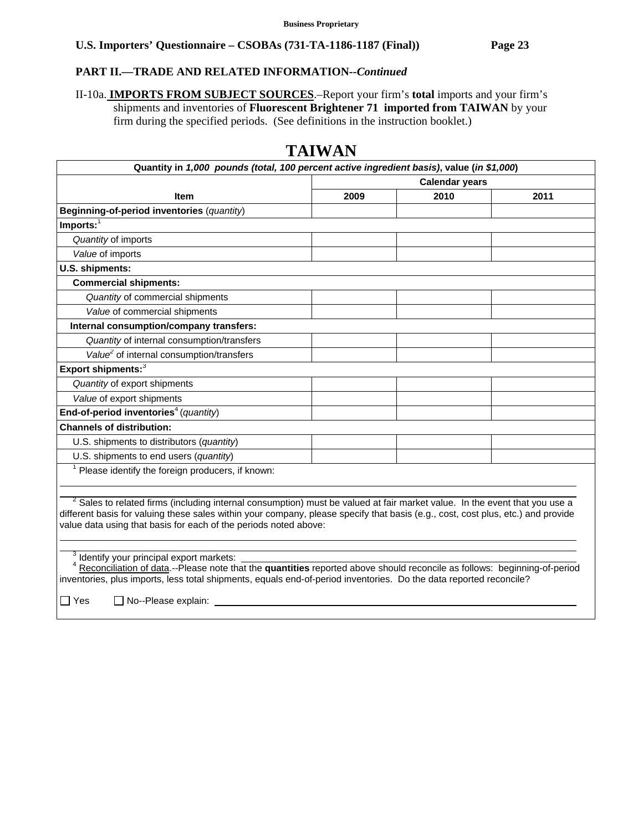### **PART II.—TRADE AND RELATED INFORMATION***--Continued*

II-10a. **IMPORTS FROM SUBJECT SOURCES**.–Report your firm's **total** imports and your firm's shipments and inventories of **Fluorescent Brightener 71 imported from TAIWAN** by your firm during the specified periods. (See definitions in the instruction booklet.)

|                                                                                                                                                                                                                                                                                                                                               | <b>Calendar years</b> |      |      |
|-----------------------------------------------------------------------------------------------------------------------------------------------------------------------------------------------------------------------------------------------------------------------------------------------------------------------------------------------|-----------------------|------|------|
| <b>Item</b>                                                                                                                                                                                                                                                                                                                                   | 2009                  | 2010 | 2011 |
| Beginning-of-period inventories (quantity)                                                                                                                                                                                                                                                                                                    |                       |      |      |
| $Imports:$ <sup>1</sup>                                                                                                                                                                                                                                                                                                                       |                       |      |      |
| Quantity of imports                                                                                                                                                                                                                                                                                                                           |                       |      |      |
| Value of imports                                                                                                                                                                                                                                                                                                                              |                       |      |      |
| U.S. shipments:                                                                                                                                                                                                                                                                                                                               |                       |      |      |
| <b>Commercial shipments:</b>                                                                                                                                                                                                                                                                                                                  |                       |      |      |
| Quantity of commercial shipments                                                                                                                                                                                                                                                                                                              |                       |      |      |
| Value of commercial shipments                                                                                                                                                                                                                                                                                                                 |                       |      |      |
| Internal consumption/company transfers:                                                                                                                                                                                                                                                                                                       |                       |      |      |
| Quantity of internal consumption/transfers                                                                                                                                                                                                                                                                                                    |                       |      |      |
| Value <sup>2</sup> of internal consumption/transfers                                                                                                                                                                                                                                                                                          |                       |      |      |
| Export shipments: <sup>3</sup>                                                                                                                                                                                                                                                                                                                |                       |      |      |
| Quantity of export shipments                                                                                                                                                                                                                                                                                                                  |                       |      |      |
| Value of export shipments                                                                                                                                                                                                                                                                                                                     |                       |      |      |
| End-of-period inventories <sup>4</sup> (quantity)                                                                                                                                                                                                                                                                                             |                       |      |      |
| <b>Channels of distribution:</b>                                                                                                                                                                                                                                                                                                              |                       |      |      |
| U.S. shipments to distributors (quantity)                                                                                                                                                                                                                                                                                                     |                       |      |      |
| U.S. shipments to end users (quantity)                                                                                                                                                                                                                                                                                                        |                       |      |      |
| Please identify the foreign producers, if known:                                                                                                                                                                                                                                                                                              |                       |      |      |
|                                                                                                                                                                                                                                                                                                                                               |                       |      |      |
| <sup>2</sup> Sales to related firms (including internal consumption) must be valued at fair market value. In the event that you use a<br>different basis for valuing these sales within your company, please specify that basis (e.g., cost, cost plus, etc.) and provide<br>value data using that basis for each of the periods noted above: |                       |      |      |

# **TAIWAN**

 $3$  Identify your principal export markets:

 <sup>4</sup> Reconciliation of data.--Please note that the **quantities** reported above should reconcile as follows: beginning-of-period inventories, plus imports, less total shipments, equals end-of-period inventories. Do the data reported reconcile?

 $\Box$  Yes  $\Box$  No--Please explain: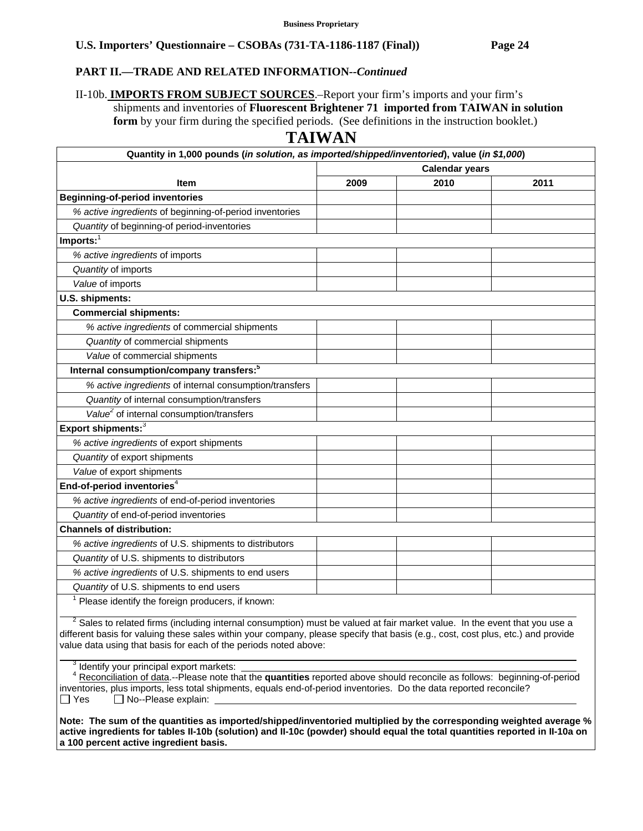### **PART II.—TRADE AND RELATED INFORMATION***--Continued*

II-10b. **IMPORTS FROM SUBJECT SOURCES**.–Report your firm's imports and your firm's shipments and inventories of **Fluorescent Brightener 71 imported from TAIWAN in solution form** by your firm during the specified periods. (See definitions in the instruction booklet.)

# **TAIWAN**

| Quantity in 1,000 pounds (in solution, as imported/shipped/inventoried), value (in \$1,000)                                        |                       |      |      |  |  |  |
|------------------------------------------------------------------------------------------------------------------------------------|-----------------------|------|------|--|--|--|
|                                                                                                                                    | <b>Calendar years</b> |      |      |  |  |  |
| <b>Item</b>                                                                                                                        | 2009                  | 2010 | 2011 |  |  |  |
| <b>Beginning-of-period inventories</b>                                                                                             |                       |      |      |  |  |  |
| % active ingredients of beginning-of-period inventories                                                                            |                       |      |      |  |  |  |
| Quantity of beginning-of period-inventories                                                                                        |                       |      |      |  |  |  |
| Imports:                                                                                                                           |                       |      |      |  |  |  |
| % active ingredients of imports                                                                                                    |                       |      |      |  |  |  |
| Quantity of imports                                                                                                                |                       |      |      |  |  |  |
| Value of imports                                                                                                                   |                       |      |      |  |  |  |
| U.S. shipments:                                                                                                                    |                       |      |      |  |  |  |
| <b>Commercial shipments:</b>                                                                                                       |                       |      |      |  |  |  |
| % active ingredients of commercial shipments                                                                                       |                       |      |      |  |  |  |
| Quantity of commercial shipments                                                                                                   |                       |      |      |  |  |  |
| Value of commercial shipments                                                                                                      |                       |      |      |  |  |  |
| Internal consumption/company transfers: <sup>5</sup>                                                                               |                       |      |      |  |  |  |
| % active ingredients of internal consumption/transfers                                                                             |                       |      |      |  |  |  |
| Quantity of internal consumption/transfers                                                                                         |                       |      |      |  |  |  |
| Value <sup>2</sup> of internal consumption/transfers                                                                               |                       |      |      |  |  |  |
| Export shipments: <sup>3</sup>                                                                                                     |                       |      |      |  |  |  |
| % active ingredients of export shipments                                                                                           |                       |      |      |  |  |  |
| Quantity of export shipments                                                                                                       |                       |      |      |  |  |  |
| Value of export shipments                                                                                                          |                       |      |      |  |  |  |
| End-of-period inventories <sup>4</sup>                                                                                             |                       |      |      |  |  |  |
| % active ingredients of end-of-period inventories                                                                                  |                       |      |      |  |  |  |
| Quantity of end-of-period inventories                                                                                              |                       |      |      |  |  |  |
| <b>Channels of distribution:</b>                                                                                                   |                       |      |      |  |  |  |
| % active ingredients of U.S. shipments to distributors                                                                             |                       |      |      |  |  |  |
| Quantity of U.S. shipments to distributors                                                                                         |                       |      |      |  |  |  |
| % active ingredients of U.S. shipments to end users                                                                                |                       |      |      |  |  |  |
| Quantity of U.S. shipments to end users                                                                                            |                       |      |      |  |  |  |
| Please identify the foreign producers, if known:<br>$2 \text{ } \alpha$ -to a to a choice of $v_{\text{max}}$ . An electron factor |                       |      |      |  |  |  |

 <sup>2</sup> Sales to related firms (including internal consumption) must be valued at fair market value. In the event that you use a different basis for valuing these sales within your company, please specify that basis (e.g., cost, cost plus, etc.) and provide value data using that basis for each of the periods noted above:

<sup>3</sup> Identify your principal export markets:

 $\overline{a}$ 

 <sup>4</sup> Reconciliation of data.--Please note that the **quantities** reported above should reconcile as follows: beginning-of-period inventories, plus imports, less total shipments, equals end-of-period inventories. Do the data reported reconcile?  $\Box$  Yes  $\Box$  No--Please explain:

**Note: The sum of the quantities as imported/shipped/inventoried multiplied by the corresponding weighted average % active ingredients for tables II-10b (solution) and II-10c (powder) should equal the total quantities reported in II-10a on a 100 percent active ingredient basis.**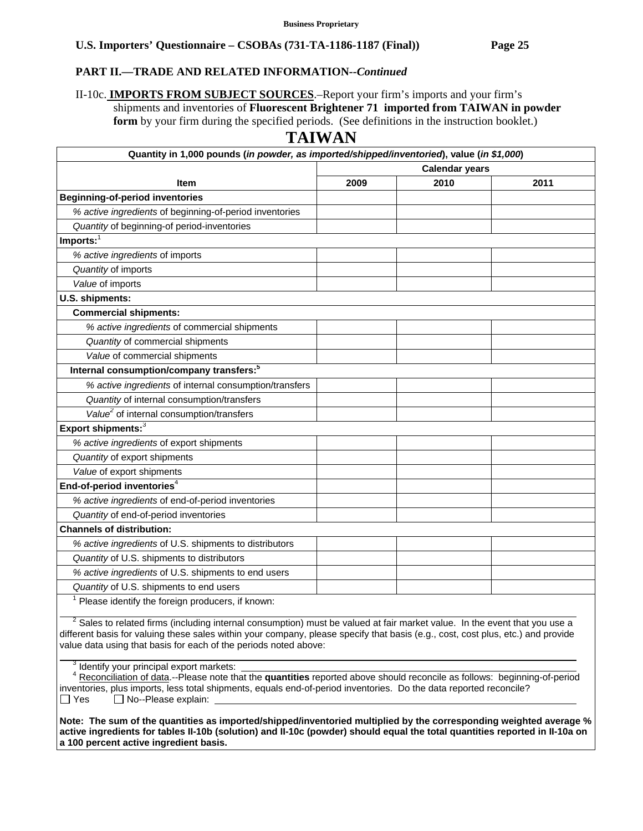### **PART II.—TRADE AND RELATED INFORMATION***--Continued*

II-10c. **IMPORTS FROM SUBJECT SOURCES**.–Report your firm's imports and your firm's shipments and inventories of **Fluorescent Brightener 71 imported from TAIWAN in powder form** by your firm during the specified periods. (See definitions in the instruction booklet.)

# **TAIWAN**

| Quantity in 1,000 pounds (in powder, as imported/shipped/inventoried), value (in \$1,000) |                       |      |      |  |
|-------------------------------------------------------------------------------------------|-----------------------|------|------|--|
|                                                                                           | <b>Calendar years</b> |      |      |  |
| <b>Item</b>                                                                               | 2009                  | 2010 | 2011 |  |
| <b>Beginning-of-period inventories</b>                                                    |                       |      |      |  |
| % active ingredients of beginning-of-period inventories                                   |                       |      |      |  |
| Quantity of beginning-of period-inventories                                               |                       |      |      |  |
| Imports:                                                                                  |                       |      |      |  |
| % active ingredients of imports                                                           |                       |      |      |  |
| Quantity of imports                                                                       |                       |      |      |  |
| Value of imports                                                                          |                       |      |      |  |
| U.S. shipments:                                                                           |                       |      |      |  |
| <b>Commercial shipments:</b>                                                              |                       |      |      |  |
| % active ingredients of commercial shipments                                              |                       |      |      |  |
| Quantity of commercial shipments                                                          |                       |      |      |  |
| Value of commercial shipments                                                             |                       |      |      |  |
| Internal consumption/company transfers: <sup>5</sup>                                      |                       |      |      |  |
| % active ingredients of internal consumption/transfers                                    |                       |      |      |  |
| Quantity of internal consumption/transfers                                                |                       |      |      |  |
| Value <sup>2</sup> of internal consumption/transfers                                      |                       |      |      |  |
| Export shipments: <sup>3</sup>                                                            |                       |      |      |  |
| % active ingredients of export shipments                                                  |                       |      |      |  |
| Quantity of export shipments                                                              |                       |      |      |  |
| Value of export shipments                                                                 |                       |      |      |  |
| End-of-period inventories <sup>4</sup>                                                    |                       |      |      |  |
| % active ingredients of end-of-period inventories                                         |                       |      |      |  |
| Quantity of end-of-period inventories                                                     |                       |      |      |  |
| <b>Channels of distribution:</b>                                                          |                       |      |      |  |
| % active ingredients of U.S. shipments to distributors                                    |                       |      |      |  |
| Quantity of U.S. shipments to distributors                                                |                       |      |      |  |
| % active ingredients of U.S. shipments to end users                                       |                       |      |      |  |
| Quantity of U.S. shipments to end users                                                   |                       |      |      |  |
| Please identify the foreign producers, if known:                                          |                       |      |      |  |

 $2$  Sales to related firms (including internal consumption) must be valued at fair market value. In the event that you use a different basis for valuing these sales within your company, please specify that basis (e.g., cost, cost plus, etc.) and provide value data using that basis for each of the periods noted above:

<sup>3</sup> Identify your principal export markets:

 $\overline{a}$ 

 <sup>4</sup> Reconciliation of data.--Please note that the **quantities** reported above should reconcile as follows: beginning-of-period inventories, plus imports, less total shipments, equals end-of-period inventories. Do the data reported reconcile?  $\Box$  Yes  $\Box$  No--Please explain:

**Note: The sum of the quantities as imported/shipped/inventoried multiplied by the corresponding weighted average % active ingredients for tables II-10b (solution) and II-10c (powder) should equal the total quantities reported in II-10a on a 100 percent active ingredient basis.**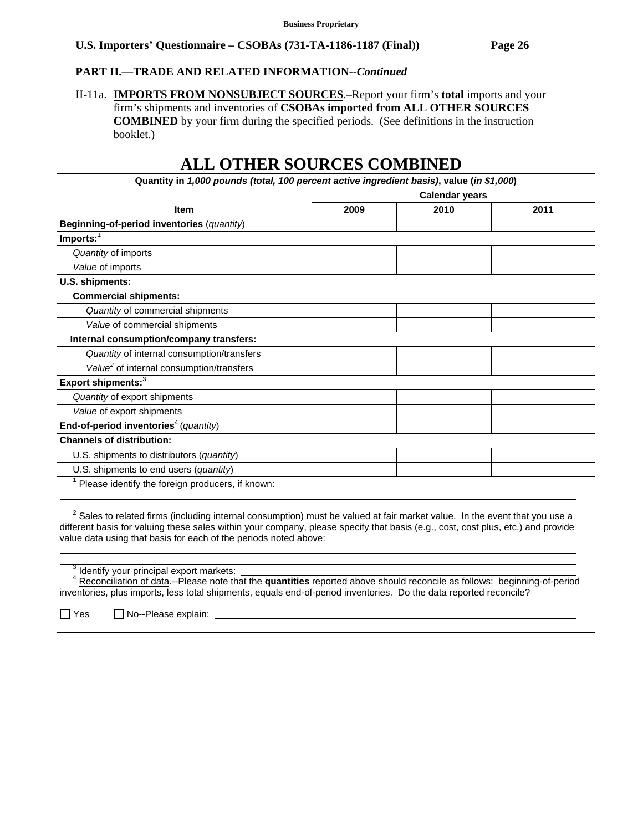# **PART II.—TRADE AND RELATED INFORMATION***--Continued*

II-11a. **IMPORTS FROM NONSUBJECT SOURCES**.–Report your firm's **total** imports and your firm's shipments and inventories of **CSOBAs imported from ALL OTHER SOURCES COMBINED** by your firm during the specified periods. (See definitions in the instruction booklet.)

| Quantity in 1,000 pounds (total, 100 percent active ingredient basis), value (in \$1,000)                                                                                                                                                                                                                                                          |      |                       |      |
|----------------------------------------------------------------------------------------------------------------------------------------------------------------------------------------------------------------------------------------------------------------------------------------------------------------------------------------------------|------|-----------------------|------|
|                                                                                                                                                                                                                                                                                                                                                    |      | <b>Calendar years</b> |      |
| <b>Item</b>                                                                                                                                                                                                                                                                                                                                        | 2009 | 2010                  | 2011 |
| Beginning-of-period inventories (quantity)                                                                                                                                                                                                                                                                                                         |      |                       |      |
| Imports: $\overline{ }$                                                                                                                                                                                                                                                                                                                            |      |                       |      |
| Quantity of imports                                                                                                                                                                                                                                                                                                                                |      |                       |      |
| Value of imports                                                                                                                                                                                                                                                                                                                                   |      |                       |      |
| U.S. shipments:                                                                                                                                                                                                                                                                                                                                    |      |                       |      |
| <b>Commercial shipments:</b>                                                                                                                                                                                                                                                                                                                       |      |                       |      |
| Quantity of commercial shipments                                                                                                                                                                                                                                                                                                                   |      |                       |      |
| Value of commercial shipments                                                                                                                                                                                                                                                                                                                      |      |                       |      |
| Internal consumption/company transfers:                                                                                                                                                                                                                                                                                                            |      |                       |      |
| Quantity of internal consumption/transfers                                                                                                                                                                                                                                                                                                         |      |                       |      |
| Value <sup>2</sup> of internal consumption/transfers                                                                                                                                                                                                                                                                                               |      |                       |      |
| Export shipments: <sup>3</sup>                                                                                                                                                                                                                                                                                                                     |      |                       |      |
| Quantity of export shipments                                                                                                                                                                                                                                                                                                                       |      |                       |      |
| Value of export shipments                                                                                                                                                                                                                                                                                                                          |      |                       |      |
| End-of-period inventories <sup>4</sup> (quantity)                                                                                                                                                                                                                                                                                                  |      |                       |      |
| <b>Channels of distribution:</b>                                                                                                                                                                                                                                                                                                                   |      |                       |      |
| U.S. shipments to distributors (quantity)                                                                                                                                                                                                                                                                                                          |      |                       |      |
| U.S. shipments to end users (quantity)                                                                                                                                                                                                                                                                                                             |      |                       |      |
| $1$ Please identify the foreign producers, if known:                                                                                                                                                                                                                                                                                               |      |                       |      |
| <sup>2</sup> Sales to related firms (including internal consumption) must be valued at fair market value. In the event that you use a<br>different basis for valuing these sales within your company, please specify that basis (e.g., cost, cost plus, etc.) and provide<br>value data using that basis for each of the periods noted above:      |      |                       |      |
| <sup>3</sup> Identify your principal export markets:<br>Reconciliation of data.--Please note that the quantities reported above should reconcile as follows: beginning-of-period<br>inventories, plus imports, less total shipments, equals end-of-period inventories. Do the data reported reconcile?<br>$\Box$ Yes<br>$\Box$ No--Please explain: |      |                       |      |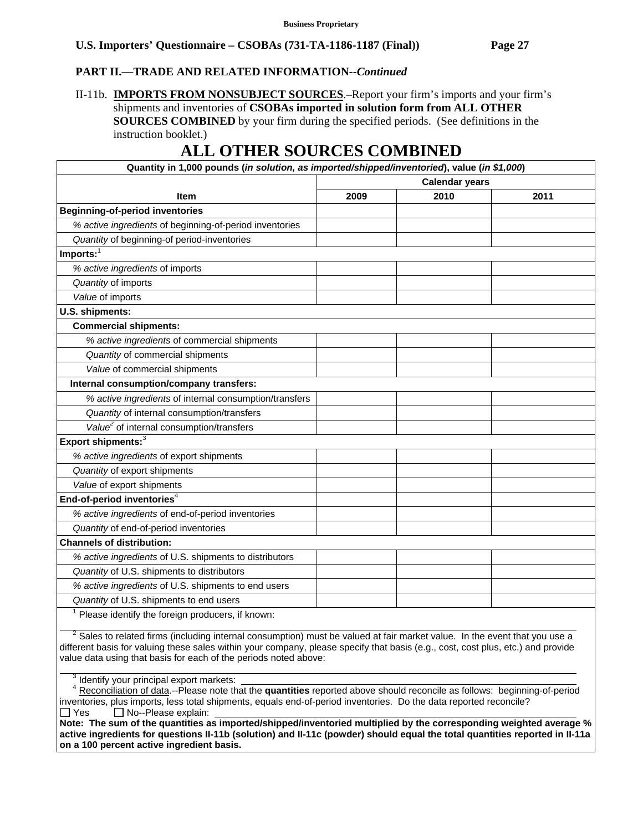## **PART II.—TRADE AND RELATED INFORMATION***--Continued*

II-11b. **IMPORTS FROM NONSUBJECT SOURCES**.–Report your firm's imports and your firm's shipments and inventories of **CSOBAs imported in solution form from ALL OTHER SOURCES COMBINED** by your firm during the specified periods. (See definitions in the instruction booklet.)

# **ALL OTHER SOURCES COMBINED**

| Quantity in 1,000 pounds (in solution, as imported/shipped/inventoried), value (in \$1,000) |                       |      |      |  |
|---------------------------------------------------------------------------------------------|-----------------------|------|------|--|
|                                                                                             | <b>Calendar years</b> |      |      |  |
| <b>Item</b>                                                                                 | 2009                  | 2010 | 2011 |  |
| <b>Beginning-of-period inventories</b>                                                      |                       |      |      |  |
| % active ingredients of beginning-of-period inventories                                     |                       |      |      |  |
| Quantity of beginning-of period-inventories                                                 |                       |      |      |  |
| $Imports:$ <sup>1</sup>                                                                     |                       |      |      |  |
| % active ingredients of imports                                                             |                       |      |      |  |
| Quantity of imports                                                                         |                       |      |      |  |
| Value of imports                                                                            |                       |      |      |  |
| U.S. shipments:                                                                             |                       |      |      |  |
| <b>Commercial shipments:</b>                                                                |                       |      |      |  |
| % active ingredients of commercial shipments                                                |                       |      |      |  |
| Quantity of commercial shipments                                                            |                       |      |      |  |
| Value of commercial shipments                                                               |                       |      |      |  |
| Internal consumption/company transfers:                                                     |                       |      |      |  |
| % active ingredients of internal consumption/transfers                                      |                       |      |      |  |
| Quantity of internal consumption/transfers                                                  |                       |      |      |  |
| Value <sup>2</sup> of internal consumption/transfers                                        |                       |      |      |  |
| Export shipments: <sup>3</sup>                                                              |                       |      |      |  |
| % active ingredients of export shipments                                                    |                       |      |      |  |
| Quantity of export shipments                                                                |                       |      |      |  |
| Value of export shipments                                                                   |                       |      |      |  |
| End-of-period inventories <sup>4</sup>                                                      |                       |      |      |  |
| % active ingredients of end-of-period inventories                                           |                       |      |      |  |
| Quantity of end-of-period inventories                                                       |                       |      |      |  |
| <b>Channels of distribution:</b>                                                            |                       |      |      |  |
| % active ingredients of U.S. shipments to distributors                                      |                       |      |      |  |
| Quantity of U.S. shipments to distributors                                                  |                       |      |      |  |
| % active ingredients of U.S. shipments to end users                                         |                       |      |      |  |
| Quantity of U.S. shipments to end users                                                     |                       |      |      |  |
| Please identify the foreign producers, if known:                                            |                       |      |      |  |

 $2^2$  Sales to related firms (including internal consumption) must be valued at fair market value. In the event that you use a different basis for valuing these sales within your company, please specify that basis (e.g., cost, cost plus, etc.) and provide value data using that basis for each of the periods noted above:  $\overline{a}$ 

<sup>3</sup> Identify your principal export markets:

 <sup>4</sup> Reconciliation of data.--Please note that the **quantities** reported above should reconcile as follows: beginning-of-period inventories, plus imports, less total shipments, equals end-of-period inventories. Do the data reported reconcile?  $\Box$  Yes  $\Box$  No--Please explain:

**Note: The sum of the quantities as imported/shipped/inventoried multiplied by the corresponding weighted average % active ingredients for questions II-11b (solution) and II-11c (powder) should equal the total quantities reported in II-11a on a 100 percent active ingredient basis.**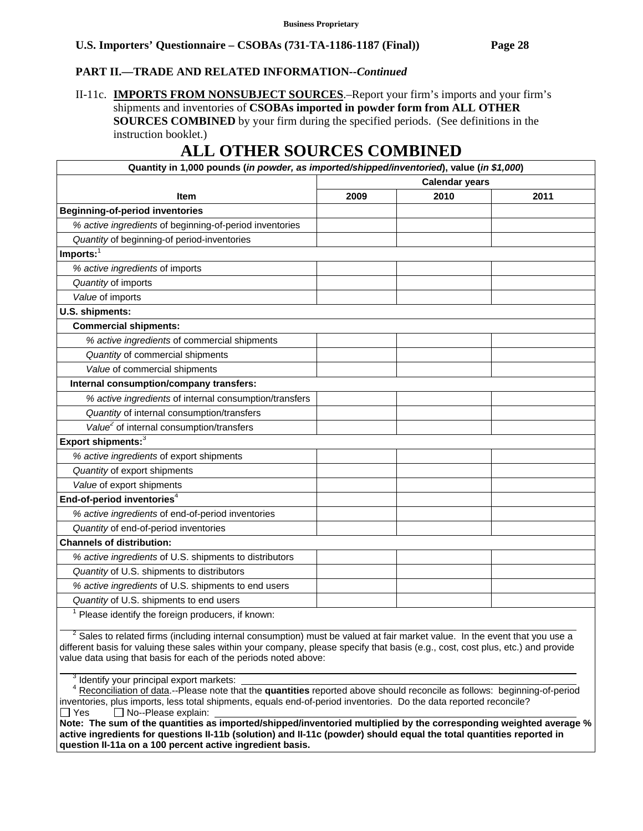# **PART II.—TRADE AND RELATED INFORMATION***--Continued*

## II-11c. **IMPORTS FROM NONSUBJECT SOURCES**.–Report your firm's imports and your firm's shipments and inventories of **CSOBAs imported in powder form from ALL OTHER SOURCES COMBINED** by your firm during the specified periods. (See definitions in the instruction booklet.)

# **ALL OTHER SOURCES COMBINED**

| Quantity in 1,000 pounds (in powder, as imported/shipped/inventoried), value (in \$1,000) |                       |      |      |  |
|-------------------------------------------------------------------------------------------|-----------------------|------|------|--|
|                                                                                           | <b>Calendar years</b> |      |      |  |
| <b>Item</b>                                                                               | 2009                  | 2010 | 2011 |  |
| <b>Beginning-of-period inventories</b>                                                    |                       |      |      |  |
| % active ingredients of beginning-of-period inventories                                   |                       |      |      |  |
| Quantity of beginning-of period-inventories                                               |                       |      |      |  |
| Imports:                                                                                  |                       |      |      |  |
| % active ingredients of imports                                                           |                       |      |      |  |
| Quantity of imports                                                                       |                       |      |      |  |
| Value of imports                                                                          |                       |      |      |  |
| U.S. shipments:                                                                           |                       |      |      |  |
| <b>Commercial shipments:</b>                                                              |                       |      |      |  |
| % active ingredients of commercial shipments                                              |                       |      |      |  |
| Quantity of commercial shipments                                                          |                       |      |      |  |
| Value of commercial shipments                                                             |                       |      |      |  |
| Internal consumption/company transfers:                                                   |                       |      |      |  |
| % active ingredients of internal consumption/transfers                                    |                       |      |      |  |
| Quantity of internal consumption/transfers                                                |                       |      |      |  |
| Value <sup>2</sup> of internal consumption/transfers                                      |                       |      |      |  |
| Export shipments: <sup>3</sup>                                                            |                       |      |      |  |
| % active ingredients of export shipments                                                  |                       |      |      |  |
| Quantity of export shipments                                                              |                       |      |      |  |
| Value of export shipments                                                                 |                       |      |      |  |
| End-of-period inventories <sup>4</sup>                                                    |                       |      |      |  |
| % active ingredients of end-of-period inventories                                         |                       |      |      |  |
| Quantity of end-of-period inventories                                                     |                       |      |      |  |
| <b>Channels of distribution:</b>                                                          |                       |      |      |  |
| % active ingredients of U.S. shipments to distributors                                    |                       |      |      |  |
| Quantity of U.S. shipments to distributors                                                |                       |      |      |  |
| % active ingredients of U.S. shipments to end users                                       |                       |      |      |  |
| Quantity of U.S. shipments to end users                                                   |                       |      |      |  |
| Please identify the foreign producers, if known:                                          |                       |      |      |  |

 $2^2$  Sales to related firms (including internal consumption) must be valued at fair market value. In the event that you use a different basis for valuing these sales within your company, please specify that basis (e.g., cost, cost plus, etc.) and provide value data using that basis for each of the periods noted above:  $\overline{a}$ 

<sup>3</sup> Identify your principal export markets:

 <sup>4</sup> Reconciliation of data.--Please note that the **quantities** reported above should reconcile as follows: beginning-of-period inventories, plus imports, less total shipments, equals end-of-period inventories. Do the data reported reconcile?  $\Box$  Yes  $\Box$  No--Please explain:

**Note: The sum of the quantities as imported/shipped/inventoried multiplied by the corresponding weighted average % active ingredients for questions II-11b (solution) and II-11c (powder) should equal the total quantities reported in question II-11a on a 100 percent active ingredient basis.**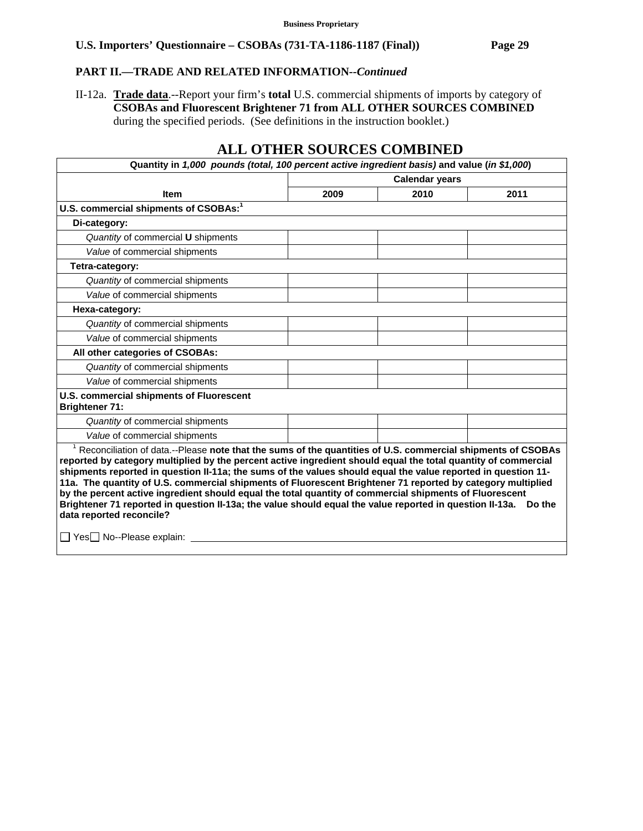## **PART II.—TRADE AND RELATED INFORMATION***--Continued*

II-12a. **Trade data**.--Report your firm's **total** U.S. commercial shipments of imports by category of **CSOBAs and Fluorescent Brightener 71 from ALL OTHER SOURCES COMBINED** during the specified periods. (See definitions in the instruction booklet.)

| Quantity in 1,000 pounds (total, 100 percent active ingredient basis) and value (in \$1,000)                                                                                                                                                                                                                                                                                                                                                                                                                                                                                                                                                                                                                                                                                   |                       |      |      |  |
|--------------------------------------------------------------------------------------------------------------------------------------------------------------------------------------------------------------------------------------------------------------------------------------------------------------------------------------------------------------------------------------------------------------------------------------------------------------------------------------------------------------------------------------------------------------------------------------------------------------------------------------------------------------------------------------------------------------------------------------------------------------------------------|-----------------------|------|------|--|
|                                                                                                                                                                                                                                                                                                                                                                                                                                                                                                                                                                                                                                                                                                                                                                                | <b>Calendar years</b> |      |      |  |
| <b>Item</b>                                                                                                                                                                                                                                                                                                                                                                                                                                                                                                                                                                                                                                                                                                                                                                    | 2009                  | 2010 | 2011 |  |
| U.S. commercial shipments of CSOBAs: <sup>1</sup>                                                                                                                                                                                                                                                                                                                                                                                                                                                                                                                                                                                                                                                                                                                              |                       |      |      |  |
| Di-category:                                                                                                                                                                                                                                                                                                                                                                                                                                                                                                                                                                                                                                                                                                                                                                   |                       |      |      |  |
| Quantity of commercial U shipments                                                                                                                                                                                                                                                                                                                                                                                                                                                                                                                                                                                                                                                                                                                                             |                       |      |      |  |
| Value of commercial shipments                                                                                                                                                                                                                                                                                                                                                                                                                                                                                                                                                                                                                                                                                                                                                  |                       |      |      |  |
| Tetra-category:                                                                                                                                                                                                                                                                                                                                                                                                                                                                                                                                                                                                                                                                                                                                                                |                       |      |      |  |
| Quantity of commercial shipments                                                                                                                                                                                                                                                                                                                                                                                                                                                                                                                                                                                                                                                                                                                                               |                       |      |      |  |
| Value of commercial shipments                                                                                                                                                                                                                                                                                                                                                                                                                                                                                                                                                                                                                                                                                                                                                  |                       |      |      |  |
| Hexa-category:                                                                                                                                                                                                                                                                                                                                                                                                                                                                                                                                                                                                                                                                                                                                                                 |                       |      |      |  |
| Quantity of commercial shipments                                                                                                                                                                                                                                                                                                                                                                                                                                                                                                                                                                                                                                                                                                                                               |                       |      |      |  |
| Value of commercial shipments                                                                                                                                                                                                                                                                                                                                                                                                                                                                                                                                                                                                                                                                                                                                                  |                       |      |      |  |
| All other categories of CSOBAs:                                                                                                                                                                                                                                                                                                                                                                                                                                                                                                                                                                                                                                                                                                                                                |                       |      |      |  |
| Quantity of commercial shipments                                                                                                                                                                                                                                                                                                                                                                                                                                                                                                                                                                                                                                                                                                                                               |                       |      |      |  |
| Value of commercial shipments                                                                                                                                                                                                                                                                                                                                                                                                                                                                                                                                                                                                                                                                                                                                                  |                       |      |      |  |
| U.S. commercial shipments of Fluorescent<br><b>Brightener 71:</b>                                                                                                                                                                                                                                                                                                                                                                                                                                                                                                                                                                                                                                                                                                              |                       |      |      |  |
| Quantity of commercial shipments                                                                                                                                                                                                                                                                                                                                                                                                                                                                                                                                                                                                                                                                                                                                               |                       |      |      |  |
| Value of commercial shipments                                                                                                                                                                                                                                                                                                                                                                                                                                                                                                                                                                                                                                                                                                                                                  |                       |      |      |  |
| <sup>1</sup> Reconciliation of data.--Please note that the sums of the quantities of U.S. commercial shipments of CSOBAs<br>reported by category multiplied by the percent active ingredient should equal the total quantity of commercial<br>shipments reported in question II-11a; the sums of the values should equal the value reported in question 11-<br>11a. The quantity of U.S. commercial shipments of Fluorescent Brightener 71 reported by category multiplied<br>by the percent active ingredient should equal the total quantity of commercial shipments of Fluorescent<br>Brightener 71 reported in question II-13a; the value should equal the value reported in question II-13a.  Do the<br>data reported reconcile?<br>$\Box$ Yes $\Box$ No--Please explain: |                       |      |      |  |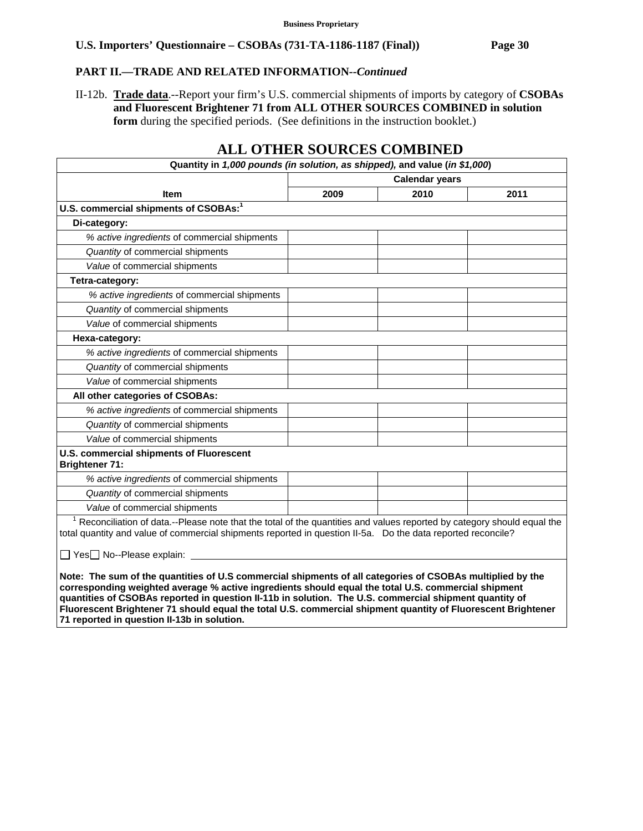### **PART II.—TRADE AND RELATED INFORMATION***--Continued*

II-12b. **Trade data**.--Report your firm's U.S. commercial shipments of imports by category of **CSOBAs and Fluorescent Brightener 71 from ALL OTHER SOURCES COMBINED in solution form** during the specified periods. (See definitions in the instruction booklet.)

| Quantity in 1,000 pounds (in solution, as shipped), and value (in \$1,000)                                                                                                                                                                                                                                                                                                                                                                                                                |                       |      |      |  |  |
|-------------------------------------------------------------------------------------------------------------------------------------------------------------------------------------------------------------------------------------------------------------------------------------------------------------------------------------------------------------------------------------------------------------------------------------------------------------------------------------------|-----------------------|------|------|--|--|
|                                                                                                                                                                                                                                                                                                                                                                                                                                                                                           | <b>Calendar years</b> |      |      |  |  |
| <b>Item</b>                                                                                                                                                                                                                                                                                                                                                                                                                                                                               | 2009                  | 2010 | 2011 |  |  |
| U.S. commercial shipments of CSOBAs: <sup>1</sup>                                                                                                                                                                                                                                                                                                                                                                                                                                         |                       |      |      |  |  |
| Di-category:                                                                                                                                                                                                                                                                                                                                                                                                                                                                              |                       |      |      |  |  |
| % active ingredients of commercial shipments                                                                                                                                                                                                                                                                                                                                                                                                                                              |                       |      |      |  |  |
| Quantity of commercial shipments                                                                                                                                                                                                                                                                                                                                                                                                                                                          |                       |      |      |  |  |
| Value of commercial shipments                                                                                                                                                                                                                                                                                                                                                                                                                                                             |                       |      |      |  |  |
| Tetra-category:                                                                                                                                                                                                                                                                                                                                                                                                                                                                           |                       |      |      |  |  |
| % active ingredients of commercial shipments                                                                                                                                                                                                                                                                                                                                                                                                                                              |                       |      |      |  |  |
| Quantity of commercial shipments                                                                                                                                                                                                                                                                                                                                                                                                                                                          |                       |      |      |  |  |
| Value of commercial shipments                                                                                                                                                                                                                                                                                                                                                                                                                                                             |                       |      |      |  |  |
| Hexa-category:                                                                                                                                                                                                                                                                                                                                                                                                                                                                            |                       |      |      |  |  |
| % active ingredients of commercial shipments                                                                                                                                                                                                                                                                                                                                                                                                                                              |                       |      |      |  |  |
| Quantity of commercial shipments                                                                                                                                                                                                                                                                                                                                                                                                                                                          |                       |      |      |  |  |
| Value of commercial shipments                                                                                                                                                                                                                                                                                                                                                                                                                                                             |                       |      |      |  |  |
| All other categories of CSOBAs:                                                                                                                                                                                                                                                                                                                                                                                                                                                           |                       |      |      |  |  |
| % active ingredients of commercial shipments                                                                                                                                                                                                                                                                                                                                                                                                                                              |                       |      |      |  |  |
| Quantity of commercial shipments                                                                                                                                                                                                                                                                                                                                                                                                                                                          |                       |      |      |  |  |
| Value of commercial shipments                                                                                                                                                                                                                                                                                                                                                                                                                                                             |                       |      |      |  |  |
| U.S. commercial shipments of Fluorescent<br><b>Brightener 71:</b>                                                                                                                                                                                                                                                                                                                                                                                                                         |                       |      |      |  |  |
| % active ingredients of commercial shipments                                                                                                                                                                                                                                                                                                                                                                                                                                              |                       |      |      |  |  |
| Quantity of commercial shipments                                                                                                                                                                                                                                                                                                                                                                                                                                                          |                       |      |      |  |  |
| Value of commercial shipments                                                                                                                                                                                                                                                                                                                                                                                                                                                             |                       |      |      |  |  |
| Reconciliation of data.--Please note that the total of the quantities and values reported by category should equal the<br>total quantity and value of commercial shipments reported in question II-5a. Do the data reported reconcile?                                                                                                                                                                                                                                                    |                       |      |      |  |  |
| □ Yes□ No--Please explain:                                                                                                                                                                                                                                                                                                                                                                                                                                                                |                       |      |      |  |  |
| Note: The sum of the quantities of U.S commercial shipments of all categories of CSOBAs multiplied by the<br>corresponding weighted average % active ingredients should equal the total U.S. commercial shipment<br>quantities of CSOBAs reported in question II-11b in solution. The U.S. commercial shipment quantity of<br>Fluorescent Brightener 71 should equal the total U.S. commercial shipment quantity of Fluorescent Brightener<br>71 reported in question II-13b in solution. |                       |      |      |  |  |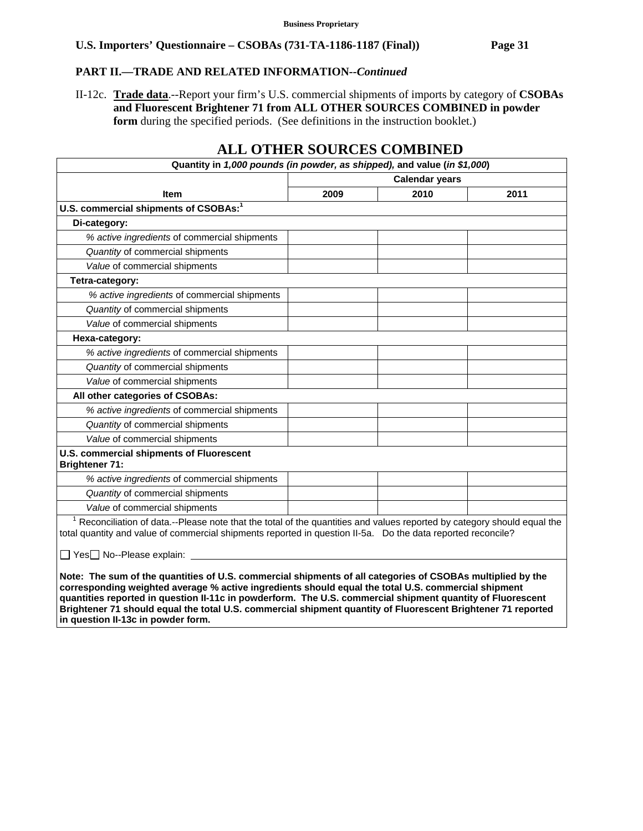# **PART II.—TRADE AND RELATED INFORMATION***--Continued*

II-12c. **Trade data**.--Report your firm's U.S. commercial shipments of imports by category of **CSOBAs and Fluorescent Brightener 71 from ALL OTHER SOURCES COMBINED in powder form** during the specified periods. (See definitions in the instruction booklet.)

| Quantity in 1,000 pounds (in powder, as shipped), and value (in \$1,000)                                                                                                                                                                                                                                                                                                                                                                                                              |      |                       |      |  |
|---------------------------------------------------------------------------------------------------------------------------------------------------------------------------------------------------------------------------------------------------------------------------------------------------------------------------------------------------------------------------------------------------------------------------------------------------------------------------------------|------|-----------------------|------|--|
|                                                                                                                                                                                                                                                                                                                                                                                                                                                                                       |      | <b>Calendar years</b> |      |  |
| <b>Item</b>                                                                                                                                                                                                                                                                                                                                                                                                                                                                           | 2009 | 2010                  | 2011 |  |
| U.S. commercial shipments of CSOBAs: <sup>1</sup>                                                                                                                                                                                                                                                                                                                                                                                                                                     |      |                       |      |  |
| Di-category:                                                                                                                                                                                                                                                                                                                                                                                                                                                                          |      |                       |      |  |
| % active ingredients of commercial shipments                                                                                                                                                                                                                                                                                                                                                                                                                                          |      |                       |      |  |
| Quantity of commercial shipments                                                                                                                                                                                                                                                                                                                                                                                                                                                      |      |                       |      |  |
| Value of commercial shipments                                                                                                                                                                                                                                                                                                                                                                                                                                                         |      |                       |      |  |
| Tetra-category:                                                                                                                                                                                                                                                                                                                                                                                                                                                                       |      |                       |      |  |
| % active ingredients of commercial shipments                                                                                                                                                                                                                                                                                                                                                                                                                                          |      |                       |      |  |
| Quantity of commercial shipments                                                                                                                                                                                                                                                                                                                                                                                                                                                      |      |                       |      |  |
| Value of commercial shipments                                                                                                                                                                                                                                                                                                                                                                                                                                                         |      |                       |      |  |
| Hexa-category:                                                                                                                                                                                                                                                                                                                                                                                                                                                                        |      |                       |      |  |
| % active ingredients of commercial shipments                                                                                                                                                                                                                                                                                                                                                                                                                                          |      |                       |      |  |
| Quantity of commercial shipments                                                                                                                                                                                                                                                                                                                                                                                                                                                      |      |                       |      |  |
| Value of commercial shipments                                                                                                                                                                                                                                                                                                                                                                                                                                                         |      |                       |      |  |
| All other categories of CSOBAs:                                                                                                                                                                                                                                                                                                                                                                                                                                                       |      |                       |      |  |
| % active ingredients of commercial shipments                                                                                                                                                                                                                                                                                                                                                                                                                                          |      |                       |      |  |
| Quantity of commercial shipments                                                                                                                                                                                                                                                                                                                                                                                                                                                      |      |                       |      |  |
| Value of commercial shipments                                                                                                                                                                                                                                                                                                                                                                                                                                                         |      |                       |      |  |
| U.S. commercial shipments of Fluorescent<br><b>Brightener 71:</b>                                                                                                                                                                                                                                                                                                                                                                                                                     |      |                       |      |  |
| % active ingredients of commercial shipments                                                                                                                                                                                                                                                                                                                                                                                                                                          |      |                       |      |  |
| Quantity of commercial shipments                                                                                                                                                                                                                                                                                                                                                                                                                                                      |      |                       |      |  |
| Value of commercial shipments                                                                                                                                                                                                                                                                                                                                                                                                                                                         |      |                       |      |  |
| <sup>1</sup> Reconciliation of data.--Please note that the total of the quantities and values reported by category should equal the<br>total quantity and value of commercial shipments reported in question II-5a. Do the data reported reconcile?                                                                                                                                                                                                                                   |      |                       |      |  |
| □ Yes□ No--Please explain: <u>□</u>                                                                                                                                                                                                                                                                                                                                                                                                                                                   |      |                       |      |  |
| Note: The sum of the quantities of U.S. commercial shipments of all categories of CSOBAs multiplied by the<br>corresponding weighted average % active ingredients should equal the total U.S. commercial shipment<br>quantities reported in question II-11c in powderform. The U.S. commercial shipment quantity of Fluorescent<br>Brightener 71 should equal the total U.S. commercial shipment quantity of Fluorescent Brightener 71 reported<br>in question II-13c in powder form. |      |                       |      |  |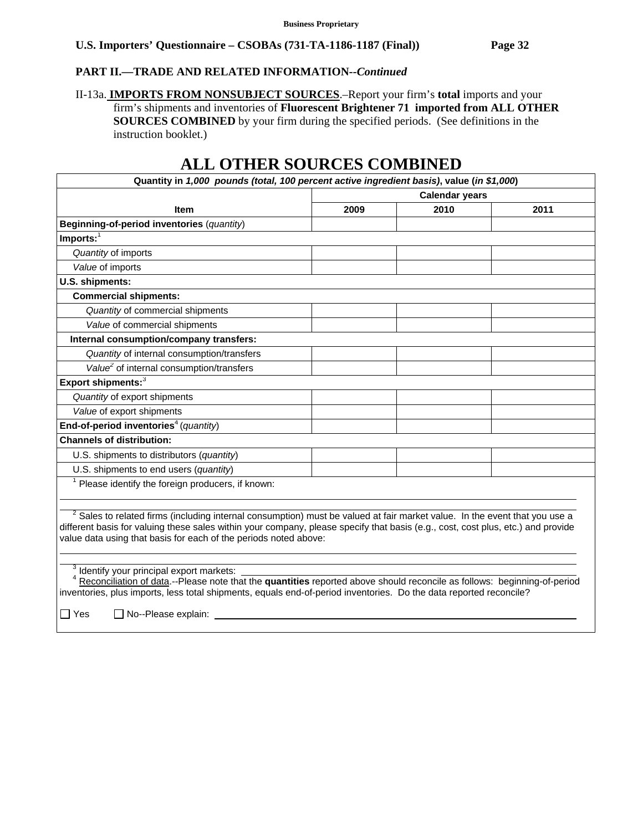# **PART II.—TRADE AND RELATED INFORMATION***--Continued*

II-13a. **IMPORTS FROM NONSUBJECT SOURCES**.–Report your firm's **total** imports and your firm's shipments and inventories of **Fluorescent Brightener 71 imported from ALL OTHER SOURCES COMBINED** by your firm during the specified periods. (See definitions in the instruction booklet.)

| Quantity in 1,000 pounds (total, 100 percent active ingredient basis), value (in \$1,000)                                                                                                                                                                                                                                                     |                       |      |      |  |
|-----------------------------------------------------------------------------------------------------------------------------------------------------------------------------------------------------------------------------------------------------------------------------------------------------------------------------------------------|-----------------------|------|------|--|
|                                                                                                                                                                                                                                                                                                                                               | <b>Calendar years</b> |      |      |  |
| <b>Item</b>                                                                                                                                                                                                                                                                                                                                   | 2009                  | 2010 | 2011 |  |
| Beginning-of-period inventories (quantity)                                                                                                                                                                                                                                                                                                    |                       |      |      |  |
| Imports: $\overline{1}$                                                                                                                                                                                                                                                                                                                       |                       |      |      |  |
| Quantity of imports                                                                                                                                                                                                                                                                                                                           |                       |      |      |  |
| Value of imports                                                                                                                                                                                                                                                                                                                              |                       |      |      |  |
| U.S. shipments:                                                                                                                                                                                                                                                                                                                               |                       |      |      |  |
| <b>Commercial shipments:</b>                                                                                                                                                                                                                                                                                                                  |                       |      |      |  |
| Quantity of commercial shipments                                                                                                                                                                                                                                                                                                              |                       |      |      |  |
| Value of commercial shipments                                                                                                                                                                                                                                                                                                                 |                       |      |      |  |
| Internal consumption/company transfers:                                                                                                                                                                                                                                                                                                       |                       |      |      |  |
| Quantity of internal consumption/transfers                                                                                                                                                                                                                                                                                                    |                       |      |      |  |
| Value <sup>2</sup> of internal consumption/transfers                                                                                                                                                                                                                                                                                          |                       |      |      |  |
| Export shipments: <sup>3</sup>                                                                                                                                                                                                                                                                                                                |                       |      |      |  |
| Quantity of export shipments                                                                                                                                                                                                                                                                                                                  |                       |      |      |  |
| Value of export shipments                                                                                                                                                                                                                                                                                                                     |                       |      |      |  |
| End-of-period inventories <sup>4</sup> (quantity)                                                                                                                                                                                                                                                                                             |                       |      |      |  |
| <b>Channels of distribution:</b>                                                                                                                                                                                                                                                                                                              |                       |      |      |  |
| U.S. shipments to distributors (quantity)                                                                                                                                                                                                                                                                                                     |                       |      |      |  |
| U.S. shipments to end users (quantity)                                                                                                                                                                                                                                                                                                        |                       |      |      |  |
| <sup>1</sup> Please identify the foreign producers, if known:                                                                                                                                                                                                                                                                                 |                       |      |      |  |
|                                                                                                                                                                                                                                                                                                                                               |                       |      |      |  |
| <sup>2</sup> Sales to related firms (including internal consumption) must be valued at fair market value. In the event that you use a<br>different basis for valuing these sales within your company, please specify that basis (e.g., cost, cost plus, etc.) and provide<br>value data using that basis for each of the periods noted above: |                       |      |      |  |
| <sup>3</sup> Identify your principal export markets:<br>Reconciliation of data.--Please note that the quantities reported above should reconcile as follows: beginning-of-period<br>inventories, plus imports, less total shipments, equals end-of-period inventories. Do the data reported reconcile?<br>$\Box$ Yes<br>No--Please explain:   |                       |      |      |  |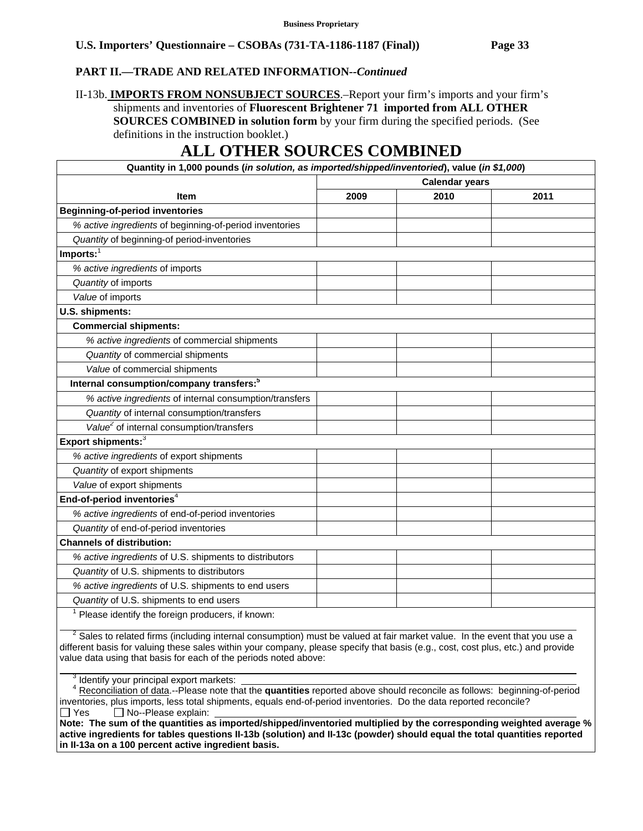### **PART II.—TRADE AND RELATED INFORMATION***--Continued*

II-13b. **IMPORTS FROM NONSUBJECT SOURCES**.–Report your firm's imports and your firm's shipments and inventories of **Fluorescent Brightener 71 imported from ALL OTHER SOURCES COMBINED in solution form** by your firm during the specified periods. (See definitions in the instruction booklet.)

# **ALL OTHER SOURCES COMBINED**

| Quantity in 1,000 pounds (in solution, as imported/shipped/inventoried), value (in \$1,000) |      |                       |      |  |
|---------------------------------------------------------------------------------------------|------|-----------------------|------|--|
|                                                                                             |      | <b>Calendar years</b> |      |  |
| <b>Item</b>                                                                                 | 2009 | 2010                  | 2011 |  |
| <b>Beginning-of-period inventories</b>                                                      |      |                       |      |  |
| % active ingredients of beginning-of-period inventories                                     |      |                       |      |  |
| Quantity of beginning-of period-inventories                                                 |      |                       |      |  |
| Imports:                                                                                    |      |                       |      |  |
| % active ingredients of imports                                                             |      |                       |      |  |
| Quantity of imports                                                                         |      |                       |      |  |
| Value of imports                                                                            |      |                       |      |  |
| U.S. shipments:                                                                             |      |                       |      |  |
| <b>Commercial shipments:</b>                                                                |      |                       |      |  |
| % active ingredients of commercial shipments                                                |      |                       |      |  |
| Quantity of commercial shipments                                                            |      |                       |      |  |
| Value of commercial shipments                                                               |      |                       |      |  |
| Internal consumption/company transfers: <sup>5</sup>                                        |      |                       |      |  |
| % active ingredients of internal consumption/transfers                                      |      |                       |      |  |
| Quantity of internal consumption/transfers                                                  |      |                       |      |  |
| Value <sup>2</sup> of internal consumption/transfers                                        |      |                       |      |  |
| Export shipments: <sup>3</sup>                                                              |      |                       |      |  |
| % active ingredients of export shipments                                                    |      |                       |      |  |
| Quantity of export shipments                                                                |      |                       |      |  |
| Value of export shipments                                                                   |      |                       |      |  |
| End-of-period inventories <sup>4</sup>                                                      |      |                       |      |  |
| % active ingredients of end-of-period inventories                                           |      |                       |      |  |
| Quantity of end-of-period inventories                                                       |      |                       |      |  |
| <b>Channels of distribution:</b>                                                            |      |                       |      |  |
| % active ingredients of U.S. shipments to distributors                                      |      |                       |      |  |
| Quantity of U.S. shipments to distributors                                                  |      |                       |      |  |
| % active ingredients of U.S. shipments to end users                                         |      |                       |      |  |
| Quantity of U.S. shipments to end users                                                     |      |                       |      |  |
| Please identify the foreign producers, if known:                                            |      |                       |      |  |

 $2^2$  Sales to related firms (including internal consumption) must be valued at fair market value. In the event that you use a different basis for valuing these sales within your company, please specify that basis (e.g., cost, cost plus, etc.) and provide value data using that basis for each of the periods noted above:  $\overline{a}$ 

<sup>3</sup> Identify your principal export markets:

 <sup>4</sup> Reconciliation of data.--Please note that the **quantities** reported above should reconcile as follows: beginning-of-period inventories, plus imports, less total shipments, equals end-of-period inventories. Do the data reported reconcile?  $\Box$  Yes  $\Box$  No--Please explain:

**Note: The sum of the quantities as imported/shipped/inventoried multiplied by the corresponding weighted average % active ingredients for tables questions II-13b (solution) and II-13c (powder) should equal the total quantities reported in II-13a on a 100 percent active ingredient basis.**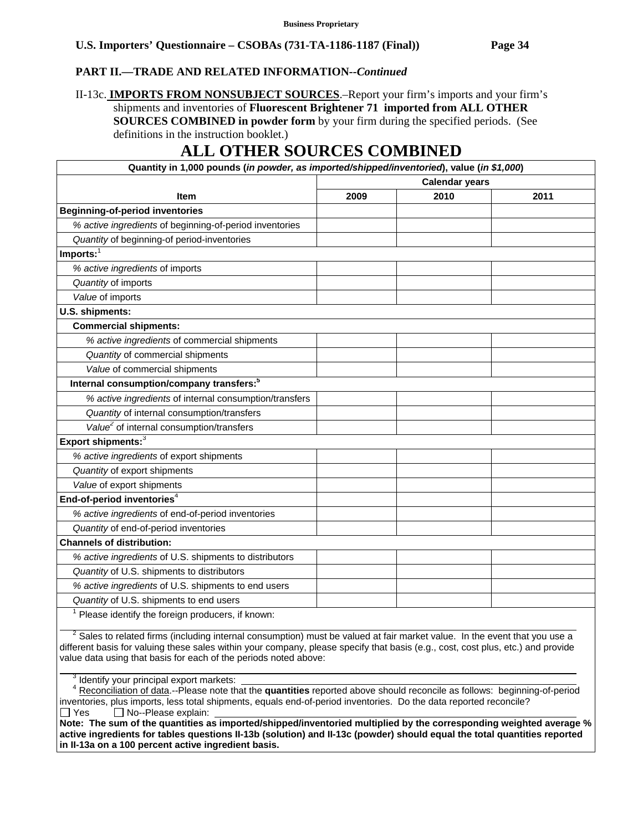### **PART II.—TRADE AND RELATED INFORMATION***--Continued*

II-13c. **IMPORTS FROM NONSUBJECT SOURCES**.–Report your firm's imports and your firm's shipments and inventories of **Fluorescent Brightener 71 imported from ALL OTHER SOURCES COMBINED in powder form** by your firm during the specified periods. (See definitions in the instruction booklet.)

# **ALL OTHER SOURCES COMBINED**

| Quantity in 1,000 pounds (in powder, as imported/shipped/inventoried), value (in \$1,000) |                       |      |      |  |
|-------------------------------------------------------------------------------------------|-----------------------|------|------|--|
|                                                                                           | <b>Calendar years</b> |      |      |  |
| <b>Item</b>                                                                               | 2009                  | 2010 | 2011 |  |
| <b>Beginning-of-period inventories</b>                                                    |                       |      |      |  |
| % active ingredients of beginning-of-period inventories                                   |                       |      |      |  |
| Quantity of beginning-of period-inventories                                               |                       |      |      |  |
| $Imports:$ <sup>1</sup>                                                                   |                       |      |      |  |
| % active ingredients of imports                                                           |                       |      |      |  |
| Quantity of imports                                                                       |                       |      |      |  |
| Value of imports                                                                          |                       |      |      |  |
| U.S. shipments:                                                                           |                       |      |      |  |
| <b>Commercial shipments:</b>                                                              |                       |      |      |  |
| % active ingredients of commercial shipments                                              |                       |      |      |  |
| Quantity of commercial shipments                                                          |                       |      |      |  |
| Value of commercial shipments                                                             |                       |      |      |  |
| Internal consumption/company transfers: <sup>5</sup>                                      |                       |      |      |  |
| % active ingredients of internal consumption/transfers                                    |                       |      |      |  |
| Quantity of internal consumption/transfers                                                |                       |      |      |  |
| Value <sup>2</sup> of internal consumption/transfers                                      |                       |      |      |  |
| Export shipments: <sup>3</sup>                                                            |                       |      |      |  |
| % active ingredients of export shipments                                                  |                       |      |      |  |
| Quantity of export shipments                                                              |                       |      |      |  |
| Value of export shipments                                                                 |                       |      |      |  |
| End-of-period inventories <sup>4</sup>                                                    |                       |      |      |  |
| % active ingredients of end-of-period inventories                                         |                       |      |      |  |
| Quantity of end-of-period inventories                                                     |                       |      |      |  |
| <b>Channels of distribution:</b>                                                          |                       |      |      |  |
| % active ingredients of U.S. shipments to distributors                                    |                       |      |      |  |
| Quantity of U.S. shipments to distributors                                                |                       |      |      |  |
| % active ingredients of U.S. shipments to end users                                       |                       |      |      |  |
| Quantity of U.S. shipments to end users                                                   |                       |      |      |  |
| Please identify the foreign producers, if known:                                          |                       |      |      |  |

 $2^2$  Sales to related firms (including internal consumption) must be valued at fair market value. In the event that you use a different basis for valuing these sales within your company, please specify that basis (e.g., cost, cost plus, etc.) and provide value data using that basis for each of the periods noted above:  $\overline{a}$ 

<sup>3</sup> Identify your principal export markets:

 <sup>4</sup> Reconciliation of data.--Please note that the **quantities** reported above should reconcile as follows: beginning-of-period inventories, plus imports, less total shipments, equals end-of-period inventories. Do the data reported reconcile?  $\Box$  Yes  $\Box$  No--Please explain:

**Note: The sum of the quantities as imported/shipped/inventoried multiplied by the corresponding weighted average % active ingredients for tables questions II-13b (solution) and II-13c (powder) should equal the total quantities reported in II-13a on a 100 percent active ingredient basis.**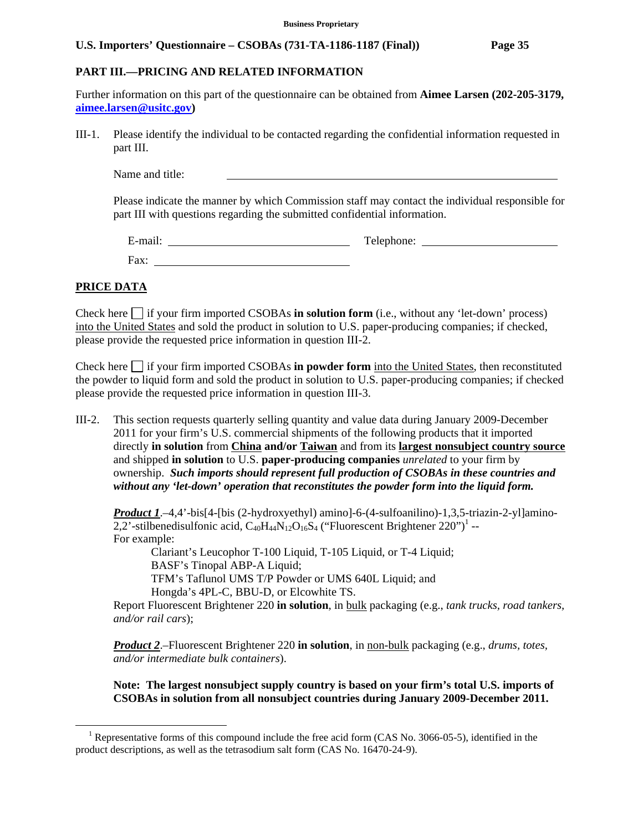### **PART III.—PRICING AND RELATED INFORMATION**

Further information on this part of the questionnaire can be obtained from **Aimee Larsen (202-205-3179, aimee.larsen@usitc.gov)**

III-1. Please identify the individual to be contacted regarding the confidential information requested in part III.

Name and title:

Please indicate the manner by which Commission staff may contact the individual responsible for part III with questions regarding the submitted confidential information.

E-mail: Telephone: Telephone: Telephone: Telephone: Telephone: Telephone: Telephone: Telephone: Telephone: Telephone: Telephone: Telephone: Telephone: Telephone: Telephone: Telephone: Telephone: Telephone: Telephone: Telep Fax:

### **PRICE DATA**

 $\overline{a}$ 

Check here  $\Box$  if your firm imported CSOBAs **in solution form** (i.e., without any 'let-down' process) into the United States and sold the product in solution to U.S. paper-producing companies; if checked, please provide the requested price information in question III-2.

Check here  $\Box$  if your firm imported CSOBAs **in powder form** into the United States, then reconstituted the powder to liquid form and sold the product in solution to U.S. paper-producing companies; if checked please provide the requested price information in question III-3.

III-2. This section requests quarterly selling quantity and value data during January 2009-December 2011 for your firm's U.S. commercial shipments of the following products that it imported directly **in solution** from **China and/or Taiwan** and from its **largest nonsubject country source** and shipped **in solution** to U.S. **paper-producing companies** *unrelated* to your firm by ownership. *Such imports should represent full production of CSOBAs in these countries and without any 'let-down' operation that reconstitutes the powder form into the liquid form.*

*Product 1.*–4,4'-bis[4-[bis (2-hydroxyethyl) amino]-6-(4-sulfoanilino)-1,3,5-triazin-2-yl]amino-2,2'-stilbenedisulfonic acid,  $C_{40}H_{44}N_{12}O_{16}S_4$  ("Fluorescent Brightener 220")<sup>1</sup> --For example:

 Clariant's Leucophor T-100 Liquid, T-105 Liquid, or T-4 Liquid; BASF's Tinopal ABP-A Liquid; TFM's Taflunol UMS T/P Powder or UMS 640L Liquid; and Hongda's 4PL-C, BBU-D, or Elcowhite TS.

Report Fluorescent Brightener 220 **in solution**, in bulk packaging (e.g., *tank trucks, road tankers, and/or rail cars*);

*Product 2*.–Fluorescent Brightener 220 **in solution**, in non-bulk packaging (e.g., *drums, totes, and/or intermediate bulk containers*).

**Note: The largest nonsubject supply country is based on your firm's total U.S. imports of CSOBAs in solution from all nonsubject countries during January 2009-December 2011.** 

<sup>&</sup>lt;sup>1</sup> Representative forms of this compound include the free acid form (CAS No. 3066-05-5), identified in the product descriptions, as well as the tetrasodium salt form (CAS No. 16470-24-9).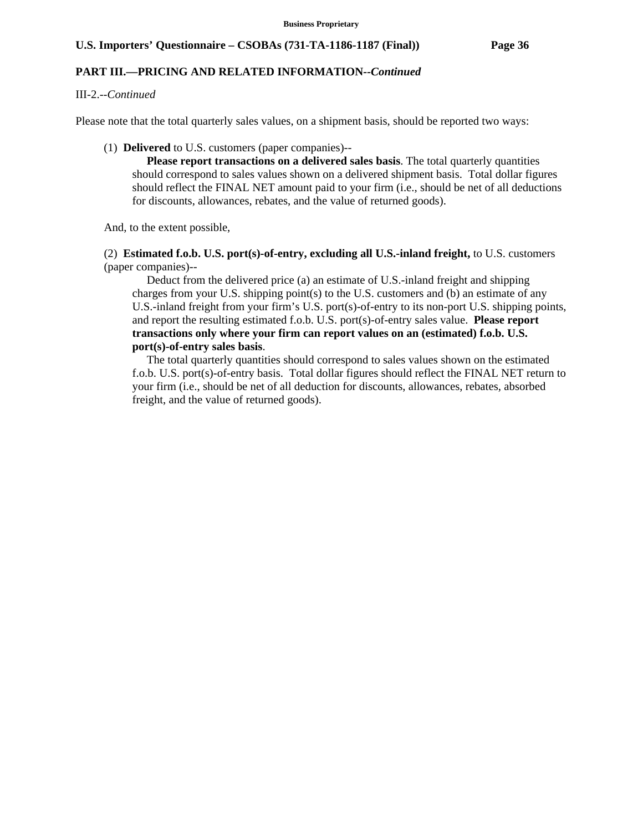### **PART III.—PRICING AND RELATED INFORMATION***--Continued*

### III-2.--*Continued*

Please note that the total quarterly sales values, on a shipment basis, should be reported two ways:

(1) **Delivered** to U.S. customers (paper companies)--

 **Please report transactions on a delivered sales basis**. The total quarterly quantities should correspond to sales values shown on a delivered shipment basis. Total dollar figures should reflect the FINAL NET amount paid to your firm (i.e., should be net of all deductions for discounts, allowances, rebates, and the value of returned goods).

And, to the extent possible,

 (2) **Estimated f.o.b. U.S. port(s)-of-entry, excluding all U.S.-inland freight,** to U.S. customers (paper companies)--

 Deduct from the delivered price (a) an estimate of U.S.-inland freight and shipping charges from your U.S. shipping point(s) to the U.S. customers and (b) an estimate of any U.S.-inland freight from your firm's U.S. port(s)-of-entry to its non-port U.S. shipping points, and report the resulting estimated f.o.b. U.S. port(s)-of-entry sales value. **Please report transactions only where your firm can report values on an (estimated) f.o.b. U.S. port(s)-of-entry sales basis**.

 The total quarterly quantities should correspond to sales values shown on the estimated f.o.b. U.S. port(s)-of-entry basis. Total dollar figures should reflect the FINAL NET return to your firm (i.e., should be net of all deduction for discounts, allowances, rebates, absorbed freight, and the value of returned goods).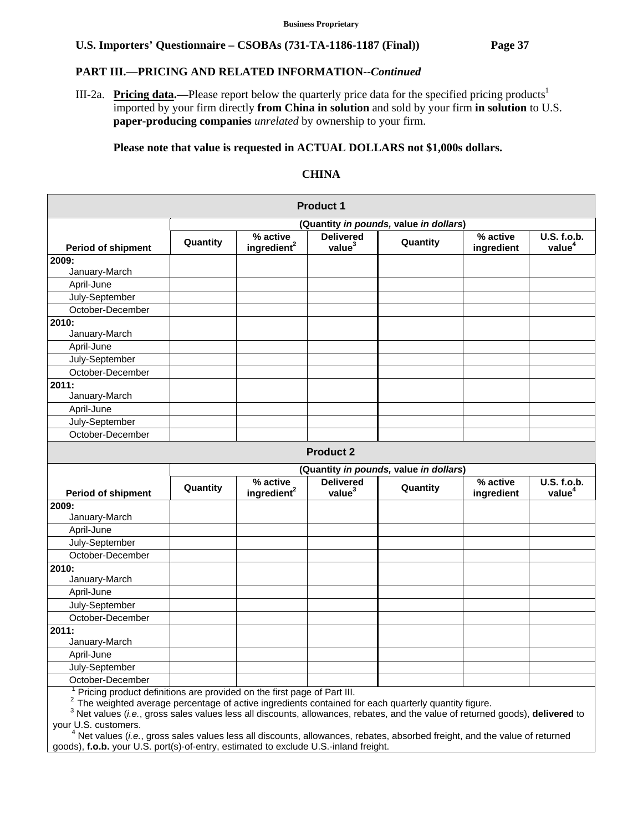### **PART III.—PRICING AND RELATED INFORMATION***--Continued*

III-2a. **Pricing data.**—Please report below the quarterly price data for the specified pricing products<sup>1</sup> imported by your firm directly **from China in solution** and sold by your firm **in solution** to U.S. **paper-producing companies** *unrelated* by ownership to your firm.

### **Please note that value is requested in ACTUAL DOLLARS not \$1,000s dollars.**

### **CHINA**

|                                                                                                  |                                        |                                     | <b>Product 1</b>                       |                                        |                        |                                   |  |  |
|--------------------------------------------------------------------------------------------------|----------------------------------------|-------------------------------------|----------------------------------------|----------------------------------------|------------------------|-----------------------------------|--|--|
|                                                                                                  | (Quantity in pounds, value in dollars) |                                     |                                        |                                        |                        |                                   |  |  |
| <b>Period of shipment</b>                                                                        | Quantity                               | % active<br>ingredient <sup>2</sup> | <b>Delivered</b><br>value <sup>3</sup> | Quantity                               | % active<br>ingredient | U.S. f.o.b.<br>value <sup>4</sup> |  |  |
| 2009:                                                                                            |                                        |                                     |                                        |                                        |                        |                                   |  |  |
| January-March                                                                                    |                                        |                                     |                                        |                                        |                        |                                   |  |  |
| April-June                                                                                       |                                        |                                     |                                        |                                        |                        |                                   |  |  |
| July-September                                                                                   |                                        |                                     |                                        |                                        |                        |                                   |  |  |
| October-December                                                                                 |                                        |                                     |                                        |                                        |                        |                                   |  |  |
| 2010:<br>January-March                                                                           |                                        |                                     |                                        |                                        |                        |                                   |  |  |
| April-June                                                                                       |                                        |                                     |                                        |                                        |                        |                                   |  |  |
| July-September                                                                                   |                                        |                                     |                                        |                                        |                        |                                   |  |  |
| October-December                                                                                 |                                        |                                     |                                        |                                        |                        |                                   |  |  |
| 2011:<br>January-March                                                                           |                                        |                                     |                                        |                                        |                        |                                   |  |  |
| April-June                                                                                       |                                        |                                     |                                        |                                        |                        |                                   |  |  |
| July-September                                                                                   |                                        |                                     |                                        |                                        |                        |                                   |  |  |
| October-December                                                                                 |                                        |                                     |                                        |                                        |                        |                                   |  |  |
|                                                                                                  |                                        |                                     | <b>Product 2</b>                       |                                        |                        |                                   |  |  |
|                                                                                                  |                                        |                                     |                                        | (Quantity in pounds, value in dollars) |                        |                                   |  |  |
| <b>Period of shipment</b>                                                                        | Quantity                               | % active<br>ingredient <sup>2</sup> | <b>Delivered</b><br>value <sup>3</sup> | Quantity                               | % active<br>ingredient | U.S. f.o.b.<br>value <sup>4</sup> |  |  |
| 2009:                                                                                            |                                        |                                     |                                        |                                        |                        |                                   |  |  |
| January-March                                                                                    |                                        |                                     |                                        |                                        |                        |                                   |  |  |
| April-June                                                                                       |                                        |                                     |                                        |                                        |                        |                                   |  |  |
| July-September                                                                                   |                                        |                                     |                                        |                                        |                        |                                   |  |  |
| October-December                                                                                 |                                        |                                     |                                        |                                        |                        |                                   |  |  |
| 2010:                                                                                            |                                        |                                     |                                        |                                        |                        |                                   |  |  |
| January-March                                                                                    |                                        |                                     |                                        |                                        |                        |                                   |  |  |
| April-June                                                                                       |                                        |                                     |                                        |                                        |                        |                                   |  |  |
| July-September                                                                                   |                                        |                                     |                                        |                                        |                        |                                   |  |  |
| October-December                                                                                 |                                        |                                     |                                        |                                        |                        |                                   |  |  |
| 2011:                                                                                            |                                        |                                     |                                        |                                        |                        |                                   |  |  |
| January-March                                                                                    |                                        |                                     |                                        |                                        |                        |                                   |  |  |
| April-June                                                                                       |                                        |                                     |                                        |                                        |                        |                                   |  |  |
| July-September                                                                                   |                                        |                                     |                                        |                                        |                        |                                   |  |  |
| October-December<br>$1$ Dirichar product definitions are provided on the first page of Dept III. |                                        |                                     |                                        |                                        |                        |                                   |  |  |

<sup>1</sup> Pricing product definitions are provided on the first page of Part III.<br>
<sup>2</sup> The weighted average percentage of active ingredients contained for each quarterly quantity figure.<br>
<sup>3</sup> Net values (*i.e.*, gross sales val your U.S. customers. 4

 Net values (*i.e.*, gross sales values less all discounts, allowances, rebates, absorbed freight, and the value of returned goods), **f.o.b.** your U.S. port(s)-of-entry, estimated to exclude U.S.-inland freight.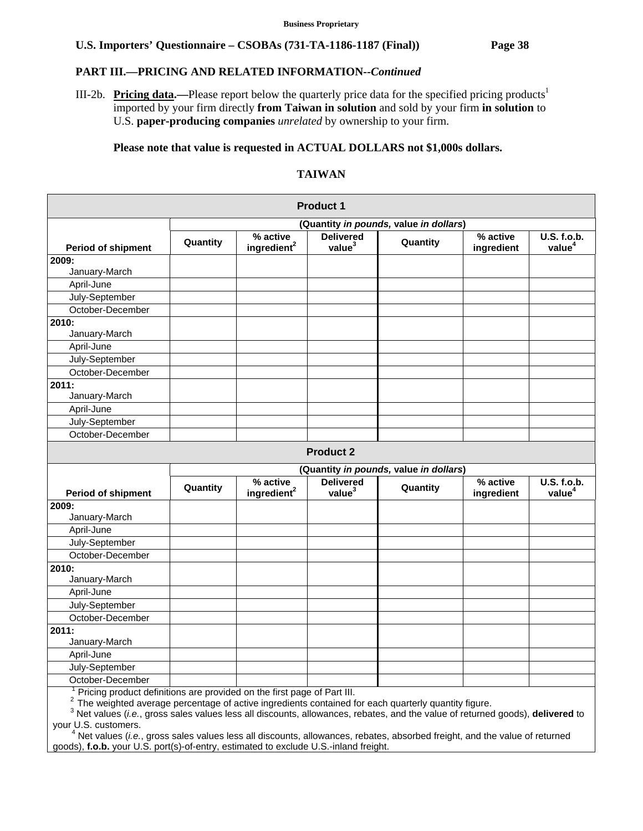### **PART III.—PRICING AND RELATED INFORMATION***--Continued*

III-2b. **Pricing data.—**Please report below the quarterly price data for the specified pricing products<sup>1</sup> imported by your firm directly **from Taiwan in solution** and sold by your firm **in solution** to U.S. **paper-producing companies** *unrelated* by ownership to your firm.

### **Please note that value is requested in ACTUAL DOLLARS not \$1,000s dollars.**

## **TAIWAN**

|                                                                            |                                        |                                     | <b>Product 1</b>                       |                                        |                        |                                   |  |  |
|----------------------------------------------------------------------------|----------------------------------------|-------------------------------------|----------------------------------------|----------------------------------------|------------------------|-----------------------------------|--|--|
|                                                                            | (Quantity in pounds, value in dollars) |                                     |                                        |                                        |                        |                                   |  |  |
| <b>Period of shipment</b>                                                  | Quantity                               | % active<br>ingredient <sup>2</sup> | <b>Delivered</b><br>value <sup>3</sup> | Quantity                               | % active<br>ingredient | U.S. f.o.b.<br>value <sup>4</sup> |  |  |
| 2009:                                                                      |                                        |                                     |                                        |                                        |                        |                                   |  |  |
| January-March                                                              |                                        |                                     |                                        |                                        |                        |                                   |  |  |
| April-June                                                                 |                                        |                                     |                                        |                                        |                        |                                   |  |  |
| July-September                                                             |                                        |                                     |                                        |                                        |                        |                                   |  |  |
| October-December                                                           |                                        |                                     |                                        |                                        |                        |                                   |  |  |
| 2010:<br>January-March                                                     |                                        |                                     |                                        |                                        |                        |                                   |  |  |
| April-June                                                                 |                                        |                                     |                                        |                                        |                        |                                   |  |  |
| July-September                                                             |                                        |                                     |                                        |                                        |                        |                                   |  |  |
| October-December                                                           |                                        |                                     |                                        |                                        |                        |                                   |  |  |
| 2011:<br>January-March                                                     |                                        |                                     |                                        |                                        |                        |                                   |  |  |
| April-June                                                                 |                                        |                                     |                                        |                                        |                        |                                   |  |  |
| July-September                                                             |                                        |                                     |                                        |                                        |                        |                                   |  |  |
| October-December                                                           |                                        |                                     |                                        |                                        |                        |                                   |  |  |
|                                                                            |                                        |                                     | <b>Product 2</b>                       |                                        |                        |                                   |  |  |
|                                                                            |                                        |                                     |                                        | (Quantity in pounds, value in dollars) |                        |                                   |  |  |
|                                                                            | Quantity                               | % active                            | <b>Delivered</b><br>value <sup>3</sup> | Quantity                               | % active               | U.S. f.o.b.<br>value <sup>4</sup> |  |  |
| <b>Period of shipment</b><br>2009:                                         |                                        | ingredient <sup>2</sup>             |                                        |                                        | ingredient             |                                   |  |  |
| January-March                                                              |                                        |                                     |                                        |                                        |                        |                                   |  |  |
| April-June                                                                 |                                        |                                     |                                        |                                        |                        |                                   |  |  |
| July-September                                                             |                                        |                                     |                                        |                                        |                        |                                   |  |  |
| October-December                                                           |                                        |                                     |                                        |                                        |                        |                                   |  |  |
| 2010:                                                                      |                                        |                                     |                                        |                                        |                        |                                   |  |  |
| January-March                                                              |                                        |                                     |                                        |                                        |                        |                                   |  |  |
| April-June                                                                 |                                        |                                     |                                        |                                        |                        |                                   |  |  |
| July-September                                                             |                                        |                                     |                                        |                                        |                        |                                   |  |  |
| October-December                                                           |                                        |                                     |                                        |                                        |                        |                                   |  |  |
| 2011:                                                                      |                                        |                                     |                                        |                                        |                        |                                   |  |  |
| January-March                                                              |                                        |                                     |                                        |                                        |                        |                                   |  |  |
| April-June                                                                 |                                        |                                     |                                        |                                        |                        |                                   |  |  |
| July-September                                                             |                                        |                                     |                                        |                                        |                        |                                   |  |  |
| October-December                                                           |                                        |                                     |                                        |                                        |                        |                                   |  |  |
| $1$ Driging product definitions are provided an the first pege of Dert III |                                        |                                     |                                        |                                        |                        |                                   |  |  |

Pricing product definitions are provided on the first page of Part III.<br>
<sup>2</sup> The weighted average percentage of active ingredients contained for each quarterly quantity figure.<br>
<sup>3</sup> Net values (*i.e.*, gross sales values your U.S. customers. 4

 Net values (*i.e.*, gross sales values less all discounts, allowances, rebates, absorbed freight, and the value of returned goods), **f.o.b.** your U.S. port(s)-of-entry, estimated to exclude U.S.-inland freight.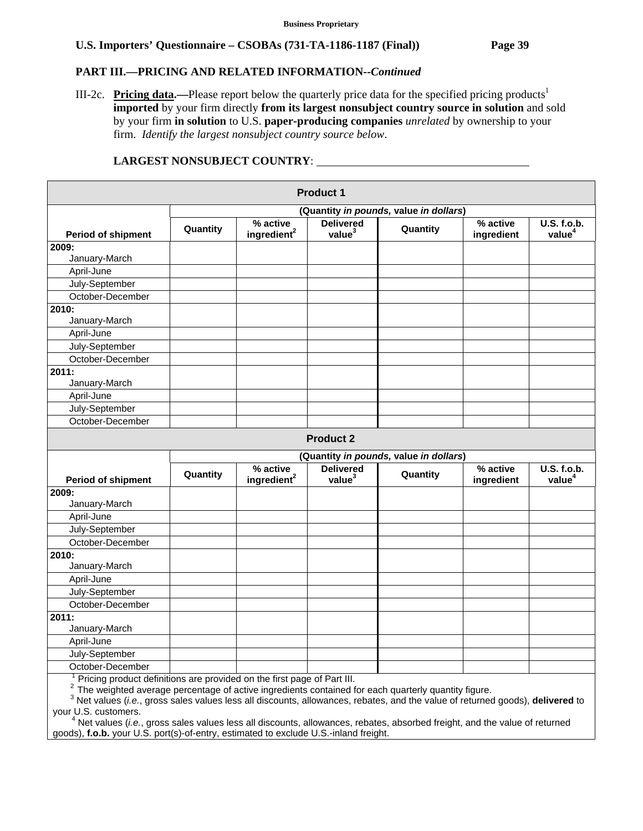### **PART III.—PRICING AND RELATED INFORMATION***--Continued*

III-2c. **Pricing data.—**Please report below the quarterly price data for the specified pricing products<sup>1</sup> **imported** by your firm directly **from its largest nonsubject country source in solution** and sold by your firm **in solution** to U.S. **paper-producing companies** *unrelated* by ownership to your firm. *Identify the largest nonsubject country source below*.

|                                                                         |          |                                     | <b>Product 1</b>                       |                                        |                        |                                   |
|-------------------------------------------------------------------------|----------|-------------------------------------|----------------------------------------|----------------------------------------|------------------------|-----------------------------------|
|                                                                         |          |                                     |                                        | (Quantity in pounds, value in dollars) |                        |                                   |
| <b>Period of shipment</b>                                               | Quantity | % active<br>ingredient <sup>2</sup> | <b>Delivered</b><br>value <sup>3</sup> | Quantity                               | % active<br>ingredient | U.S. f.o.b.<br>value <sup>4</sup> |
| 2009:                                                                   |          |                                     |                                        |                                        |                        |                                   |
| January-March                                                           |          |                                     |                                        |                                        |                        |                                   |
| April-June                                                              |          |                                     |                                        |                                        |                        |                                   |
| July-September                                                          |          |                                     |                                        |                                        |                        |                                   |
| October-December                                                        |          |                                     |                                        |                                        |                        |                                   |
| 2010:                                                                   |          |                                     |                                        |                                        |                        |                                   |
| January-March                                                           |          |                                     |                                        |                                        |                        |                                   |
| April-June                                                              |          |                                     |                                        |                                        |                        |                                   |
| July-September                                                          |          |                                     |                                        |                                        |                        |                                   |
| October-December                                                        |          |                                     |                                        |                                        |                        |                                   |
| 2011:                                                                   |          |                                     |                                        |                                        |                        |                                   |
| January-March                                                           |          |                                     |                                        |                                        |                        |                                   |
| April-June                                                              |          |                                     |                                        |                                        |                        |                                   |
| July-September                                                          |          |                                     |                                        |                                        |                        |                                   |
| October-December                                                        |          |                                     |                                        |                                        |                        |                                   |
|                                                                         |          |                                     | <b>Product 2</b>                       |                                        |                        |                                   |
|                                                                         |          |                                     |                                        | (Quantity in pounds, value in dollars) |                        |                                   |
| <b>Period of shipment</b>                                               | Quantity | % active<br>ingredient <sup>2</sup> | <b>Delivered</b><br>value <sup>3</sup> | Quantity                               | % active<br>ingredient | U.S. f.o.b.<br>value <sup>4</sup> |
| 2009:                                                                   |          |                                     |                                        |                                        |                        |                                   |
| January-March                                                           |          |                                     |                                        |                                        |                        |                                   |
| April-June                                                              |          |                                     |                                        |                                        |                        |                                   |
| July-September                                                          |          |                                     |                                        |                                        |                        |                                   |
| October-December                                                        |          |                                     |                                        |                                        |                        |                                   |
| 2010:                                                                   |          |                                     |                                        |                                        |                        |                                   |
| January-March                                                           |          |                                     |                                        |                                        |                        |                                   |
| April-June                                                              |          |                                     |                                        |                                        |                        |                                   |
| July-September                                                          |          |                                     |                                        |                                        |                        |                                   |
| October-December                                                        |          |                                     |                                        |                                        |                        |                                   |
| 2011:                                                                   |          |                                     |                                        |                                        |                        |                                   |
| January-March                                                           |          |                                     |                                        |                                        |                        |                                   |
| April-June                                                              |          |                                     |                                        |                                        |                        |                                   |
| July-September                                                          |          |                                     |                                        |                                        |                        |                                   |
| October-December                                                        |          |                                     |                                        |                                        |                        |                                   |
| Pricing product definitions are provided on the first page of Part III. |          |                                     |                                        |                                        |                        |                                   |

# **LARGEST NONSUBJECT COUNTRY**:

 $3$  The weighted average percentage of active ingredients contained for each quarterly quantity figure.<br> $3$  Net values (*i.e.*, gross sales values less all discounts, allowances, rebates, and the value of returned goods),

your U.S. customers. 4 Net values (*i.e.*, gross sales values less all discounts, allowances, rebates, absorbed freight, and the value of returned goods), **f.o.b.** your U.S. port(s)-of-entry, estimated to exclude U.S.-inland freight.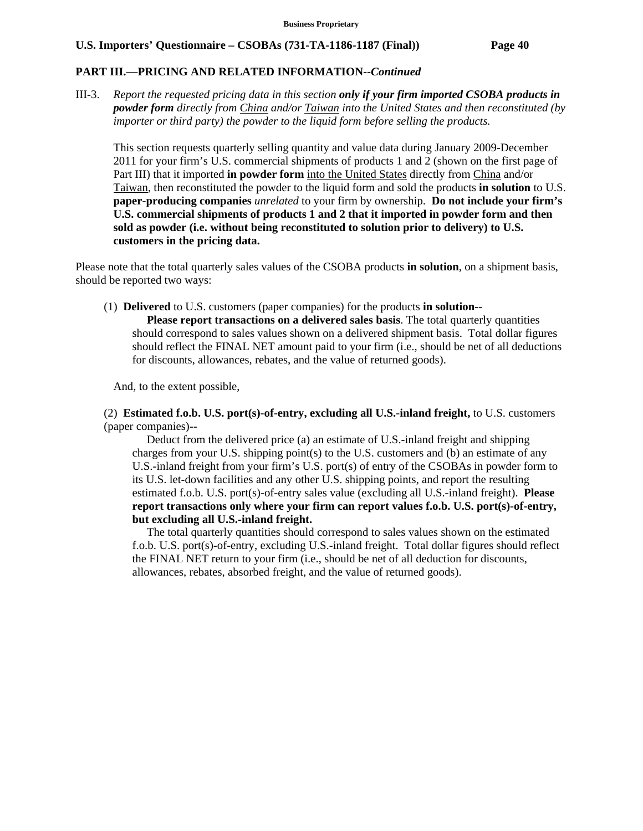### **PART III.—PRICING AND RELATED INFORMATION***--Continued*

III-3. *Report the requested pricing data in this section only if your firm imported CSOBA products in powder form directly from China and/or Taiwan into the United States and then reconstituted (by importer or third party) the powder to the liquid form before selling the products.* 

 This section requests quarterly selling quantity and value data during January 2009-December 2011 for your firm's U.S. commercial shipments of products 1 and 2 (shown on the first page of Part III) that it imported **in powder form** into the United States directly from China and/or Taiwan, then reconstituted the powder to the liquid form and sold the products **in solution** to U.S. **paper-producing companies** *unrelated* to your firm by ownership. **Do not include your firm's U.S. commercial shipments of products 1 and 2 that it imported in powder form and then sold as powder (i.e. without being reconstituted to solution prior to delivery) to U.S. customers in the pricing data.** 

Please note that the total quarterly sales values of the CSOBA products **in solution**, on a shipment basis, should be reported two ways:

(1) **Delivered** to U.S. customers (paper companies) for the products **in solution**--

 **Please report transactions on a delivered sales basis**. The total quarterly quantities should correspond to sales values shown on a delivered shipment basis. Total dollar figures should reflect the FINAL NET amount paid to your firm (i.e., should be net of all deductions for discounts, allowances, rebates, and the value of returned goods).

And, to the extent possible,

 (2) **Estimated f.o.b. U.S. port(s)-of-entry, excluding all U.S.-inland freight,** to U.S. customers (paper companies)--

 Deduct from the delivered price (a) an estimate of U.S.-inland freight and shipping charges from your U.S. shipping point(s) to the U.S. customers and (b) an estimate of any U.S.-inland freight from your firm's U.S. port(s) of entry of the CSOBAs in powder form to its U.S. let-down facilities and any other U.S. shipping points, and report the resulting estimated f.o.b. U.S. port(s)-of-entry sales value (excluding all U.S.-inland freight). **Please report transactions only where your firm can report values f.o.b. U.S. port(s)-of-entry, but excluding all U.S.-inland freight.**

 The total quarterly quantities should correspond to sales values shown on the estimated f.o.b. U.S. port(s)-of-entry, excluding U.S.-inland freight. Total dollar figures should reflect the FINAL NET return to your firm (i.e., should be net of all deduction for discounts, allowances, rebates, absorbed freight, and the value of returned goods).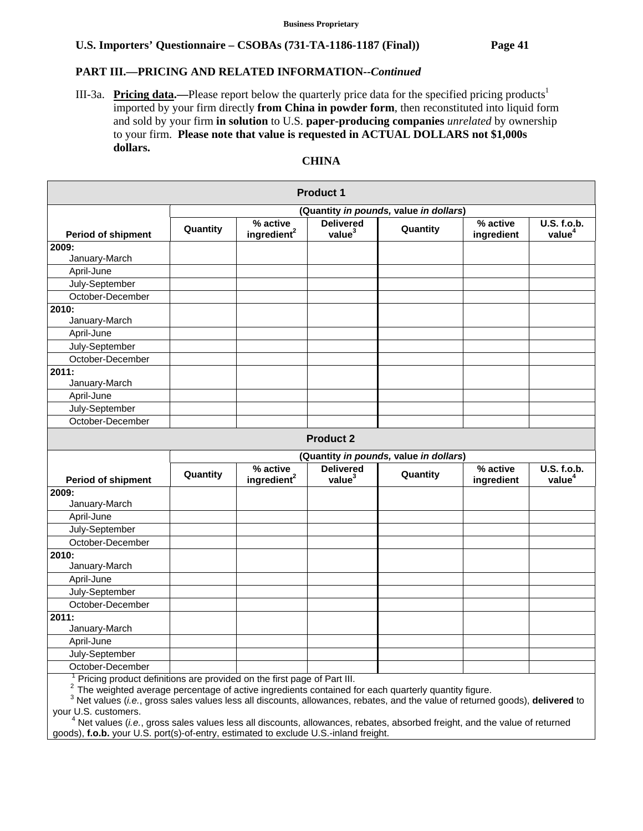## **PART III.—PRICING AND RELATED INFORMATION***--Continued*

III-3a. **Pricing data.**—Please report below the quarterly price data for the specified pricing products<sup>1</sup> imported by your firm directly **from China in powder form**, then reconstituted into liquid form and sold by your firm **in solution** to U.S. **paper-producing companies** *unrelated* by ownership to your firm. **Please note that value is requested in ACTUAL DOLLARS not \$1,000s dollars.**

#### **Product 1 Period of shipment (Quantity** *in pounds,* **value** *in dollars***) Quantity % active ingredient<sup>2</sup> Delivered**<br>**ingredient<sup>2</sup>** value<sup>3</sup> **value3 Quantity % active ingredient U.S. f.o.b. value4 2009:**  January-March April-June July-September October-December **2010:**  January-March April-June July-September October-December **2011:**  January-March April-June July-September October-December **Product 2 Period of shipment (Quantity** *in pounds,* **value** *in dollars***) Quantity % active ingredient2 Delivered value3 Quantity % active ingredient U.S. f.o.b. value4 2009:**  January-March April-June July-September October-December **2010:**  January-March April-June July-September October-December **2011:**  January-March April-June July-September October-December <sup>1</sup> Pricing product definitions are provided on the first page of Part III.

# **CHINA**

<sup>2</sup> The weighted average percentage of active ingredients contained for each quarterly quantity figure.<br><sup>3</sup> Net values (*i.e.*, gross sales values less all discounts, allowances, rebates, and the value of returned goods),

your U.S. customers. 4

<sup>4</sup> Net values (*i.e.*, gross sales values less all discounts, allowances, rebates, absorbed freight, and the value of returned goods), **f.o.b.** your U.S. port(s)-of-entry, estimated to exclude U.S.-inland freight.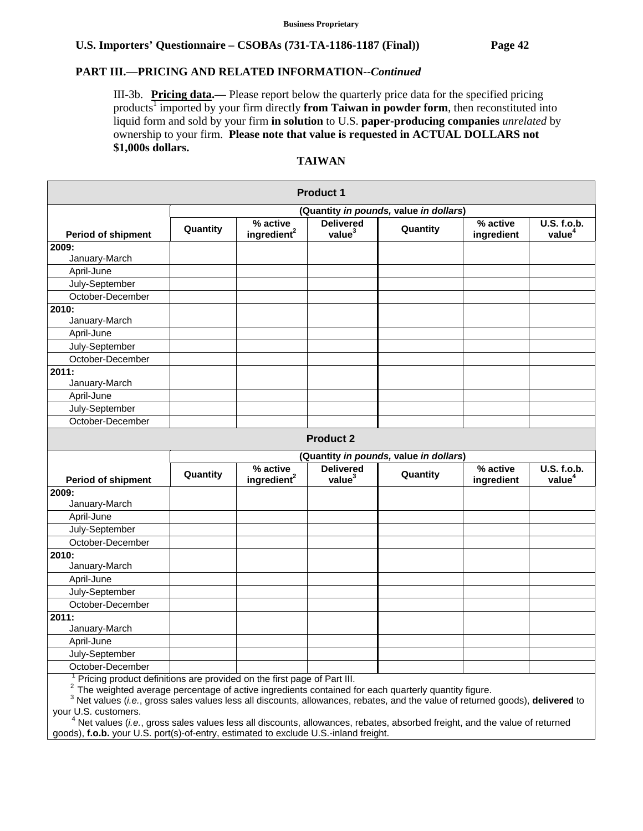# **PART III.—PRICING AND RELATED INFORMATION***--Continued*

III-3b. **Pricing data.—** Please report below the quarterly price data for the specified pricing products<sup>1</sup> imported by your firm directly from Taiwan in powder form, then reconstituted into liquid form and sold by your firm **in solution** to U.S. **paper-producing companies** *unrelated* by ownership to your firm. **Please note that value is requested in ACTUAL DOLLARS not \$1,000s dollars.**

#### **Product 1 Period of shipment (Quantity** *in pounds,* **value** *in dollars***) Quantity % active ingredient<sup>2</sup> Delivered**<br>**ingredient<sup>2</sup>** value<sup>3</sup> **value3 Quantity % active ingredient U.S. f.o.b. value4 2009:**  January-March April-June July-September October-December **2010:**  January-March April-June July-September October-December **2011:**  January-March April-June July-September October-December **Product 2 Period of shipment (Quantity** *in pounds,* **value** *in dollars***) Quantity % active ingredient2 Delivered value3 Quantity % active ingredient U.S. f.o.b. value4 2009:**  January-March April-June July-September October-December **2010:**  January-March April-June July-September October-December **2011:**  January-March April-June July-September October-December <sup>1</sup> Pricing product definitions are provided on the first page of Part III.

**TAIWAN** 

<sup>2</sup> The weighted average percentage of active ingredients contained for each quarterly quantity figure.<br><sup>3</sup> Net values (*i.e.*, gross sales values less all discounts, allowances, rebates, and the value of returned goods),

your U.S. customers. 4

<sup>4</sup> Net values (*i.e.*, gross sales values less all discounts, allowances, rebates, absorbed freight, and the value of returned goods), **f.o.b.** your U.S. port(s)-of-entry, estimated to exclude U.S.-inland freight.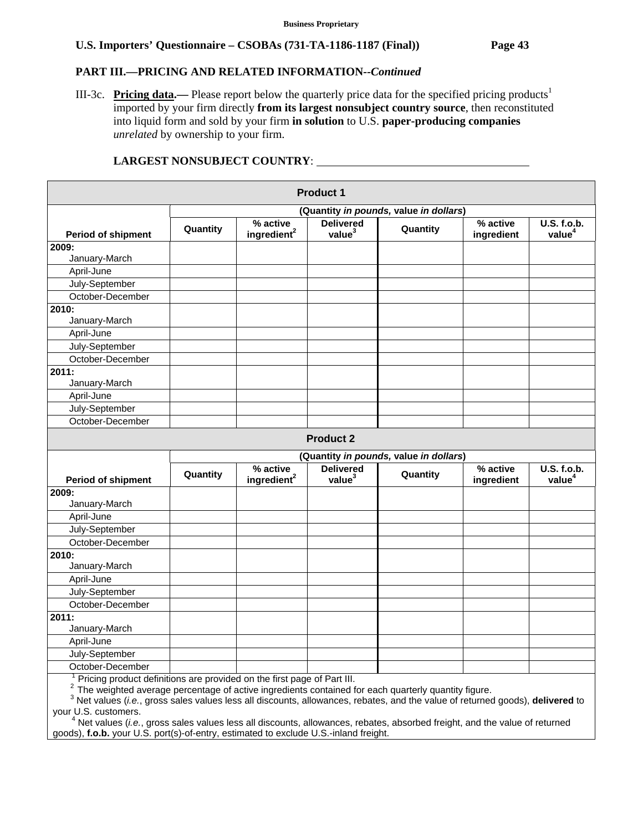### **PART III.—PRICING AND RELATED INFORMATION***--Continued*

III-3c. **Pricing data.**— Please report below the quarterly price data for the specified pricing products<sup>1</sup> imported by your firm directly **from its largest nonsubject country source**, then reconstituted into liquid form and sold by your firm **in solution** to U.S. **paper-producing companies** *unrelated* by ownership to your firm.

|                                                                                                                                                                                          |          |                                     | <b>Product 1</b>                       |                                        |                        |                                          |
|------------------------------------------------------------------------------------------------------------------------------------------------------------------------------------------|----------|-------------------------------------|----------------------------------------|----------------------------------------|------------------------|------------------------------------------|
|                                                                                                                                                                                          |          |                                     |                                        | (Quantity in pounds, value in dollars) |                        |                                          |
| <b>Period of shipment</b>                                                                                                                                                                | Quantity | % active<br>ingredient <sup>2</sup> | <b>Delivered</b><br>value <sup>3</sup> | Quantity                               | % active<br>ingredient | U.S. f.o.b.<br>value <sup>4</sup>        |
| 2009:                                                                                                                                                                                    |          |                                     |                                        |                                        |                        |                                          |
| January-March                                                                                                                                                                            |          |                                     |                                        |                                        |                        |                                          |
| April-June                                                                                                                                                                               |          |                                     |                                        |                                        |                        |                                          |
| July-September                                                                                                                                                                           |          |                                     |                                        |                                        |                        |                                          |
| October-December                                                                                                                                                                         |          |                                     |                                        |                                        |                        |                                          |
| 2010:                                                                                                                                                                                    |          |                                     |                                        |                                        |                        |                                          |
| January-March                                                                                                                                                                            |          |                                     |                                        |                                        |                        |                                          |
| April-June                                                                                                                                                                               |          |                                     |                                        |                                        |                        |                                          |
| July-September                                                                                                                                                                           |          |                                     |                                        |                                        |                        |                                          |
| October-December                                                                                                                                                                         |          |                                     |                                        |                                        |                        |                                          |
| 2011:                                                                                                                                                                                    |          |                                     |                                        |                                        |                        |                                          |
| January-March                                                                                                                                                                            |          |                                     |                                        |                                        |                        |                                          |
| April-June                                                                                                                                                                               |          |                                     |                                        |                                        |                        |                                          |
| July-September                                                                                                                                                                           |          |                                     |                                        |                                        |                        |                                          |
| October-December                                                                                                                                                                         |          |                                     |                                        |                                        |                        |                                          |
|                                                                                                                                                                                          |          |                                     | <b>Product 2</b>                       |                                        |                        |                                          |
|                                                                                                                                                                                          |          |                                     |                                        | (Quantity in pounds, value in dollars) |                        |                                          |
| <b>Period of shipment</b>                                                                                                                                                                | Quantity | % active<br>ingredient <sup>2</sup> | <b>Delivered</b><br>value <sup>3</sup> | Quantity                               | % active<br>ingredient | <b>U.S. f.o.b.</b><br>value <sup>4</sup> |
| 2009:                                                                                                                                                                                    |          |                                     |                                        |                                        |                        |                                          |
| January-March                                                                                                                                                                            |          |                                     |                                        |                                        |                        |                                          |
| April-June                                                                                                                                                                               |          |                                     |                                        |                                        |                        |                                          |
| July-September                                                                                                                                                                           |          |                                     |                                        |                                        |                        |                                          |
| October-December                                                                                                                                                                         |          |                                     |                                        |                                        |                        |                                          |
| 2010:<br>January-March                                                                                                                                                                   |          |                                     |                                        |                                        |                        |                                          |
| April-June                                                                                                                                                                               |          |                                     |                                        |                                        |                        |                                          |
| July-September                                                                                                                                                                           |          |                                     |                                        |                                        |                        |                                          |
| October-December                                                                                                                                                                         |          |                                     |                                        |                                        |                        |                                          |
| 2011:                                                                                                                                                                                    |          |                                     |                                        |                                        |                        |                                          |
| January-March                                                                                                                                                                            |          |                                     |                                        |                                        |                        |                                          |
| April-June                                                                                                                                                                               |          |                                     |                                        |                                        |                        |                                          |
| July-September                                                                                                                                                                           |          |                                     |                                        |                                        |                        |                                          |
| October-December                                                                                                                                                                         |          |                                     |                                        |                                        |                        |                                          |
| Pricing product definitions are provided on the first page of Part III.<br>$2\degree$ The weighted average perceptage of active ingredients contained for each quarterly quantity figure |          |                                     |                                        |                                        |                        |                                          |

# **LARGEST NONSUBJECT COUNTRY**:

⊺ The weighted average percentage of active ingredients contained for each quarterly quantity figure.<br><sup>3</sup> Net values (*i.e.*, gross sales values less all discounts, allowances, rebates, and the value of returned goods), your U.S. customers. 4

 Net values (*i.e.*, gross sales values less all discounts, allowances, rebates, absorbed freight, and the value of returned goods), **f.o.b.** your U.S. port(s)-of-entry, estimated to exclude U.S.-inland freight.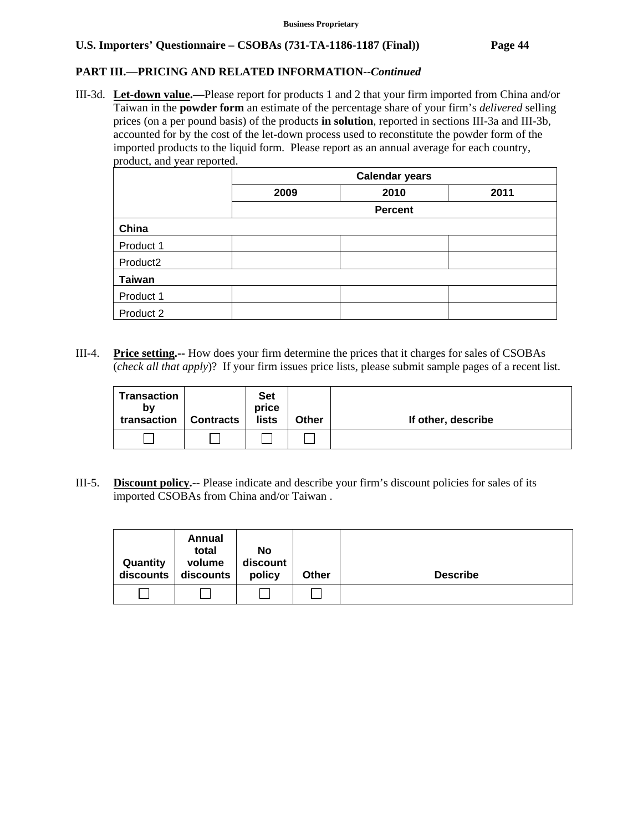# **PART III.—PRICING AND RELATED INFORMATION***--Continued*

III-3d. **Let-down value.—**Please report for products 1 and 2 that your firm imported from China and/or Taiwan in the **powder form** an estimate of the percentage share of your firm's *delivered* selling prices (on a per pound basis) of the products **in solution**, reported in sections III-3a and III-3b, accounted for by the cost of the let-down process used to reconstitute the powder form of the imported products to the liquid form. Please report as an annual average for each country, product, and year reported.

|                      | <b>Calendar years</b> |      |      |  |  |
|----------------------|-----------------------|------|------|--|--|
|                      | 2009                  | 2010 | 2011 |  |  |
|                      | <b>Percent</b>        |      |      |  |  |
| China                |                       |      |      |  |  |
| Product 1            |                       |      |      |  |  |
| Product <sub>2</sub> |                       |      |      |  |  |
| <b>Taiwan</b>        |                       |      |      |  |  |
| Product 1            |                       |      |      |  |  |
| Product 2            |                       |      |      |  |  |

III-4. **Price setting.--** How does your firm determine the prices that it charges for sales of CSOBAs (*check all that apply*)? If your firm issues price lists, please submit sample pages of a recent list.

| Transaction<br>b٧<br>transaction | <b>Contracts</b> | <b>Set</b><br>price<br>lists | <b>Other</b> | If other, describe |
|----------------------------------|------------------|------------------------------|--------------|--------------------|
|                                  |                  |                              |              |                    |

III-5. **Discount policy.--** Please indicate and describe your firm's discount policies for sales of its imported CSOBAs from China and/or Taiwan .

| Quantity<br>discounts | Annual<br>total<br>volume<br>discounts | No<br>discount<br>policy | <b>Other</b> | <b>Describe</b> |
|-----------------------|----------------------------------------|--------------------------|--------------|-----------------|
|                       |                                        |                          |              |                 |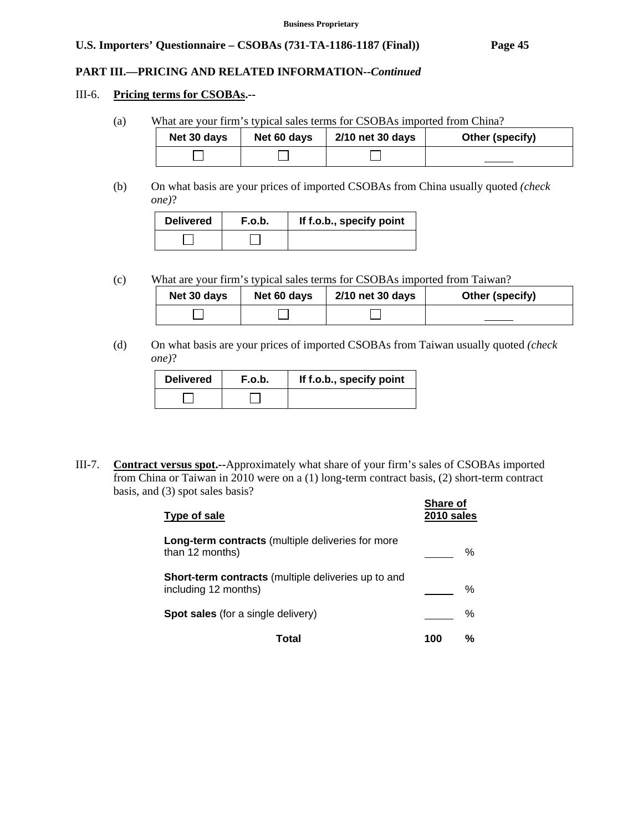### **PART III.—PRICING AND RELATED INFORMATION***--Continued*

#### III-6. **Pricing terms for CSOBAs.--**

(a) What are your firm's typical sales terms for CSOBAs imported from China?

| Net 30 days | Net 60 days | 2/10 net 30 days | Other (specify) |
|-------------|-------------|------------------|-----------------|
|             |             |                  |                 |

(b) On what basis are your prices of imported CSOBAs from China usually quoted *(check one)*?

| <b>Delivered</b> | F.o.b. | If f.o.b., specify point |
|------------------|--------|--------------------------|
|                  |        |                          |

(c) What are your firm's typical sales terms for CSOBAs imported from Taiwan?

| Net 30 days | Net 60 days | 2/10 net 30 days | Other (specify) |
|-------------|-------------|------------------|-----------------|
|             |             |                  |                 |

(d) On what basis are your prices of imported CSOBAs from Taiwan usually quoted *(check one)*?

| <b>Delivered</b> | F.o.b. | If f.o.b., specify point |
|------------------|--------|--------------------------|
|                  |        |                          |

III-7. **Contract versus spot.--**Approximately what share of your firm's sales of CSOBAs imported from China or Taiwan in 2010 were on a (1) long-term contract basis, (2) short-term contract basis, and (3) spot sales basis?

| Type of sale                                                                       | <b>Share of</b><br>2010 sales |   |
|------------------------------------------------------------------------------------|-------------------------------|---|
| Long-term contracts (multiple deliveries for more<br>than 12 months)               |                               | ℅ |
| <b>Short-term contracts</b> (multiple deliveries up to and<br>including 12 months) |                               | ℅ |
| <b>Spot sales</b> (for a single delivery)                                          |                               | % |
| Total                                                                              | 100                           | ℅ |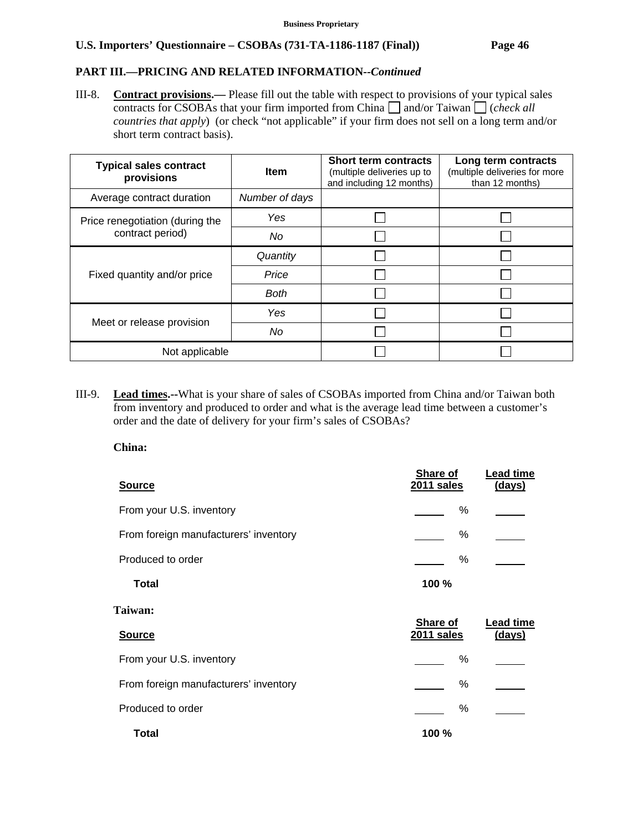# **PART III.—PRICING AND RELATED INFORMATION***--Continued*

III-8. **Contract provisions.—** Please fill out the table with respect to provisions of your typical sales contracts for CSOBAs that your firm imported from China  $\Box$  and/or Taiwan  $\Box$  (*check all countries that apply*) (or check "not applicable" if your firm does not sell on a long term and/or short term contract basis).

| <b>Typical sales contract</b><br>provisions | <b>Item</b>    | <b>Short term contracts</b><br>(multiple deliveries up to<br>and including 12 months) | Long term contracts<br>(multiple deliveries for more<br>than 12 months) |
|---------------------------------------------|----------------|---------------------------------------------------------------------------------------|-------------------------------------------------------------------------|
| Average contract duration                   | Number of days |                                                                                       |                                                                         |
| Price renegotiation (during the             | Yes            |                                                                                       |                                                                         |
| contract period)                            | No             |                                                                                       |                                                                         |
|                                             | Quantity       |                                                                                       |                                                                         |
| Fixed quantity and/or price                 | Price          |                                                                                       |                                                                         |
|                                             | <b>Both</b>    |                                                                                       |                                                                         |
|                                             | Yes            |                                                                                       |                                                                         |
| Meet or release provision                   | No             |                                                                                       |                                                                         |
| Not applicable                              |                |                                                                                       |                                                                         |

III-9. **Lead times.--**What is your share of sales of CSOBAs imported from China and/or Taiwan both from inventory and produced to order and what is the average lead time between a customer's order and the date of delivery for your firm's sales of CSOBAs?

**China:** 

| <b>Source</b>                         | Share of<br>2011 sales        | Lead time<br>(days) |
|---------------------------------------|-------------------------------|---------------------|
| From your U.S. inventory              | %                             |                     |
| From foreign manufacturers' inventory | %                             |                     |
| Produced to order                     | %                             |                     |
| <b>Total</b>                          | 100 %                         |                     |
| <b>Taiwan:</b>                        |                               |                     |
| <b>Source</b>                         | Share of<br><b>2011 sales</b> | Lead time<br>(days) |
| From your U.S. inventory              | %                             |                     |
|                                       |                               |                     |
| From foreign manufacturers' inventory | %                             |                     |
| Produced to order                     | %                             |                     |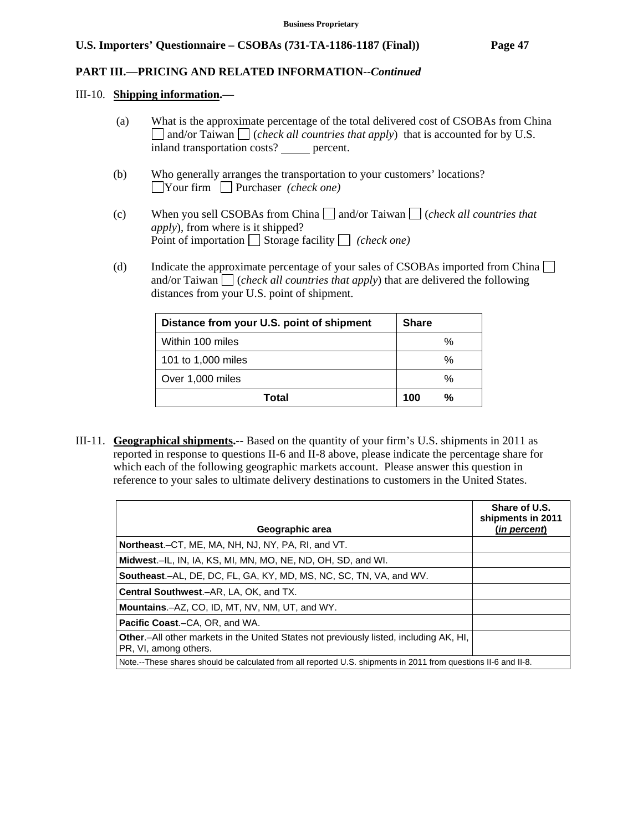### **PART III.—PRICING AND RELATED INFORMATION***--Continued*

#### III-10. **Shipping information.—**

- (a) What is the approximate percentage of the total delivered cost of CSOBAs from China and/or Taiwan (*check all countries that apply*) that is accounted for by U.S. inland transportation costs? percent.
- (b) Who generally arranges the transportation to your customers' locations? Your firm Purchaser *(check one)*
- (c) When you sell CSOBAs from China  $\Box$  and/or Taiwan  $\Box$  (*check all countries that apply*), from where is it shipped? Point of importation  $\Box$  Storage facility  $\Box$  *(check one)*
- (d) Indicate the approximate percentage of your sales of CSOBAs imported from China  $\Box$ and/or Taiwan  $\Box$  (*check all countries that apply*) that are delivered the following distances from your U.S. point of shipment.

| Distance from your U.S. point of shipment | <b>Share</b> |
|-------------------------------------------|--------------|
| Within 100 miles                          | %            |
| 101 to 1,000 miles                        | %            |
| Over 1,000 miles                          | %            |
| Total                                     | 100<br>%     |

III-11. **Geographical shipments.--** Based on the quantity of your firm's U.S. shipments in 2011 as reported in response to questions II-6 and II-8 above, please indicate the percentage share for which each of the following geographic markets account. Please answer this question in reference to your sales to ultimate delivery destinations to customers in the United States.

|                                                                                                                         | Share of U.S.<br>shipments in 2011 |
|-------------------------------------------------------------------------------------------------------------------------|------------------------------------|
| Geographic area                                                                                                         | <u>(in percent)</u>                |
| Northeast.–CT, ME, MA, NH, NJ, NY, PA, RI, and VT.                                                                      |                                    |
| Midwest.-IL, IN, IA, KS, MI, MN, MO, NE, ND, OH, SD, and WI.                                                            |                                    |
| <b>Southeast.–AL, DE, DC, FL, GA, KY, MD, MS, NC, SC, TN, VA, and WV.</b>                                               |                                    |
| <b>Central Southwest.–AR, LA, OK, and TX.</b>                                                                           |                                    |
| <b>Mountains.</b> -AZ, CO, ID, MT, NV, NM, UT, and WY.                                                                  |                                    |
| <b>Pacific Coast.–CA, OR, and WA.</b>                                                                                   |                                    |
| <b>Other.</b> —All other markets in the United States not previously listed, including AK, HI,<br>PR, VI, among others. |                                    |
| Note.--These shares should be calculated from all reported U.S. shipments in 2011 from questions II-6 and II-8.         |                                    |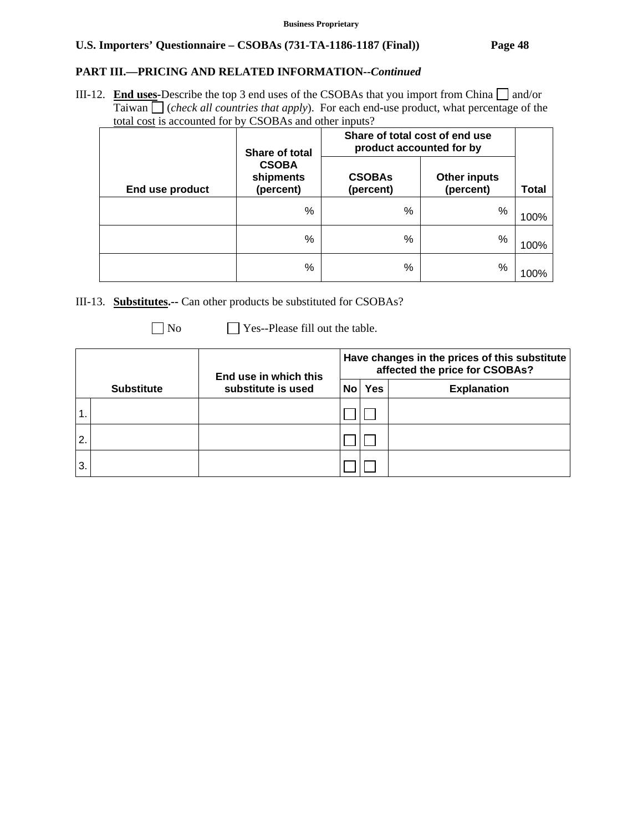# **PART III.—PRICING AND RELATED INFORMATION***--Continued*

III-12. **End uses-**Describe the top 3 end uses of the CSOBAs that you import from China  $\Box$  and/or Taiwan (*check all countries that apply*). For each end-use product, what percentage of the total cost is accounted for by CSOBAs and other inputs?

|                 | Share of total                         | Share of total cost of end use<br>product accounted for by |                                  |       |
|-----------------|----------------------------------------|------------------------------------------------------------|----------------------------------|-------|
| End use product | <b>CSOBA</b><br>shipments<br>(percent) | <b>CSOBAs</b><br>(percent)                                 | <b>Other inputs</b><br>(percent) | Total |
|                 | %                                      | %                                                          | %                                | 100%  |
|                 | %                                      | %                                                          | %                                | 100%  |
|                 | %                                      | %                                                          | %                                | 100%  |

III-13. **Substitutes.--** Can other products be substituted for CSOBAs?

| ۰. |
|----|
|    |

 $\Box$  Yes--Please fill out the table.

|                |                   | End use in which this | Have changes in the prices of this substitute<br>affected the price for CSOBAs? |     |                    |
|----------------|-------------------|-----------------------|---------------------------------------------------------------------------------|-----|--------------------|
|                | <b>Substitute</b> | substitute is used    | No l                                                                            | Yes | <b>Explanation</b> |
| 1              |                   |                       |                                                                                 |     |                    |
| $\overline{2}$ |                   |                       |                                                                                 |     |                    |
| 3              |                   |                       |                                                                                 |     |                    |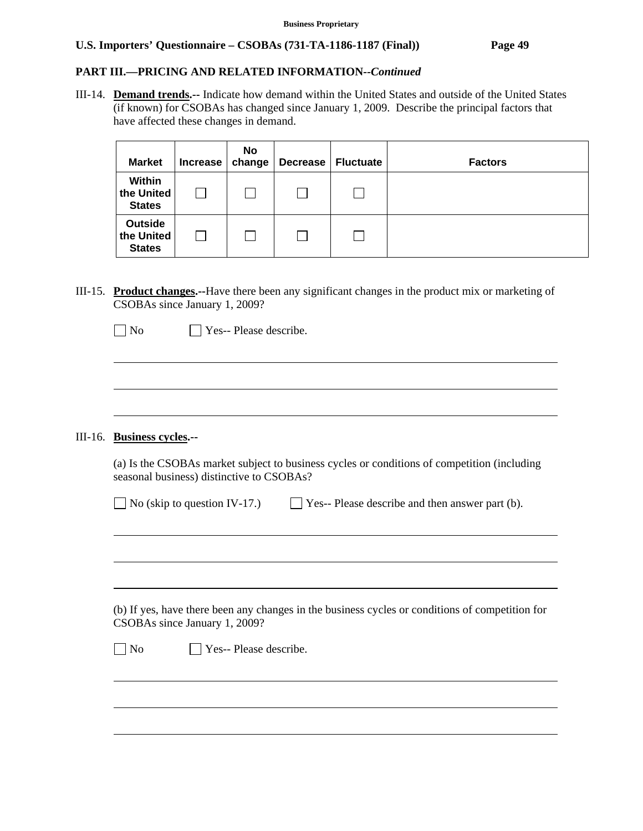### **PART III.—PRICING AND RELATED INFORMATION***--Continued*

III-14. **Demand trends.--** Indicate how demand within the United States and outside of the United States (if known) for CSOBAs has changed since January 1, 2009. Describe the principal factors that have affected these changes in demand.

| <b>Market</b>                                 | Increase | <b>No</b><br>change | <b>Decrease</b> | <b>Fluctuate</b> | <b>Factors</b> |
|-----------------------------------------------|----------|---------------------|-----------------|------------------|----------------|
| Within<br>the United<br><b>States</b>         |          |                     |                 |                  |                |
| <b>Outside</b><br>the United<br><b>States</b> |          | L.                  |                 |                  |                |

III-15. **Product changes.--**Have there been any significant changes in the product mix or marketing of CSOBAs since January 1, 2009?

### III-16. **Business cycles.--**

 $\overline{a}$ 

 $\overline{a}$ 

 $\overline{a}$ 

| (a) Is the CSOBAs market subject to business cycles or conditions of competition (including |  |
|---------------------------------------------------------------------------------------------|--|
| seasonal business) distinctive to CSOBAs?                                                   |  |

| $\Box$ No (skip to question IV-17.) | $\Box$ Yes-- Please describe and then answer part (b). |
|-------------------------------------|--------------------------------------------------------|
|-------------------------------------|--------------------------------------------------------|

 (b) If yes, have there been any changes in the business cycles or conditions of competition for CSOBAs since January 1, 2009?

No **Yes-- Please describe.**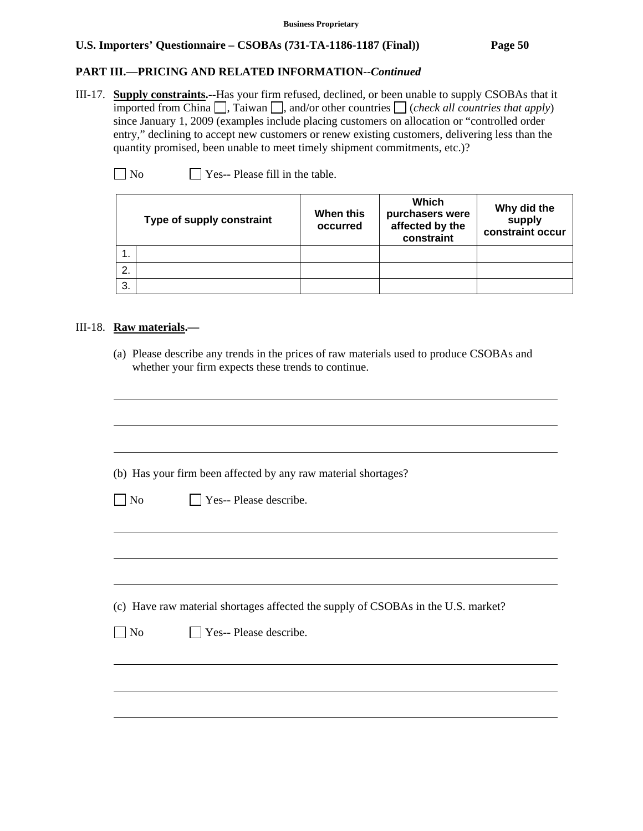# **PART III.—PRICING AND RELATED INFORMATION***--Continued*

III-17. **Supply constraints.--**Has your firm refused, declined, or been unable to supply CSOBAs that it imported from China  $\Box$ , Taiwan  $\Box$ , and/or other countries  $\Box$  (*check all countries that apply*) since January 1, 2009 (examples include placing customers on allocation or "controlled order entry," declining to accept new customers or renew existing customers, delivering less than the quantity promised, been unable to meet timely shipment commitments, etc.)?

 $\Box$  No  $\Box$  Yes-- Please fill in the table.

| Type of supply constraint |  | When this<br>occurred | Which<br>purchasers were<br>affected by the<br>constraint | Why did the<br>supply<br>constraint occur |
|---------------------------|--|-----------------------|-----------------------------------------------------------|-------------------------------------------|
|                           |  |                       |                                                           |                                           |
| 2.                        |  |                       |                                                           |                                           |
| 3.                        |  |                       |                                                           |                                           |

### III-18. **Raw materials.—**

l

(a) Please describe any trends in the prices of raw materials used to produce CSOBAs and whether your firm expects these trends to continue.

|                | (b) Has your firm been affected by any raw material shortages?                    |
|----------------|-----------------------------------------------------------------------------------|
| N <sub>o</sub> | $\Box$ Yes-- Please describe.                                                     |
|                |                                                                                   |
|                |                                                                                   |
|                | (c) Have raw material shortages affected the supply of CSOBAs in the U.S. market? |
| $\log$         | $\Box$ Yes-- Please describe.                                                     |
|                |                                                                                   |
|                |                                                                                   |
|                |                                                                                   |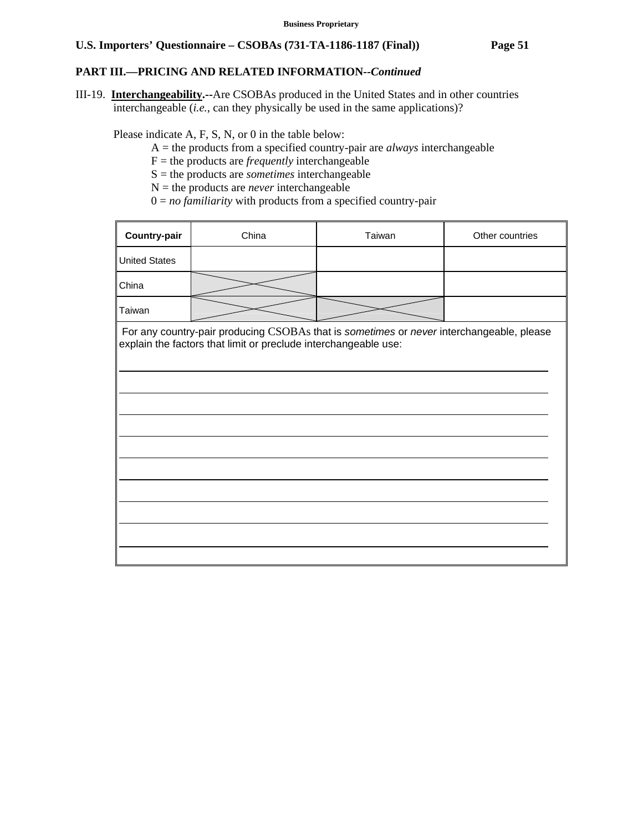### **PART III.—PRICING AND RELATED INFORMATION***--Continued*

III-19. **Interchangeability.--**Are CSOBAs produced in the United States and in other countries interchangeable (*i.e.*, can they physically be used in the same applications)?

Please indicate A, F, S, N, or 0 in the table below:

- A = the products from a specified country-pair are *always* interchangeable
- F = the products are *frequently* interchangeable
- S = the products are *sometimes* interchangeable
- $N =$  the products are *never* interchangeable
- $0 = no$  *familiarity* with products from a specified country-pair

| <b>Country-pair</b>  | China                                                           | Taiwan                                                                                   | Other countries |
|----------------------|-----------------------------------------------------------------|------------------------------------------------------------------------------------------|-----------------|
| <b>United States</b> |                                                                 |                                                                                          |                 |
| China                |                                                                 |                                                                                          |                 |
| Taiwan               |                                                                 |                                                                                          |                 |
|                      | explain the factors that limit or preclude interchangeable use: | For any country-pair producing CSOBAs that is sometimes or never interchangeable, please |                 |
|                      |                                                                 |                                                                                          |                 |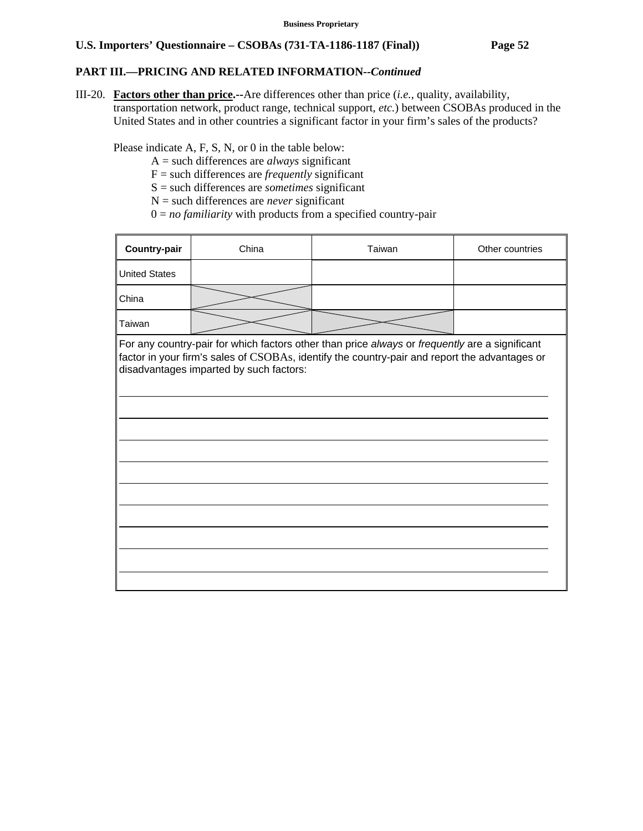## **PART III.—PRICING AND RELATED INFORMATION***--Continued*

III-20. **Factors other than price.--**Are differences other than price (*i.e.*, quality, availability, transportation network, product range, technical support, *etc.*) between CSOBAs produced in the United States and in other countries a significant factor in your firm's sales of the products?

Please indicate A, F, S, N, or 0 in the table below:

- A = such differences are *always* significant
- F = such differences are *frequently* significant
- S = such differences are *sometimes* significant
- N = such differences are *never* significant
- $0 = no$  *familiarity* with products from a specified country-pair

| <b>Country-pair</b>                                                                                                                                                                                                                        | China | Taiwan | Other countries |  |  |  |  |  |
|--------------------------------------------------------------------------------------------------------------------------------------------------------------------------------------------------------------------------------------------|-------|--------|-----------------|--|--|--|--|--|
| <b>United States</b>                                                                                                                                                                                                                       |       |        |                 |  |  |  |  |  |
| China                                                                                                                                                                                                                                      |       |        |                 |  |  |  |  |  |
| Taiwan                                                                                                                                                                                                                                     |       |        |                 |  |  |  |  |  |
| For any country-pair for which factors other than price always or frequently are a significant<br>factor in your firm's sales of CSOBAs, identify the country-pair and report the advantages or<br>disadvantages imparted by such factors: |       |        |                 |  |  |  |  |  |